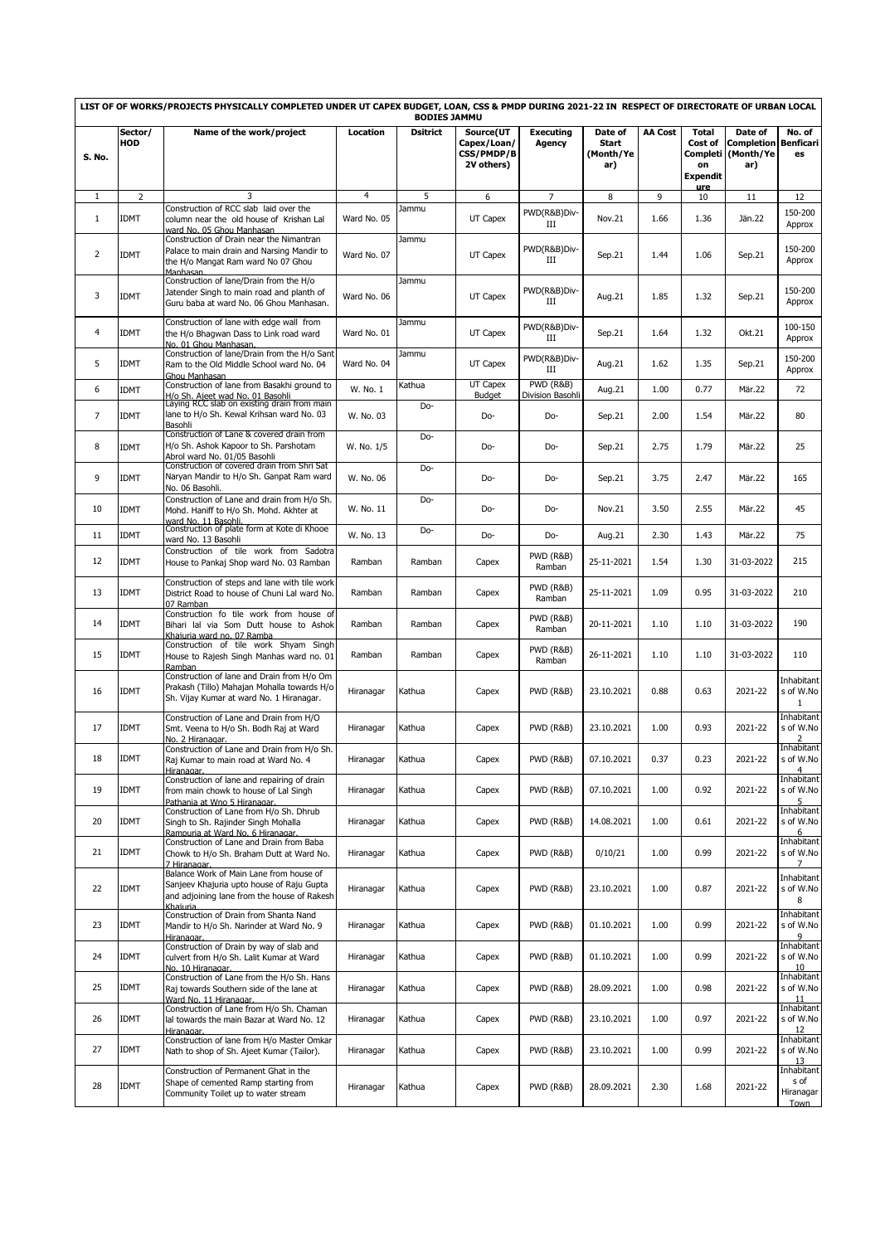|                |                       | LIST OF OF WORKS/PROJECTS PHYSICALLY COMPLETED UNDER UT CAPEX BUDGET, LOAN, CSS & PMDP DURING 2021-22 IN RESPECT OF DIRECTORATE OF URBAN LOCAL                |                | <b>BODIES JAMMU</b> |                                                      |                                |                                             |                |                                                              |                                                  |                                           |
|----------------|-----------------------|---------------------------------------------------------------------------------------------------------------------------------------------------------------|----------------|---------------------|------------------------------------------------------|--------------------------------|---------------------------------------------|----------------|--------------------------------------------------------------|--------------------------------------------------|-------------------------------------------|
| <b>S. No.</b>  | Sector/<br><b>HOD</b> | Name of the work/project                                                                                                                                      | Location       | <b>Dsitrict</b>     | Source(UT<br>Capex/Loan/<br>CSS/PMDP/B<br>2V others) | <b>Executing</b><br>Agency     | Date of<br><b>Start</b><br>(Month/Ye<br>ar) | <b>AA Cost</b> | <b>Total</b><br>Cost of<br>Completi<br>on<br><b>Expendit</b> | Date of<br><b>Completion</b><br>(Month/Ye<br>ar) | No. of<br><b>Benficari</b><br>es          |
| 1              | $\overline{2}$        | 3                                                                                                                                                             | $\overline{4}$ | 5                   | 6                                                    | $\overline{7}$                 | 8                                           | 9              | <u>ure</u><br>10                                             | 11                                               | 12                                        |
| $\mathbf{1}$   | <b>IDMT</b>           | Construction of RCC slab laid over the<br>column near the old house of Krishan Lal<br>ward No. 05 Ghou Manhasan                                               | Ward No. 05    | Jammu               | UT Capex                                             | PWD(R&B)Div-<br>III            | Nov.21                                      | 1.66           | 1.36                                                         | Jän.22                                           | 150-200<br>Approx                         |
| $\overline{2}$ | <b>IDMT</b>           | Construction of Drain near the Nimantran<br>Palace to main drain and Narsing Mandir to<br>the H/o Mangat Ram ward No 07 Ghou<br>Manhasan.                     | Ward No. 07    | Jammu               | UT Capex                                             | PWD(R&B)Div-<br>Ш              | Sep.21                                      | 1.44           | 1.06                                                         | Sep.21                                           | 150-200<br>Approx                         |
| 3              | <b>IDMT</b>           | Construction of lane/Drain from the H/o<br>Jatender Singh to main road and planth of<br>Guru baba at ward No. 06 Ghou Manhasan.                               | Ward No. 06    | Jammu               | UT Capex                                             | PWD(R&B)Div-<br>Ш              | Aug.21                                      | 1.85           | 1.32                                                         | Sep.21                                           | 150-200<br>Approx                         |
| $\overline{4}$ | <b>IDMT</b>           | Construction of lane with edge wall from<br>the H/o Bhagwan Dass to Link road ward<br>No. 01 Ghou Manhasan.                                                   | Ward No. 01    | Jammu               | UT Capex                                             | PWD(R&B)Div-<br>Ш              | Sep.21                                      | 1.64           | 1.32                                                         | Okt.21                                           | 100-150<br>Approx                         |
| 5              | <b>IDMT</b>           | Construction of lane/Drain from the H/o Sant<br>Ram to the Old Middle School ward No. 04<br>Ghou Manhasan                                                     | Ward No. 04    | Jammu               | UT Capex                                             | PWD(R&B)Div-<br>Ш              | Aug.21                                      | 1.62           | 1.35                                                         | Sep.21                                           | 150-200<br>Approx                         |
| 6              | <b>IDMT</b>           | Construction of lane from Basakhi ground to                                                                                                                   | W. No. 1       | Kathua              | UT Capex<br><b>Budget</b>                            | PWD (R&B)<br>Division Basohli  | Aug.21                                      | 1.00           | 0.77                                                         | Mär.22                                           | 72                                        |
| $\overline{7}$ | <b>IDMT</b>           | H/o Sh. Aieet wad No. 01 Basohli<br>Laying RCC slab on existing drain from main<br>lane to H/o Sh. Kewal Krihsan ward No. 03<br>Basohli                       | W. No. 03      | Do-                 | Do-                                                  | Do-                            | Sep.21                                      | 2.00           | 1.54                                                         | Mär.22                                           | 80                                        |
| 8              | <b>IDMT</b>           | Construction of Lane & covered drain from<br>H/o Sh. Ashok Kapoor to Sh. Parshotam<br>Abrol ward No. 01/05 Basohli                                            | W. No. 1/5     | Do-                 | Do-                                                  | Do-                            | Sep.21                                      | 2.75           | 1.79                                                         | Mär.22                                           | 25                                        |
| 9              | <b>IDMT</b>           | Construction of covered drain from Shri Sat<br>Naryan Mandir to H/o Sh. Ganpat Ram ward<br>No. 06 Basohli.                                                    | W. No. 06      | Do-                 | Do-                                                  | Do-                            | Sep.21                                      | 3.75           | 2.47                                                         | Mär.22                                           | 165                                       |
| 10             | <b>IDMT</b>           | Construction of Lane and drain from H/o Sh.<br>Mohd. Haniff to H/o Sh. Mohd. Akhter at<br>ward No. 11 Basohli.<br>Construction of plate form at Kote di Khooe | W. No. 11      | Do-                 | Do-                                                  | Do-                            | Nov.21                                      | 3.50           | 2.55                                                         | Mär.22                                           | 45                                        |
| 11             | <b>IDMT</b>           | ward No. 13 Basohli                                                                                                                                           | W. No. 13      | Do-                 | Do-                                                  | Do-                            | Aug.21                                      | 2.30           | 1.43                                                         | Mär.22                                           | 75                                        |
| 12             | IDMT                  | Construction of tile work from Sadotra<br>House to Pankaj Shop ward No. 03 Ramban                                                                             | Ramban         | Ramban              | Capex                                                | <b>PWD (R&amp;B)</b><br>Ramban | 25-11-2021                                  | 1.54           | 1.30                                                         | 31-03-2022                                       | 215                                       |
| 13             | <b>IDMT</b>           | Construction of steps and lane with tile work<br>District Road to house of Chuni Lal ward No.<br>07 Ramban                                                    | Ramban         | Ramban              | Capex                                                | PWD (R&B)<br>Ramban            | 25-11-2021                                  | 1.09           | 0.95                                                         | 31-03-2022                                       | 210                                       |
| 14             | <b>IDMT</b>           | Construction fo tile work from house of<br>Bihari lal via Som Dutt house to Ashok<br>Khaiuria ward no. 07 Ramba                                               | Ramban         | Ramban              | Capex                                                | PWD (R&B)<br>Ramban            | 20-11-2021                                  | 1.10           | 1.10                                                         | 31-03-2022                                       | 190                                       |
| 15             | <b>IDMT</b>           | Construction of tile work Shyam Singh<br>House to Rajesh Singh Manhas ward no. 01<br>Ramban                                                                   | Ramban         | Ramban              | Capex                                                | PWD (R&B)<br>Ramban            | 26-11-2021                                  | 1.10           | 1.10                                                         | 31-03-2022                                       | 110                                       |
| 16             | <b>IDMT</b>           | Construction of lane and Drain from H/o Om<br>Prakash (Tillo) Mahajan Mohalla towards H/o<br>Sh. Vijay Kumar at ward No. 1 Hiranagar.                         | Hiranagar      | Kathua              | Capex                                                | PWD (R&B)                      | 23.10.2021                                  | 0.88           | 0.63                                                         | 2021-22                                          | Inhabitant<br>s of W.No<br>$\mathbf{1}$   |
| 17             | <b>IDMT</b>           | Construction of Lane and Drain from H/O<br>Smt. Veena to H/o Sh. Bodh Raj at Ward<br>No. 2 Hiranagar.                                                         | Hiranagar      | Kathua              | Capex                                                | PWD (R&B)                      | 23.10.2021                                  | 1.00           | 0.93                                                         | 2021-22                                          | Inhabitant<br>s of W.No<br>$\overline{2}$ |
| 18             | <b>IDMT</b>           | Construction of Lane and Drain from H/o Sh.<br>Raj Kumar to main road at Ward No. 4<br>Hiranagar.                                                             | Hiranagar      | Kathua              | Capex                                                | PWD (R&B)                      | 07.10.2021                                  | 0.37           | 0.23                                                         | 2021-22                                          | Inhabitant<br>s of W.No<br>$\overline{4}$ |
| 19             | IDMT                  | Construction of lane and repairing of drain<br>from main chowk to house of Lal Singh<br>Pathania at Wno 5 Hiranagar.                                          | Hiranagar      | Kathua              | Capex                                                | PWD (R&B)                      | 07.10.2021                                  | 1.00           | 0.92                                                         | 2021-22                                          | Inhabitant<br>s of W.No<br>5              |
| 20             | IDMT                  | Construction of Lane from H/o Sh. Dhrub<br>Singh to Sh. Rajinder Singh Mohalla<br>Rampuria at Ward No. 6 Hiranagar.                                           | Hiranagar      | Kathua              | Capex                                                | PWD (R&B)                      | 14.08.2021                                  | 1.00           | 0.61                                                         | 2021-22                                          | Inhabitant<br>s of W.No<br>6              |
| 21             | IDMT                  | Construction of Lane and Drain from Baba<br>Chowk to H/o Sh. Braham Dutt at Ward No.<br>7 Hiranagar.                                                          | Hiranagar      | Kathua              | Capex                                                | PWD (R&B)                      | 0/10/21                                     | 1.00           | 0.99                                                         | 2021-22                                          | Inhabitant<br>s of W.No<br>$\overline{7}$ |
| 22             | <b>IDMT</b>           | Balance Work of Main Lane from house of<br>Sanjeev Khajuria upto house of Raju Gupta<br>and adioining lane from the house of Rakesh<br>Khaiuria               | Hiranagar      | Kathua              | Capex                                                | PWD (R&B)                      | 23.10.2021                                  | 1.00           | 0.87                                                         | 2021-22                                          | Inhabitant<br>s of W.No<br>8              |
| 23             | <b>IDMT</b>           | Construction of Drain from Shanta Nand<br>Mandir to H/o Sh. Narinder at Ward No. 9<br>Hiranagar.                                                              | Hiranagar      | Kathua              | Capex                                                | PWD (R&B)                      | 01.10.2021                                  | 1.00           | 0.99                                                         | 2021-22                                          | Inhabitant<br>s of W.No<br>9              |
| 24             | IDMT                  | Construction of Drain by way of slab and<br>culvert from H/o Sh. Lalit Kumar at Ward<br>No. 10 Hiranagar.                                                     | Hiranagar      | Kathua              | Capex                                                | PWD (R&B)                      | 01.10.2021                                  | 1.00           | 0.99                                                         | 2021-22                                          | Inhabitant<br>s of W.No<br>10             |
| 25             | <b>IDMT</b>           | Construction of Lane from the H/o Sh. Hans<br>Raj towards Southern side of the lane at<br>Ward No. 11 Hiranagar.                                              | Hiranagar      | Kathua              | Capex                                                | PWD (R&B)                      | 28.09.2021                                  | 1.00           | 0.98                                                         | 2021-22                                          | Inhabitant<br>s of W.No<br>11             |
| 26             | <b>IDMT</b>           | Construction of Lane from H/o Sh. Chaman<br>lal towards the main Bazar at Ward No. 12<br>Hiranagar.                                                           | Hiranagar      | Kathua              | Capex                                                | <b>PWD (R&amp;B)</b>           | 23.10.2021                                  | 1.00           | 0.97                                                         | 2021-22                                          | Inhabitant<br>s of W.No<br>12             |
| 27             | IDMT                  | Construction of lane from H/o Master Omkar<br>Nath to shop of Sh. Ajeet Kumar (Tailor).                                                                       | Hiranagar      | Kathua              | Capex                                                | <b>PWD (R&amp;B)</b>           | 23.10.2021                                  | 1.00           | 0.99                                                         | 2021-22                                          | Inhabitant<br>s of W.No<br>13             |
| 28             | <b>IDMT</b>           | Construction of Permanent Ghat in the<br>Shape of cemented Ramp starting from<br>Community Toilet up to water stream                                          | Hiranagar      | Kathua              | Capex                                                | <b>PWD (R&amp;B)</b>           | 28.09.2021                                  | 2.30           | 1.68                                                         | 2021-22                                          | Inhabitant<br>s of<br>Hiranagar<br>Town   |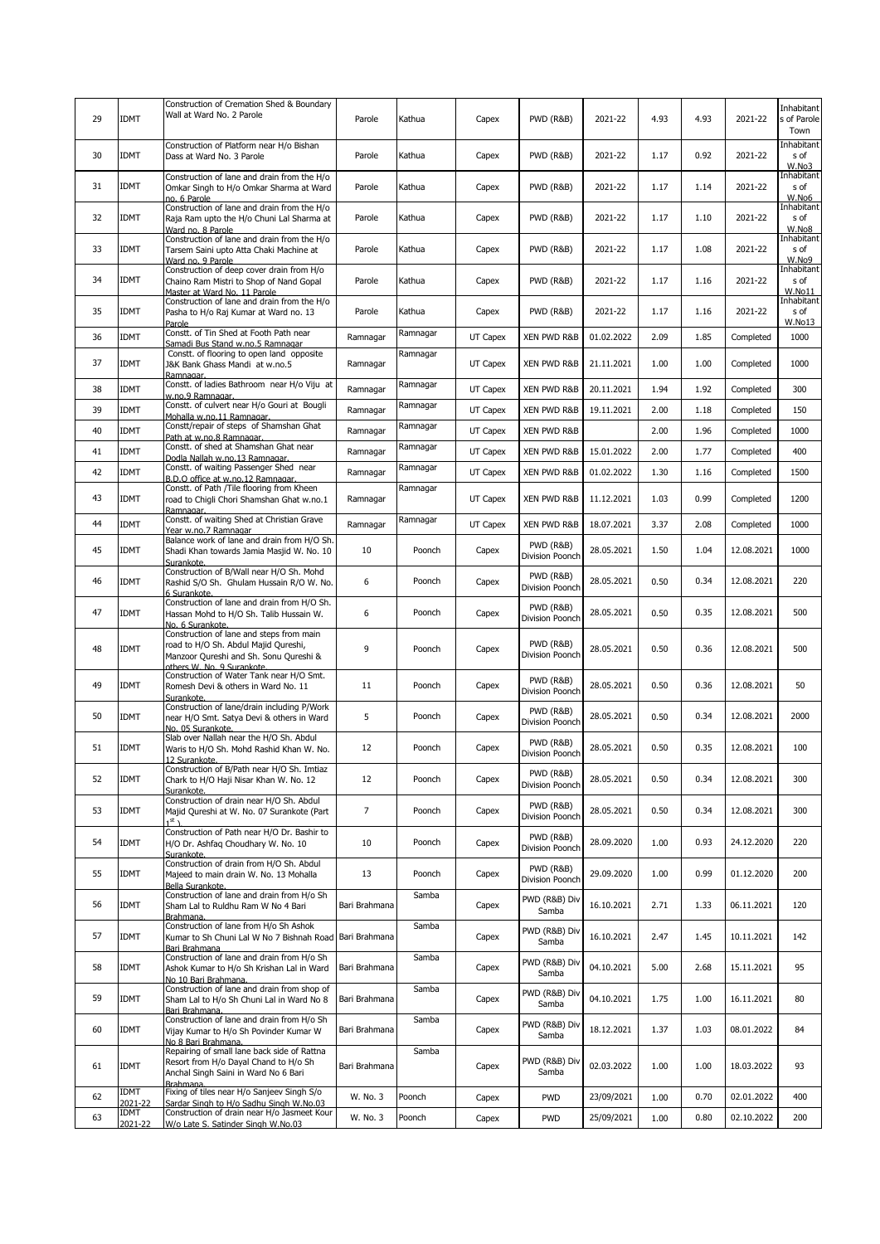| 29 | <b>IDMT</b>            | Construction of Cremation Shed & Boundary<br>Wall at Ward No. 2 Parole                                                                                   | Parole         | Kathua   | Capex    | PWD (R&B)                               | 2021-22    | 4.93 | 4.93 | 2021-22    | Inhabitant<br>s of Parole<br>Town   |
|----|------------------------|----------------------------------------------------------------------------------------------------------------------------------------------------------|----------------|----------|----------|-----------------------------------------|------------|------|------|------------|-------------------------------------|
| 30 | <b>IDMT</b>            | Construction of Platform near H/o Bishan<br>Dass at Ward No. 3 Parole                                                                                    | Parole         | Kathua   | Capex    | PWD (R&B)                               | 2021-22    | 1.17 | 0.92 | 2021-22    | <b>Inhabitant</b><br>s of<br>W.No3  |
| 31 | <b>IDMT</b>            | Construction of lane and drain from the H/o<br>Omkar Singh to H/o Omkar Sharma at Ward<br>no. 6 Parole                                                   | Parole         | Kathua   | Capex    | <b>PWD (R&amp;B)</b>                    | 2021-22    | 1.17 | 1.14 | 2021-22    | Inhabitant<br>s of<br>W.No6         |
| 32 | <b>IDMT</b>            | Construction of lane and drain from the H/o<br>Raja Ram upto the H/o Chuni Lal Sharma at<br>Ward no. 8 Parole                                            | Parole         | Kathua   | Capex    | <b>PWD (R&amp;B)</b>                    | 2021-22    | 1.17 | 1.10 | 2021-22    | Inhabitant<br>s of<br>W.No8         |
| 33 | <b>IDMT</b>            | Construction of lane and drain from the H/o<br>Tarsem Saini upto Atta Chaki Machine at<br>Ward no. 9 Parole                                              | Parole         | Kathua   | Capex    | <b>PWD (R&amp;B)</b>                    | 2021-22    | 1.17 | 1.08 | 2021-22    | Inhabitant<br>s of<br>W.No9         |
| 34 | <b>IDMT</b>            | Construction of deep cover drain from H/o<br>Chaino Ram Mistri to Shop of Nand Gopal<br>Master at Ward No. 11 Parole                                     | Parole         | Kathua   | Capex    | <b>PWD (R&amp;B)</b>                    | 2021-22    | 1.17 | 1.16 | 2021-22    | Inhabitant<br>s of<br>W.No11        |
| 35 | <b>IDMT</b>            | Construction of lane and drain from the H/o<br>Pasha to H/o Raj Kumar at Ward no. 13<br>Parole                                                           | Parole         | Kathua   | Capex    | <b>PWD (R&amp;B)</b>                    | 2021-22    | 1.17 | 1.16 | 2021-22    | Inhabitant<br>s of<br><b>W.No13</b> |
| 36 | <b>IDMT</b>            | Constt. of Tin Shed at Footh Path near<br>Samadi Bus Stand w.no.5 Ramnagar                                                                               | Ramnagar       | Ramnagar | UT Capex | XEN PWD R&B                             | 01.02.2022 | 2.09 | 1.85 | Completed  | 1000                                |
| 37 | <b>IDMT</b>            | Constt. of flooring to open land opposite<br>J&K Bank Ghass Mandi at w.no.5<br>Ramnagar.                                                                 | Ramnagar       | Ramnagar | UT Capex | XEN PWD R&B                             | 21.11.2021 | 1.00 | 1.00 | Completed  | 1000                                |
| 38 | IDMT                   | Constt. of ladies Bathroom near H/o Viju at<br>w.no.9 Ramnagar.                                                                                          | Ramnagar       | Ramnagar | UT Capex | XEN PWD R&B                             | 20.11.2021 | 1.94 | 1.92 | Completed  | 300                                 |
| 39 | <b>IDMT</b>            | Constt. of culvert near H/o Gouri at Bougli<br>Mohalla w.no.11 Ramnagar.                                                                                 | Ramnagar       | Ramnagar | UT Capex | XEN PWD R&B                             | 19.11.2021 | 2.00 | 1.18 | Completed  | 150                                 |
| 40 | <b>IDMT</b>            | Constt/repair of steps of Shamshan Ghat<br>Path at w.no.8 Ramnagar.                                                                                      | Ramnagar       | Ramnagar | UT Capex | <b>XEN PWD R&amp;B</b>                  |            | 2.00 | 1.96 | Completed  | 1000                                |
| 41 | <b>IDMT</b>            | Constt. of shed at Shamshan Ghat near                                                                                                                    | Ramnagar       | Ramnagar | UT Capex | XEN PWD R&B                             | 15.01.2022 | 2.00 | 1.77 | Completed  | 400                                 |
| 42 | <b>IDMT</b>            | Dodla Nallah w.no.13 Ramnagar.<br>Constt. of waiting Passenger Shed near                                                                                 | Ramnagar       | Ramnagar | UT Capex | XEN PWD R&B                             | 01.02.2022 | 1.30 | 1.16 | Completed  | 1500                                |
| 43 | <b>IDMT</b>            | B.D.O office at w.no.12 Ramnagar.<br>Constt. of Path /Tile flooring from Kheen<br>road to Chigli Chori Shamshan Ghat w.no.1                              | Ramnagar       | Ramnagar | UT Capex | XEN PWD R&B                             | 11.12.2021 | 1.03 | 0.99 | Completed  | 1200                                |
| 44 | <b>IDMT</b>            | Ramnagar.<br>Constt. of waiting Shed at Christian Grave                                                                                                  | Ramnagar       | Ramnagar | UT Capex | XEN PWD R&B                             | 18.07.2021 | 3.37 | 2.08 | Completed  | 1000                                |
| 45 | <b>IDMT</b>            | Year w.no.7 Ramnagar<br>Balance work of lane and drain from H/O Sh.<br>Shadi Khan towards Jamia Masjid W. No. 10                                         | 10             | Poonch   | Capex    | PWD (R&B)<br>Division Poonch            | 28.05.2021 | 1.50 | 1.04 | 12.08.2021 | 1000                                |
| 46 | <b>IDMT</b>            | Surankote.<br>Construction of B/Wall near H/O Sh. Mohd<br>Rashid S/O Sh. Ghulam Hussain R/O W. No.                                                       | 6              | Poonch   | Capex    | PWD (R&B)<br>Division Poonch            | 28.05.2021 | 0.50 | 0.34 | 12.08.2021 | 220                                 |
| 47 | <b>IDMT</b>            | 6 Surankote.<br>Construction of lane and drain from H/O Sh.<br>Hassan Mohd to H/O Sh. Talib Hussain W.<br>No. 6 Surankote.                               | 6              | Poonch   | Capex    | PWD (R&B)<br>Division Poonch            | 28.05.2021 | 0.50 | 0.35 | 12.08.2021 | 500                                 |
| 48 | <b>IDMT</b>            | Construction of lane and steps from main<br>road to H/O Sh. Abdul Majid Qureshi,<br>Manzoor Qureshi and Sh. Sonu Qureshi &<br>others W. No. 9 Surankote. | 9              | Poonch   | Capex    | <b>PWD (R&amp;B)</b><br>Division Poonch | 28.05.2021 | 0.50 | 0.36 | 12.08.2021 | 500                                 |
| 49 | <b>IDMT</b>            | Construction of Water Tank near H/O Smt.<br>Romesh Devi & others in Ward No. 11<br>Surankote.                                                            | 11             | Poonch   | Capex    | PWD (R&B)<br>Division Poonch            | 28.05.2021 | 0.50 | 0.36 | 12.08.2021 | 50                                  |
| 50 | <b>IDMT</b>            | Construction of lane/drain including P/Work<br>near H/O Smt. Satya Devi & others in Ward<br>No. 05 Surankote.                                            | 5              | Poonch   | Capex    | PWD (R&B)<br>Division Poonch            | 28.05.2021 | 0.50 | 0.34 | 12.08.2021 | 2000                                |
| 51 | <b>IDMT</b>            | Slab over Nallah near the H/O Sh. Abdul<br>Waris to H/O Sh. Mohd Rashid Khan W. No.                                                                      | 12             | Poonch   | Capex    | PWD (R&B)<br>Division Poonch            | 28.05.2021 | 0.50 | 0.35 | 12.08.2021 | 100                                 |
| 52 | <b>IDMT</b>            | Construction of B/Path near H/O Sh. Imtiaz<br>Chark to H/O Haji Nisar Khan W. No. 12<br>Surankote.                                                       | 12             | Poonch   | Capex    | PWD (R&B)<br>Division Poonch            | 28.05.2021 | 0.50 | 0.34 | 12.08.2021 | 300                                 |
| 53 | <b>IDMT</b>            | Construction of drain near H/O Sh. Abdul<br>Majid Qureshi at W. No. 07 Surankote (Part<br>1 <sup>st</sup> ۱                                              | $\overline{7}$ | Poonch   | Capex    | PWD (R&B)<br>Division Poonch            | 28.05.2021 | 0.50 | 0.34 | 12.08.2021 | 300                                 |
| 54 | <b>IDMT</b>            | Construction of Path near H/O Dr. Bashir to<br>H/O Dr. Ashfaq Choudhary W. No. 10<br>Surankote.                                                          | 10             | Poonch   | Capex    | <b>PWD (R&amp;B)</b><br>Division Poonch | 28.09.2020 | 1.00 | 0.93 | 24.12.2020 | 220                                 |
| 55 | <b>IDMT</b>            | Construction of drain from H/O Sh. Abdul<br>Majeed to main drain W. No. 13 Mohalla<br>Bella Surankote.                                                   | 13             | Poonch   | Capex    | PWD (R&B)<br>Division Poonch            | 29.09.2020 | 1.00 | 0.99 | 01.12.2020 | 200                                 |
| 56 | <b>IDMT</b>            | Construction of lane and drain from H/o Sh<br>Sham Lal to Ruldhu Ram W No 4 Bari<br>Brahmana.                                                            | Bari Brahmana  | Samba    | Capex    | PWD (R&B) Div<br>Samba                  | 16.10.2021 | 2.71 | 1.33 | 06.11.2021 | 120                                 |
| 57 | <b>IDMT</b>            | Construction of lane from H/o Sh Ashok<br>Kumar to Sh Chuni Lal W No 7 Bishnah Road<br>Bari Brahmana                                                     | Bari Brahmana  | Samba    | Capex    | PWD (R&B) Div<br>Samba                  | 16.10.2021 | 2.47 | 1.45 | 10.11.2021 | 142                                 |
| 58 | <b>IDMT</b>            | Construction of lane and drain from H/o Sh<br>Ashok Kumar to H/o Sh Krishan Lal in Ward<br>No 10 Bari Brahmana.                                          | Bari Brahmana  | Samba    | Capex    | PWD (R&B) Div<br>Samba                  | 04.10.2021 | 5.00 | 2.68 | 15.11.2021 | 95                                  |
| 59 | <b>IDMT</b>            | Construction of lane and drain from shop of<br>Sham Lal to H/o Sh Chuni Lal in Ward No 8<br>Bari Brahmana.                                               | Bari Brahmana  | Samba    | Capex    | PWD (R&B) Div<br>Samba                  | 04.10.2021 | 1.75 | 1.00 | 16.11.2021 | 80                                  |
| 60 | <b>IDMT</b>            | Construction of lane and drain from H/o Sh<br>Vijay Kumar to H/o Sh Povinder Kumar W<br>No 8 Bari Brahmana.                                              | Bari Brahmana  | Samba    | Capex    | PWD (R&B) Div<br>Samba                  | 18.12.2021 | 1.37 | 1.03 | 08.01.2022 | 84                                  |
| 61 | <b>IDMT</b>            | Repairing of small lane back side of Rattna<br>Resort from H/o Dayal Chand to H/o Sh<br>Anchal Singh Saini in Ward No 6 Bari<br>Brahmana                 | Bari Brahmana  | Samba    | Capex    | PWD (R&B) Div<br>Samba                  | 02.03.2022 | 1.00 | 1.00 | 18.03.2022 | 93                                  |
| 62 | <b>IDMT</b><br>2021-22 | Fixing of tiles near H/o Sanjeev Singh S/o<br>Sardar Singh to H/o Sadhu Singh W.No.03                                                                    | W. No. 3       | Poonch   | Capex    | <b>PWD</b>                              | 23/09/2021 | 1.00 | 0.70 | 02.01.2022 | 400                                 |
| 63 | IDMT<br>2021-22        | Construction of drain near H/o Jasmeet Kour<br>W/o Late S. Satinder Singh W.No.03                                                                        | W. No. 3       | Poonch   | Capex    | <b>PWD</b>                              | 25/09/2021 | 1.00 | 0.80 | 02.10.2022 | 200                                 |
|    |                        |                                                                                                                                                          |                |          |          |                                         |            |      |      |            |                                     |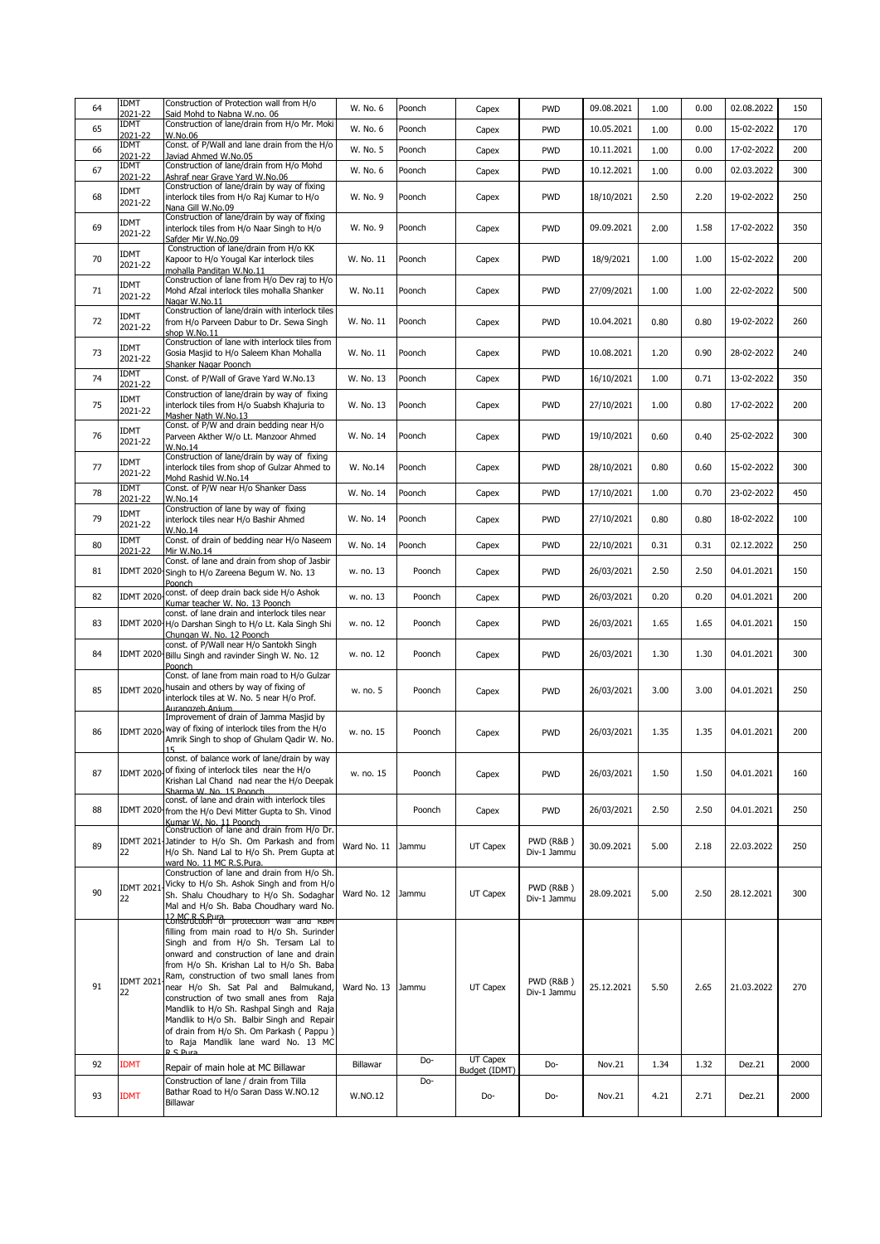|    | <b>IDMT</b>            | Construction of Protection wall from H/o                                                                                                                                                                                                                                                                                                                                                                                                                                                                                                                           |             |        |                           |                                     |            |      |      |            |      |
|----|------------------------|--------------------------------------------------------------------------------------------------------------------------------------------------------------------------------------------------------------------------------------------------------------------------------------------------------------------------------------------------------------------------------------------------------------------------------------------------------------------------------------------------------------------------------------------------------------------|-------------|--------|---------------------------|-------------------------------------|------------|------|------|------------|------|
| 64 | 2021-22<br>IDMT        | Said Mohd to Nabna W.no. 06<br>Construction of lane/drain from H/o Mr. Moki                                                                                                                                                                                                                                                                                                                                                                                                                                                                                        | W. No. 6    | Poonch | Capex                     | <b>PWD</b>                          | 09.08.2021 | 1.00 | 0.00 | 02.08.2022 | 150  |
| 65 | 2021-22<br><b>IDMT</b> | W.No.06<br>Const. of P/Wall and lane drain from the H/o                                                                                                                                                                                                                                                                                                                                                                                                                                                                                                            | W. No. 6    | Poonch | Capex                     | <b>PWD</b>                          | 10.05.2021 | 1.00 | 0.00 | 15-02-2022 | 170  |
| 66 | 2021-22<br>IDMT        | Javiad Ahmed W.No.05                                                                                                                                                                                                                                                                                                                                                                                                                                                                                                                                               | W. No. 5    | Poonch | Capex                     | <b>PWD</b>                          | 10.11.2021 | 1.00 | 0.00 | 17-02-2022 | 200  |
| 67 | 2021-22                | Construction of lane/drain from H/o Mohd<br>Ashraf near Grave Yard W.No.06                                                                                                                                                                                                                                                                                                                                                                                                                                                                                         | W. No. 6    | Poonch | Capex                     | <b>PWD</b>                          | 10.12.2021 | 1.00 | 0.00 | 02.03.2022 | 300  |
| 68 | <b>IDMT</b><br>2021-22 | Construction of lane/drain by way of fixing<br>interlock tiles from H/o Raj Kumar to H/o<br>Nana Gill W.No.09                                                                                                                                                                                                                                                                                                                                                                                                                                                      | W. No. 9    | Poonch | Capex                     | <b>PWD</b>                          | 18/10/2021 | 2.50 | 2.20 | 19-02-2022 | 250  |
| 69 | IDMT<br>2021-22        | Construction of lane/drain by way of fixing<br>interlock tiles from H/o Naar Singh to H/o<br>Safder Mir W.No.09                                                                                                                                                                                                                                                                                                                                                                                                                                                    | W. No. 9    | Poonch | Capex                     | <b>PWD</b>                          | 09.09.2021 | 2.00 | 1.58 | 17-02-2022 | 350  |
| 70 | <b>IDMT</b><br>2021-22 | Construction of lane/drain from H/o KK<br>Kapoor to H/o Yougal Kar interlock tiles<br>mohalla Panditan W.No.11                                                                                                                                                                                                                                                                                                                                                                                                                                                     | W. No. 11   | Poonch | Capex                     | <b>PWD</b>                          | 18/9/2021  | 1.00 | 1.00 | 15-02-2022 | 200  |
| 71 | IDMT<br>2021-22        | Construction of lane from H/o Dev raj to H/o<br>Mohd Afzal interlock tiles mohalla Shanker<br>Nagar W.No.11                                                                                                                                                                                                                                                                                                                                                                                                                                                        | W. No.11    | Poonch | Capex                     | <b>PWD</b>                          | 27/09/2021 | 1.00 | 1.00 | 22-02-2022 | 500  |
| 72 | IDMT<br>2021-22        | Construction of lane/drain with interlock tiles<br>from H/o Parveen Dabur to Dr. Sewa Singh<br>shop W.No.11                                                                                                                                                                                                                                                                                                                                                                                                                                                        | W. No. 11   | Poonch | Capex                     | <b>PWD</b>                          | 10.04.2021 | 0.80 | 0.80 | 19-02-2022 | 260  |
| 73 | <b>IDMT</b><br>2021-22 | Construction of lane with interlock tiles from<br>Gosia Masjid to H/o Saleem Khan Mohalla<br>Shanker Nagar Poonch                                                                                                                                                                                                                                                                                                                                                                                                                                                  | W. No. 11   | Poonch | Capex                     | <b>PWD</b>                          | 10.08.2021 | 1.20 | 0.90 | 28-02-2022 | 240  |
| 74 | <b>IDMT</b><br>2021-22 | Const. of P/Wall of Grave Yard W.No.13                                                                                                                                                                                                                                                                                                                                                                                                                                                                                                                             | W. No. 13   | Poonch | Capex                     | <b>PWD</b>                          | 16/10/2021 | 1.00 | 0.71 | 13-02-2022 | 350  |
| 75 | <b>IDMT</b><br>2021-22 | Construction of lane/drain by way of fixing<br>interlock tiles from H/o Suabsh Khajuria to<br>Masher Nath W.No.13                                                                                                                                                                                                                                                                                                                                                                                                                                                  | W. No. 13   | Poonch | Capex                     | <b>PWD</b>                          | 27/10/2021 | 1.00 | 0.80 | 17-02-2022 | 200  |
| 76 | <b>IDMT</b><br>2021-22 | Const. of P/W and drain bedding near H/o<br>Parveen Akther W/o Lt. Manzoor Ahmed<br>W.No.14                                                                                                                                                                                                                                                                                                                                                                                                                                                                        | W. No. 14   | Poonch | Capex                     | <b>PWD</b>                          | 19/10/2021 | 0.60 | 0.40 | 25-02-2022 | 300  |
| 77 | <b>IDMT</b><br>2021-22 | Construction of lane/drain by way of fixing<br>interlock tiles from shop of Gulzar Ahmed to<br>Mohd Rashid W.No.14                                                                                                                                                                                                                                                                                                                                                                                                                                                 | W. No.14    | Poonch | Capex                     | <b>PWD</b>                          | 28/10/2021 | 0.80 | 0.60 | 15-02-2022 | 300  |
| 78 | <b>IDMT</b><br>2021-22 | Const. of P/W near H/o Shanker Dass<br>W.No.14                                                                                                                                                                                                                                                                                                                                                                                                                                                                                                                     | W. No. 14   | Poonch | Capex                     | <b>PWD</b>                          | 17/10/2021 | 1.00 | 0.70 | 23-02-2022 | 450  |
| 79 | <b>IDMT</b><br>2021-22 | Construction of lane by way of fixing<br>interlock tiles near H/o Bashir Ahmed<br>W.No.14                                                                                                                                                                                                                                                                                                                                                                                                                                                                          | W. No. 14   | Poonch | Capex                     | <b>PWD</b>                          | 27/10/2021 | 0.80 | 0.80 | 18-02-2022 | 100  |
| 80 | <b>IDMT</b><br>2021-22 | Const. of drain of bedding near H/o Naseem<br>Mir W.No.14                                                                                                                                                                                                                                                                                                                                                                                                                                                                                                          | W. No. 14   | Poonch | Capex                     | <b>PWD</b>                          | 22/10/2021 | 0.31 | 0.31 | 02.12.2022 | 250  |
| 81 |                        | Const. of lane and drain from shop of Jasbir<br>IDMT 2020 Singh to H/o Zareena Begum W. No. 13<br>Poonch                                                                                                                                                                                                                                                                                                                                                                                                                                                           | w. no. 13   | Poonch | Capex                     | <b>PWD</b>                          | 26/03/2021 | 2.50 | 2.50 | 04.01.2021 | 150  |
| 82 | <b>IDMT 2020</b>       | const. of deep drain back side H/o Ashok<br>Kumar teacher W. No. 13 Poonch                                                                                                                                                                                                                                                                                                                                                                                                                                                                                         | w. no. 13   | Poonch | Capex                     | <b>PWD</b>                          | 26/03/2021 | 0.20 | 0.20 | 04.01.2021 | 200  |
| 83 |                        | const. of lane drain and interlock tiles near<br>IDMT 2020 H/o Darshan Singh to H/o Lt. Kala Singh Shi<br>Chungan W. No. 12 Poonch                                                                                                                                                                                                                                                                                                                                                                                                                                 | w. no. 12   | Poonch | Capex                     | <b>PWD</b>                          | 26/03/2021 | 1.65 | 1.65 | 04.01.2021 | 150  |
| 84 |                        | const. of P/Wall near H/o Santokh Singh<br>IDMT 2020 Billu Singh and ravinder Singh W. No. 12<br>Poonch                                                                                                                                                                                                                                                                                                                                                                                                                                                            | w. no. 12   | Poonch | Capex                     | <b>PWD</b>                          | 26/03/2021 | 1.30 | 1.30 | 04.01.2021 | 300  |
| 85 |                        | Const. of lane from main road to H/o Gulzar<br>IDMT 2020 husain and others by way of fixing of<br>interlock tiles at W. No. 5 near H/o Prof.<br>Aurangzeb Anjum                                                                                                                                                                                                                                                                                                                                                                                                    | w. no. 5    | Poonch | Capex                     | <b>PWD</b>                          | 26/03/2021 | 3.00 | 3.00 | 04.01.2021 | 250  |
| 86 |                        | Improvement of drain of Jamma Masjid by<br>IDMT 2020 way of fixing of interlock tiles from the H/o<br>Amrik Singh to shop of Ghulam Qadir W. No.<br>15                                                                                                                                                                                                                                                                                                                                                                                                             | w. no. 15   | Poonch | Capex                     | <b>PWD</b>                          | 26/03/2021 | 1.35 | 1.35 | 04.01.2021 | 200  |
| 87 |                        | const. of balance work of lane/drain by way<br>IDMT 2020 of fixing of interlock tiles near the H/o<br>Krishan Lal Chand nad near the H/o Deepak<br>Sharma W. No. 15 Poonch                                                                                                                                                                                                                                                                                                                                                                                         | w. no. 15   | Poonch | Capex                     | <b>PWD</b>                          | 26/03/2021 | 1.50 | 1.50 | 04.01.2021 | 160  |
| 88 |                        | const. of lane and drain with interlock tiles<br>IDMT 2020 from the H/o Devi Mitter Gupta to Sh. Vinod<br>Kumar W. No. 11 Poonch                                                                                                                                                                                                                                                                                                                                                                                                                                   |             | Poonch | Capex                     | <b>PWD</b>                          | 26/03/2021 | 2.50 | 2.50 | 04.01.2021 | 250  |
| 89 | 22                     | Construction of lane and drain from H/o Dr.<br>IDMT 2021 Jatinder to H/o Sh. Om Parkash and from<br>H/o Sh. Nand Lal to H/o Sh. Prem Gupta at<br>ward No. 11 MC R.S.Pura.                                                                                                                                                                                                                                                                                                                                                                                          | Ward No. 11 | Jammu  | UT Capex                  | <b>PWD (R&amp;B)</b><br>Div-1 Jammu | 30.09.2021 | 5.00 | 2.18 | 22.03.2022 | 250  |
| 90 | <b>IDMT 2021</b><br>22 | Construction of lane and drain from H/o Sh.<br>Vicky to H/o Sh. Ashok Singh and from H/o<br>Sh. Shalu Choudhary to H/o Sh. Sodaghar<br>Mal and H/o Sh. Baba Choudhary ward No.                                                                                                                                                                                                                                                                                                                                                                                     | Ward No. 12 | Jammu  | UT Capex                  | <b>PWD (R&amp;B)</b><br>Div-1 Jammu | 28.09.2021 | 5.00 | 2.50 | 28.12.2021 | 300  |
| 91 | <b>IDMT 2021</b><br>22 | 12 MC R S Pura<br>Construction of protection wall and RBM<br>filling from main road to H/o Sh. Surinder<br>Singh and from H/o Sh. Tersam Lal to<br>onward and construction of lane and drain<br>from H/o Sh. Krishan Lal to H/o Sh. Baba<br>Ram, construction of two small lanes from<br>near H/o Sh. Sat Pal and Balmukand,<br>construction of two small anes from Raja<br>Mandlik to H/o Sh. Rashpal Singh and Raja<br>Mandlik to H/o Sh. Balbir Singh and Repair<br>of drain from H/o Sh. Om Parkash (Pappu)<br>to Raja Mandlik lane ward No. 13 MC<br>D.C.Durs | Ward No. 13 | Jammu  | UT Capex                  | <b>PWD (R&amp;B)</b><br>Div-1 Jammu | 25.12.2021 | 5.50 | 2.65 | 21.03.2022 | 270  |
| 92 | <b>IDMT</b>            | Repair of main hole at MC Billawar                                                                                                                                                                                                                                                                                                                                                                                                                                                                                                                                 | Billawar    | Do-    | UT Capex<br>Budget (IDMT) | Do-                                 | Nov.21     | 1.34 | 1.32 | Dez.21     | 2000 |
| 93 | <b>IDMT</b>            | Construction of lane / drain from Tilla<br>Bathar Road to H/o Saran Dass W.NO.12<br>Billawar                                                                                                                                                                                                                                                                                                                                                                                                                                                                       | W.NO.12     | Do-    | Do-                       | Do-                                 | Nov.21     | 4.21 | 2.71 | Dez.21     | 2000 |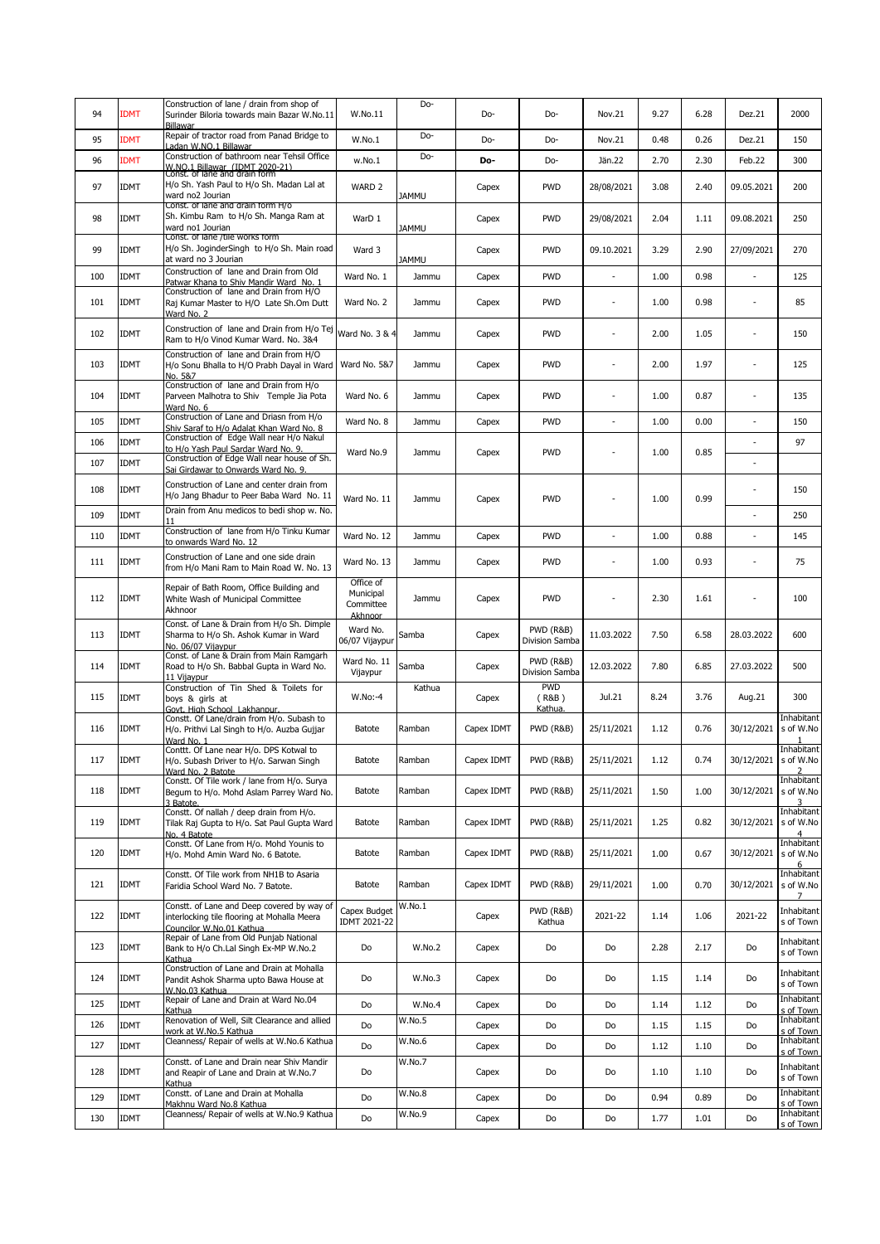|     |             | Construction of lane / drain from shop of                                                                             |                                                | Do-          |            |                                        |                          |      |      |                |                                        |
|-----|-------------|-----------------------------------------------------------------------------------------------------------------------|------------------------------------------------|--------------|------------|----------------------------------------|--------------------------|------|------|----------------|----------------------------------------|
| 94  | <b>IDMT</b> | Surinder Biloria towards main Bazar W.No.11                                                                           | W.No.11                                        |              | Do-        | Do-                                    | Nov.21                   | 9.27 | 6.28 | Dez.21         | 2000                                   |
| 95  | <b>IDMT</b> | Billawar<br>Repair of tractor road from Panad Bridge to                                                               | W.No.1                                         | Do-          | Do-        | Do-                                    | Nov.21                   | 0.48 | 0.26 | Dez.21         | 150                                    |
| 96  | <b>IDMT</b> | Ladan W.NO.1 Billawar<br>Construction of bathroom near Tehsil Office                                                  | w.No.1                                         | Do-          | Do-        | Do-                                    | Jän. 22                  | 2.70 | 2.30 | Feb.22         | 300                                    |
|     |             | W.NO.1 Billawar (IDMT 2020-21)<br>Const. of lane and drain form                                                       |                                                |              |            |                                        |                          |      |      |                |                                        |
| 97  | <b>IDMT</b> | H/o Sh. Yash Paul to H/o Sh. Madan Lal at<br>ward no2 Jourian                                                         | WARD 2                                         | JAMMU        | Capex      | <b>PWD</b>                             | 28/08/2021               | 3.08 | 2.40 | 09.05.2021     | 200                                    |
| 98  | <b>IDMT</b> | Const. of lane and drain form H/o<br>Sh. Kimbu Ram to H/o Sh. Manga Ram at<br>ward no1 Jourian                        | WarD 1                                         | <b>JAMMU</b> | Capex      | <b>PWD</b>                             | 29/08/2021               | 2.04 | 1.11 | 09.08.2021     | 250                                    |
| 99  | <b>IDMT</b> | Const. of lane /tile works form<br>H/o Sh. JoginderSingh to H/o Sh. Main road<br>at ward no 3 Jourian                 | Ward 3                                         | <b>JAMMU</b> | Capex      | <b>PWD</b>                             | 09.10.2021               | 3.29 | 2.90 | 27/09/2021     | 270                                    |
| 100 | <b>IDMT</b> | Construction of lane and Drain from Old<br>Patwar Khana to Shiv Mandir Ward No. 1                                     | Ward No. 1                                     | Jammu        | Capex      | <b>PWD</b>                             |                          | 1.00 | 0.98 | ÷,             | 125                                    |
| 101 | <b>IDMT</b> | Construction of lane and Drain from H/O<br>Raj Kumar Master to H/O Late Sh.Om Dutt<br>Ward No. 2                      | Ward No. 2                                     | Jammu        | Capex      | <b>PWD</b>                             | $\overline{\phantom{a}}$ | 1.00 | 0.98 |                | 85                                     |
| 102 | <b>IDMT</b> | Construction of lane and Drain from H/o Tej<br>Ram to H/o Vinod Kumar Ward. No. 3&4                                   | Ward No. 3 & 4                                 | Jammu        | Capex      | <b>PWD</b>                             | ÷,                       | 2.00 | 1.05 | ÷,             | 150                                    |
| 103 | <b>IDMT</b> | Construction of lane and Drain from H/O<br>H/o Sonu Bhalla to H/O Prabh Dayal in Ward<br>No. 5&7                      | Ward No. 5&7                                   | Jammu        | Capex      | <b>PWD</b>                             |                          | 2.00 | 1.97 |                | 125                                    |
| 104 | <b>IDMT</b> | Construction of lane and Drain from H/o<br>Parveen Malhotra to Shiv Temple Jia Pota<br>Ward No. 6                     | Ward No. 6                                     | Jammu        | Capex      | <b>PWD</b>                             | ÷,                       | 1.00 | 0.87 | ÷,             | 135                                    |
| 105 | <b>IDMT</b> | Construction of Lane and Driasn from H/o<br>Shiv Saraf to H/o Adalat Khan Ward No. 8                                  | Ward No. 8                                     | Jammu        | Capex      | <b>PWD</b>                             | $\overline{\phantom{a}}$ | 1.00 | 0.00 | ÷,             | 150                                    |
| 106 | <b>IDMT</b> | Construction of Edge Wall near H/o Nakul<br>to H/o Yash Paul Sardar Ward No. 9.                                       | Ward No.9                                      |              |            | <b>PWD</b>                             |                          | 1.00 | 0.85 |                | 97                                     |
| 107 | <b>IDMT</b> | Construction of Edge Wall near house of Sh.<br>Sai Girdawar to Onwards Ward No. 9.                                    |                                                | Jammu        | Capex      |                                        |                          |      |      | $\overline{a}$ |                                        |
| 108 | <b>IDMT</b> | Construction of Lane and center drain from<br>H/o Jang Bhadur to Peer Baba Ward No. 11                                | Ward No. 11                                    | Jammu        | Capex      | <b>PWD</b>                             |                          | 1.00 | 0.99 |                | 150                                    |
| 109 | <b>IDMT</b> | Drain from Anu medicos to bedi shop w. No.                                                                            |                                                |              |            |                                        |                          |      |      |                | 250                                    |
| 110 | <b>IDMT</b> | Construction of lane from H/o Tinku Kumar<br>to onwards Ward No. 12                                                   | Ward No. 12                                    | Jammu        | Capex      | <b>PWD</b>                             | $\overline{\phantom{a}}$ | 1.00 | 0.88 | ÷,             | 145                                    |
| 111 | <b>IDMT</b> | Construction of Lane and one side drain<br>from H/o Mani Ram to Main Road W. No. 13                                   | Ward No. 13                                    | Jammu        | Capex      | <b>PWD</b>                             |                          | 1.00 | 0.93 | ÷,             | 75                                     |
| 112 | <b>IDMT</b> | Repair of Bath Room, Office Building and<br>White Wash of Municipal Committee<br>Akhnoor                              | Office of<br>Municipal<br>Committee<br>Akhnoor | Jammu        | Capex      | <b>PWD</b>                             |                          | 2.30 | 1.61 | $\overline{a}$ | 100                                    |
| 113 | <b>IDMT</b> | Const. of Lane & Drain from H/o Sh. Dimple<br>Sharma to H/o Sh. Ashok Kumar in Ward<br>No. 06/07 Vijavpur             | Ward No.<br>06/07 Vijaypur                     | Samba        | Capex      | <b>PWD (R&amp;B)</b><br>Division Samba | 11.03.2022               | 7.50 | 6.58 | 28.03.2022     | 600                                    |
| 114 | <b>IDMT</b> | Const. of Lane & Drain from Main Ramgarh<br>Road to H/o Sh. Babbal Gupta in Ward No.<br>11 Vijavpur                   | Ward No. 11<br>Vijaypur                        | Samba        | Capex      | <b>PWD (R&amp;B)</b><br>Division Samba | 12.03.2022               | 7.80 | 6.85 | 27.03.2022     | 500                                    |
| 115 | <b>IDMT</b> | Construction of Tin Shed & Toilets for<br>boys & girls at<br>Govt. High School Lakhanpur.                             | $W.No:-4$                                      | Kathua       | Capex      | <b>PWD</b><br>(R&B)<br>Kathua.         | Jul.21                   | 8.24 | 3.76 | Aug.21         | 300                                    |
| 116 | <b>IDMT</b> | Constt. Of Lane/drain from H/o. Subash to<br>H/o. Prithvi Lal Singh to H/o. Auzba Gujjar<br>Ward No. 1                | Batote                                         | Ramban       | Capex IDMT | PWD (R&B)                              | 25/11/2021               | 1.12 | 0.76 | 30/12/2021     | Inhabitant<br>s of W.No                |
| 117 | <b>IDMT</b> | Conttt. Of Lane near H/o. DPS Kotwal to<br>H/o. Subash Driver to H/o. Sarwan Singh<br>Ward No. 2 Batote               | Batote                                         | Ramban       | Capex IDMT | PWD (R&B)                              | 25/11/2021               | 1.12 | 0.74 | 30/12/2021     | Inhabitant<br>s of W.No<br>2           |
| 118 | <b>IDMT</b> | Constt. Of Tile work / lane from H/o. Surya<br>Begum to H/o. Mohd Aslam Parrey Ward No.<br>3 Batote.                  | Batote                                         | Ramban       | Capex IDMT | PWD (R&B)                              | 25/11/2021               | 1.50 | 1.00 | 30/12/2021     | Inhabitant<br>s of W.No<br>3           |
| 119 | <b>IDMT</b> | Constt. Of nallah / deep drain from H/o.<br>Tilak Raj Gupta to H/o. Sat Paul Gupta Ward<br>No. 4 Batote               | Batote                                         | Ramban       | Capex IDMT | PWD (R&B)                              | 25/11/2021               | 1.25 | 0.82 | 30/12/2021     | <b>Inhabitant</b><br>s of W.No<br>4    |
| 120 | <b>IDMT</b> | Constt. Of Lane from H/o. Mohd Younis to<br>H/o. Mohd Amin Ward No. 6 Batote.                                         | <b>Batote</b>                                  | Ramban       | Capex IDMT | <b>PWD (R&amp;B)</b>                   | 25/11/2021               | 1.00 | 0.67 | 30/12/2021     | Inhabitant<br>s of W.No<br>6           |
| 121 | <b>IDMT</b> | Constt. Of Tile work from NH1B to Asaria<br>Faridia School Ward No. 7 Batote.                                         | Batote                                         | Ramban       | Capex IDMT | PWD (R&B)                              | 29/11/2021               | 1.00 | 0.70 | 30/12/2021     | Inhabitant<br>s of W.No<br>$7^{\circ}$ |
| 122 | <b>IDMT</b> | Constt. of Lane and Deep covered by way of<br>interlocking tile flooring at Mohalla Meera<br>Councilor W.No.01 Kathua | Capex Budget<br>IDMT 2021-22                   | W.No.1       | Capex      | PWD (R&B)<br>Kathua                    | 2021-22                  | 1.14 | 1.06 | 2021-22        | Inhabitant<br>s of Town                |
| 123 | <b>IDMT</b> | Repair of Lane from Old Punjab National<br>Bank to H/o Ch.Lal Singh Ex-MP W.No.2<br>Kathua                            | Do                                             | W.No.2       | Capex      | Do                                     | Do                       | 2.28 | 2.17 | Do             | Inhabitant<br>s of Town                |
| 124 | <b>IDMT</b> | Construction of Lane and Drain at Mohalla<br>Pandit Ashok Sharma upto Bawa House at<br>W.No.03 Kathua                 | Do                                             | W.No.3       | Capex      | Do                                     | Do                       | 1.15 | 1.14 | Do             | Inhabitant<br>s of Town                |
| 125 | <b>IDMT</b> | Repair of Lane and Drain at Ward No.04<br>Kathua                                                                      | Do                                             | W.No.4       | Capex      | Do                                     | Do                       | 1.14 | 1.12 | Do             | Inhabitant<br>s of Town                |
| 126 | <b>IDMT</b> | Renovation of Well, Silt Clearance and allied<br>work at W.No.5 Kathua                                                | Do                                             | W.No.5       | Capex      | Do                                     | Do                       | 1.15 | 1.15 | Do             | Inhabitant<br>s of Town                |
| 127 | <b>IDMT</b> | Cleanness/ Repair of wells at W.No.6 Kathua                                                                           | Do                                             | W.No.6       | Capex      | Do                                     | Do                       | 1.12 | 1.10 | Do             | Inhabitant<br>s of Town                |
| 128 | <b>IDMT</b> | Constt. of Lane and Drain near Shiv Mandir<br>and Reapir of Lane and Drain at W.No.7<br>Kathua                        | Do                                             | W.No.7       | Capex      | Do                                     | Do                       | 1.10 | 1.10 | Do             | Inhabitant<br>s of Town                |
| 129 | <b>IDMT</b> | Constt. of Lane and Drain at Mohalla<br>Makhnu Ward No.8 Kathua                                                       | Do                                             | W.No.8       | Capex      | Do                                     | Do                       | 0.94 | 0.89 | Do             | Inhabitant<br>s of Town                |
| 130 | <b>IDMT</b> | Cleanness/ Repair of wells at W.No.9 Kathua                                                                           | Do                                             | W.No.9       | Capex      | Do                                     | Do                       | 1.77 | 1.01 | Do             | Inhabitant<br>s of Town                |
|     |             |                                                                                                                       |                                                |              |            |                                        |                          |      |      |                |                                        |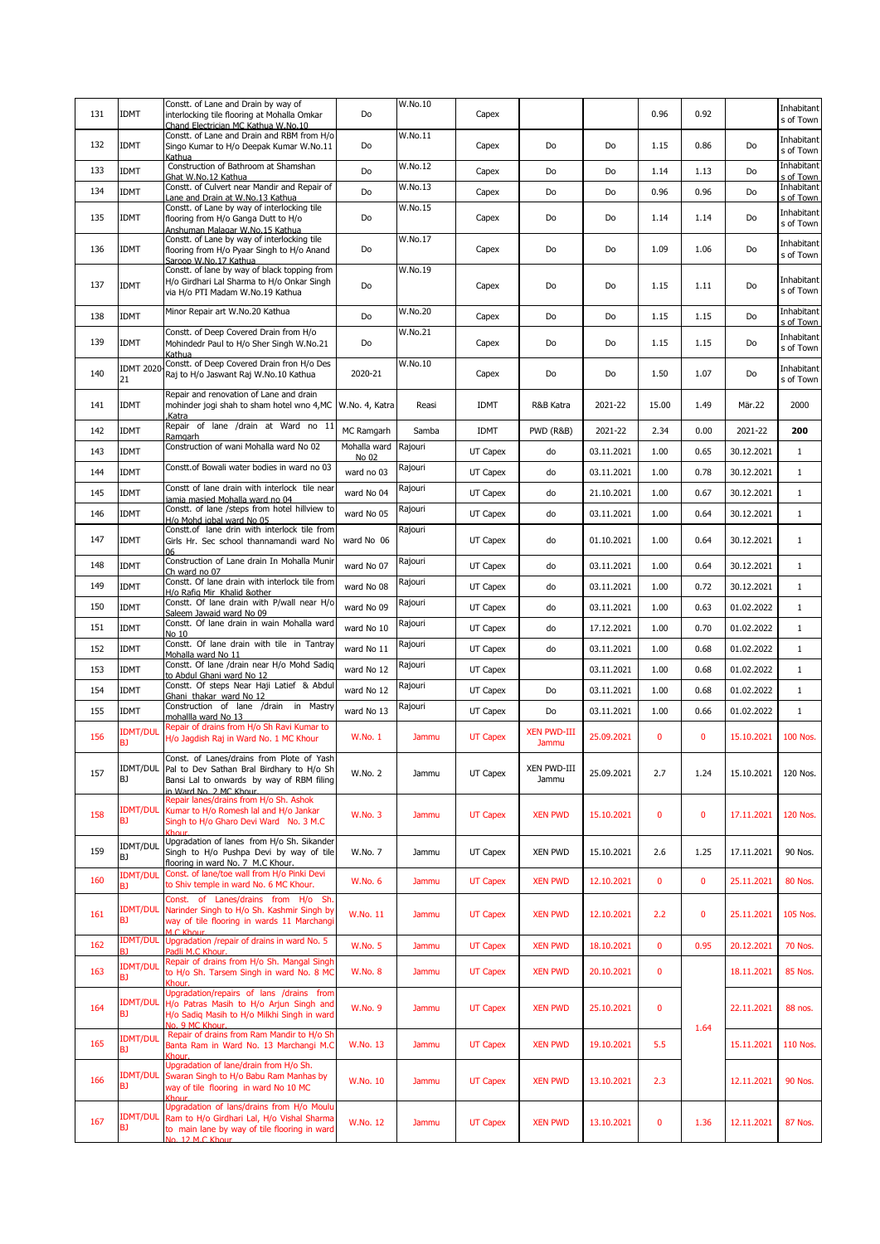| 131 | <b>IDMT</b>            | Constt. of Lane and Drain by way of<br>interlocking tile flooring at Mohalla Omkar<br>Chand Electrician MC Kathua W.No.10                                            | Do                    | W.No.10 | Capex           |                             |            | 0.96         | 0.92 |            | Inhabitant<br>s of Town |
|-----|------------------------|----------------------------------------------------------------------------------------------------------------------------------------------------------------------|-----------------------|---------|-----------------|-----------------------------|------------|--------------|------|------------|-------------------------|
| 132 | <b>IDMT</b>            | Constt. of Lane and Drain and RBM from H/o<br>Singo Kumar to H/o Deepak Kumar W.No.11<br>Kathua                                                                      | Do                    | W.No.11 | Capex           | Do                          | Do         | 1.15         | 0.86 | Do         | Inhabitant<br>s of Town |
| 133 | <b>IDMT</b>            | Construction of Bathroom at Shamshan<br>Ghat W.No.12 Kathua                                                                                                          | Do                    | W.No.12 | Capex           | Do                          | Do         | 1.14         | 1.13 | Do         | Inhabitant<br>s of Town |
| 134 | <b>IDMT</b>            | Constt. of Culvert near Mandir and Repair of<br>Lane and Drain at W.No.13 Kathua                                                                                     | Do                    | W.No.13 | Capex           | Do                          | Do         | 0.96         | 0.96 | Do         | Inhabitant<br>s of Town |
| 135 | <b>IDMT</b>            | Constt. of Lane by way of interlocking tile<br>flooring from H/o Ganga Dutt to H/o<br>Anshuman Malagar W.No.15 Kathua                                                | Do                    | W.No.15 | Capex           | Do                          | Do         | 1.14         | 1.14 | Do         | Inhabitant<br>s of Town |
| 136 | <b>IDMT</b>            | Constt. of Lane by way of interlocking tile<br>flooring from H/o Pyaar Singh to H/o Anand<br>Saroop W.No.17 Kathua                                                   | Do                    | W.No.17 | Capex           | Do                          | Do         | 1.09         | 1.06 | Do         | Inhabitant<br>s of Town |
| 137 | <b>IDMT</b>            | Constt. of lane by way of black topping from<br>H/o Girdhari Lal Sharma to H/o Onkar Singh<br>via H/o PTI Madam W.No.19 Kathua                                       | Do                    | W.No.19 | Capex           | Do                          | Do         | 1.15         | 1.11 | Do         | Inhabitant<br>s of Town |
| 138 | <b>IDMT</b>            | Minor Repair art W.No.20 Kathua                                                                                                                                      | Do                    | W.No.20 | Capex           | Do                          | Do         | 1.15         | 1.15 | Do         | Inhabitant<br>s of Town |
| 139 | <b>IDMT</b>            | Constt. of Deep Covered Drain from H/o<br>Mohindedr Paul to H/o Sher Singh W.No.21<br>Kathua                                                                         | Do                    | W.No.21 | Capex           | Do                          | Do         | 1.15         | 1.15 | Do         | Inhabitant<br>s of Town |
| 140 | <b>IDMT 2020</b><br>21 | Constt. of Deep Covered Drain fron H/o Des<br>Raj to H/o Jaswant Raj W.No.10 Kathua                                                                                  | 2020-21               | W.No.10 | Capex           | Do                          | Do         | 1.50         | 1.07 | Do         | Inhabitant<br>s of Town |
| 141 | <b>IDMT</b>            | Repair and renovation of Lane and drain<br>mohinder jogi shah to sham hotel wno 4,MC W.No. 4, Katra<br>.Katra                                                        |                       | Reasi   | IDMT            | R&B Katra                   | 2021-22    | 15.00        | 1.49 | Mär.22     | 2000                    |
| 142 | <b>IDMT</b>            | Repair of lane /drain at Ward no 11<br>Ramgarh                                                                                                                       | MC Ramgarh            | Samba   | <b>IDMT</b>     | PWD (R&B)                   | 2021-22    | 2.34         | 0.00 | 2021-22    | 200                     |
| 143 | <b>IDMT</b>            | Construction of wani Mohalla ward No 02                                                                                                                              | Mohalla ward<br>No 02 | Rajouri | UT Capex        | do                          | 03.11.2021 | 1.00         | 0.65 | 30.12.2021 | $\mathbf{1}$            |
| 144 | <b>IDMT</b>            | Constt. of Bowali water bodies in ward no 03                                                                                                                         | ward no 03            | Rajouri | UT Capex        | do                          | 03.11.2021 | 1.00         | 0.78 | 30.12.2021 | $\mathbf{1}$            |
| 145 | <b>IDMT</b>            | Constt of lane drain with interlock tile near                                                                                                                        | ward No 04            | Rajouri | UT Capex        | do                          | 21.10.2021 | 1.00         | 0.67 | 30.12.2021 | $\mathbf{1}$            |
| 146 | <b>IDMT</b>            | iamia masied Mohalla ward no 04<br>Constt. of lane /steps from hotel hillview to                                                                                     | ward No 05            | Rajouri | UT Capex        | do                          | 03.11.2021 | 1.00         | 0.64 | 30.12.2021 | $\mathbf{1}$            |
| 147 | <b>IDMT</b>            | H/o Mohd igbal ward No 05<br>Constt.of lane drin with interlock tile from<br>Girls Hr. Sec school thannamandi ward No                                                | ward No 06            | Rajouri | UT Capex        | do                          | 01.10.2021 | 1.00         | 0.64 | 30.12.2021 | $\mathbf{1}$            |
| 148 | <b>IDMT</b>            | 06<br>Construction of Lane drain In Mohalla Munir                                                                                                                    | ward No 07            | Rajouri | UT Capex        | do                          | 03.11.2021 | 1.00         | 0.64 | 30.12.2021 | $\mathbf{1}$            |
| 149 | <b>IDMT</b>            | Ch ward no 07<br>Constt. Of lane drain with interlock tile from                                                                                                      | ward No 08            | Rajouri | UT Capex        | do                          | 03.11.2021 | 1.00         | 0.72 | 30.12.2021 | $\mathbf{1}$            |
| 150 | <b>IDMT</b>            | H/o Rafig Mir Khalid &other<br>Constt. Of lane drain with P/wall near H/o                                                                                            | ward No 09            | Rajouri | UT Capex        | do                          | 03.11.2021 | 1.00         | 0.63 | 01.02.2022 | $\mathbf{1}$            |
| 151 | <b>IDMT</b>            | Saleem Jawaid ward No 09<br>Constt. Of lane drain in wain Mohalla ward                                                                                               | ward No 10            | Rajouri | UT Capex        | do                          | 17.12.2021 | 1.00         | 0.70 | 01.02.2022 | $\mathbf{1}$            |
| 152 | <b>IDMT</b>            | No 10<br>Constt. Of lane drain with tile in Tantray                                                                                                                  | ward No 11            | Rajouri | UT Capex        | do                          | 03.11.2021 | 1.00         | 0.68 | 01.02.2022 | $\mathbf{1}$            |
| 153 | <b>IDMT</b>            | Mohalla ward No 11<br>Constt. Of lane /drain near H/o Mohd Sadiq                                                                                                     | ward No 12            | Rajouri | UT Capex        |                             | 03.11.2021 | 1.00         | 0.68 | 01.02.2022 | $\mathbf{1}$            |
|     |                        | to Abdul Ghani ward No 12<br>Constt. Of steps Near Haji Latief & Abdul                                                                                               |                       | Rajouri |                 |                             |            |              |      |            |                         |
| 154 | <b>IDMT</b>            | Ghani thakar ward No 12<br>Construction of lane /drain in Mastry                                                                                                     | ward No 12            | Rajouri | UT Capex        | Do                          | 03.11.2021 | 1.00         | 0.68 | 01.02.2022 | $\mathbf{1}$            |
| 155 | <b>IDMT</b>            | mohallla ward No 13<br>Repair of drains from H/o Sh Ravi Kumar to                                                                                                    | ward No 13            |         | UT Capex        | Do                          | 03.11.2021 | 1.00         | 0.66 | 01.02.2022 | $1\,$                   |
| 156 | <b>IDMT/DUL</b><br>ВJ  | H/o Jagdish Raj in Ward No. 1 MC Khour<br>Const. of Lanes/drains from Plote of Yash                                                                                  | W.No. 1               | Jammu   | <b>UT Capex</b> | <b>XEN PWD-III</b><br>Jammu | 25.09.2021 | $\mathbf{0}$ | 0    | 15.10.2021 | <b>100 Nos.</b>         |
| 157 | BJ                     | IDMT/DUL Pal to Dev Sathan Bral Birdhary to H/o Sh<br>Bansi Lal to onwards by way of RBM filing<br>in Ward No. 2 MC Khour.<br>Repair lanes/drains from H/o Sh. Ashok | W.No. 2               | Jammu   | UT Capex        | XEN PWD-III<br>Jammu        | 25.09.2021 | 2.7          | 1.24 | 15.10.2021 | 120 Nos.                |
| 158 | <b>IDMT/DUL</b><br>BJ  | Kumar to H/o Romesh lal and H/o Jankar<br>Singh to H/o Gharo Devi Ward No. 3 M.C                                                                                     | <b>W.No. 3</b>        | Jammu   | <b>UT Capex</b> | <b>XEN PWD</b>              | 15.10.2021 | $\bf{0}$     | 0    | 17.11.2021 | 120 Nos.                |
| 159 | IDMT/DUL<br>ВJ         | Upgradation of lanes from H/o Sh. Sikander<br>Singh to H/o Pushpa Devi by way of tile<br>flooring in ward No. 7 M.C Khour.                                           | W.No. 7               | Jammu   | UT Capex        | XEN PWD                     | 15.10.2021 | 2.6          | 1.25 | 17.11.2021 | 90 Nos.                 |
| 160 | <b>IDMT/DUL</b><br>BJ  | Const. of lane/toe wall from H/o Pinki Devi<br>to Shiv temple in ward No. 6 MC Khour.                                                                                | W.No. 6               | Jammu   | <b>UT Capex</b> | <b>XEN PWD</b>              | 12.10.2021 | $\mathbf 0$  | 0    | 25.11.2021 | 80 Nos.                 |
| 161 | <b>IDMT/DUL</b><br>ВJ  | Const. of Lanes/drains from H/o Sh<br>Narinder Singh to H/o Sh. Kashmir Singh by<br>way of tile flooring in wards 11 Marchangi<br>M.C. Khour.                        | W.No. 11              | Jammu   | <b>UT Capex</b> | <b>XEN PWD</b>              | 12.10.2021 | 2.2          | 0    | 25.11.2021 | 105 Nos.                |
| 162 | <b>IDMT/DUL</b>        | Upgradation /repair of drains in ward No. 5<br>Padli M.C Khour.                                                                                                      | <b>W.No. 5</b>        | Jammu   | <b>UT Capex</b> | <b>XEN PWD</b>              | 18.10.2021 | $\mathbf 0$  | 0.95 | 20.12.2021 | <b>70 Nos.</b>          |
| 163 | <b>IDMT/DUL</b><br>ВJ  | Repair of drains from H/o Sh. Mangal Singh<br>to H/o Sh. Tarsem Singh in ward No. 8 MC<br>Khour.                                                                     | <b>W.No. 8</b>        | Jammu   | <b>UT Capex</b> | <b>XEN PWD</b>              | 20.10.2021 | $\mathbf 0$  |      | 18.11.2021 | 85 Nos.                 |
| 164 | <b>IDMT/DUL</b><br>BJ  | Upgradation/repairs of lans /drains from<br>H/o Patras Masih to H/o Arjun Singh and<br>H/o Sadiq Masih to H/o Milkhi Singh in ward<br>No. 9 MC Khour.                | W.No. 9               | Jammu   | <b>UT Capex</b> | <b>XEN PWD</b>              | 25.10.2021 | $\mathbf 0$  |      | 22.11.2021 | 88 nos.                 |
| 165 | <b>IDMT/DUL</b><br>ВJ  | Repair of drains from Ram Mandir to H/o Sh<br>Banta Ram in Ward No. 13 Marchangi M.C<br>Khour.                                                                       | W.No. 13              | Jammu   | <b>UT Capex</b> | <b>XEN PWD</b>              | 19.10.2021 | 5.5          | 1.64 | 15.11.2021 | 110 Nos.                |
| 166 | <b>IDMT/DUL</b><br>BJ  | Upgradation of lane/drain from H/o Sh.<br>Swaran Singh to H/o Babu Ram Manhas by<br>way of tile flooring in ward No 10 MC<br>Khour.                                  | W.No. 10              | Jammu   | <b>UT Capex</b> | <b>XEN PWD</b>              | 13.10.2021 | 2.3          |      | 12.11.2021 | <b>90 Nos.</b>          |
| 167 | <b>IDMT/DUL</b>        | Upgradation of lans/drains from H/o Moulu<br>Ram to H/o Girdhari Lal, H/o Vishal Sharma                                                                              |                       |         |                 |                             |            |              | 1.36 |            |                         |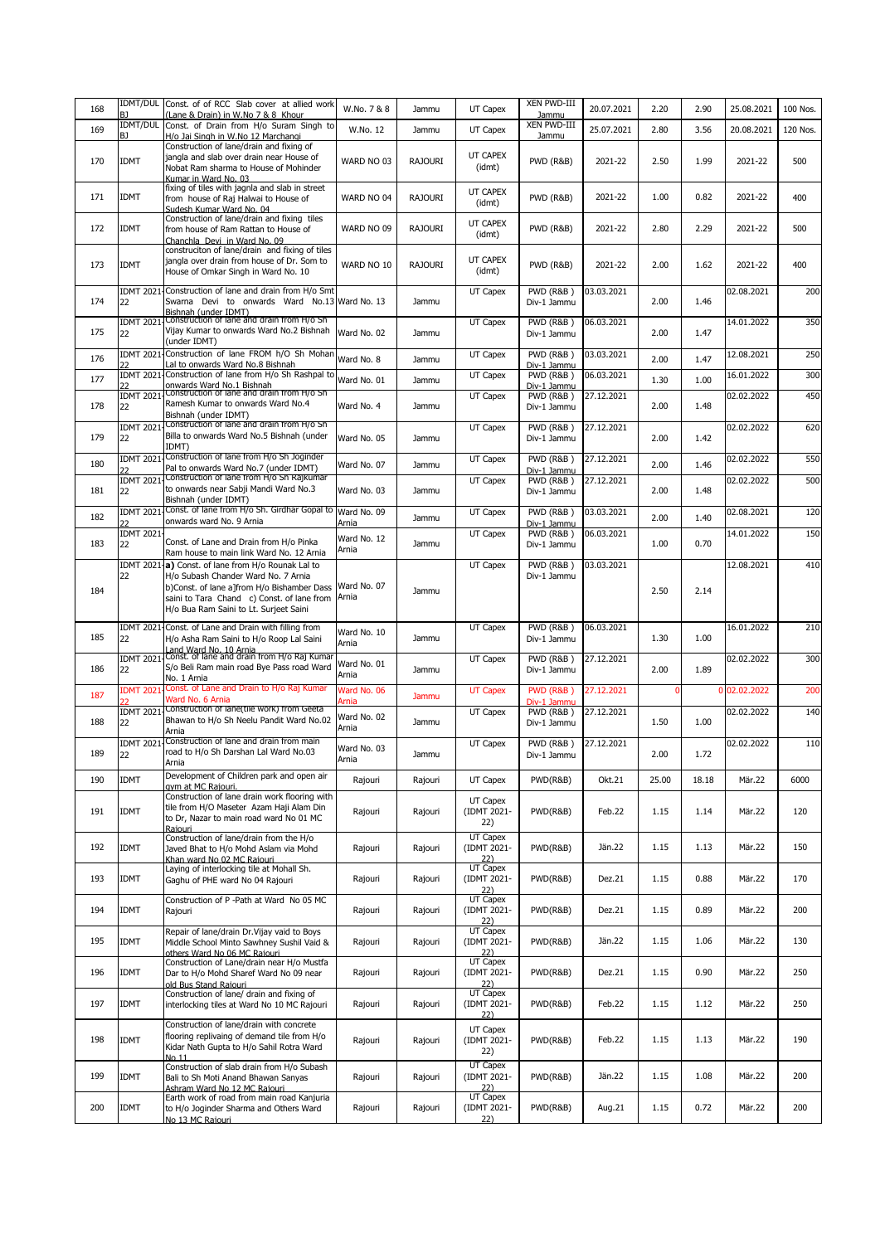| 168 | B <sub>1</sub>          | IDMT/DUL Const. of of RCC Slab cover at allied work<br>(Lane & Drain) in W.No 7 & 8 Khour                                                                                                                                                                                   | W.No. 7 & 8                   | Jammu          | UT Capex                                            | XEN PWD-III<br>Jammu                               | 20.07.2021 | 2.20  | 2.90  | 25.08.2021   | 100 Nos. |
|-----|-------------------------|-----------------------------------------------------------------------------------------------------------------------------------------------------------------------------------------------------------------------------------------------------------------------------|-------------------------------|----------------|-----------------------------------------------------|----------------------------------------------------|------------|-------|-------|--------------|----------|
| 169 | BJ                      | IDMT/DUL Const. of Drain from H/o Suram Singh to<br>H/o Jai Singh in W.No 12 Marchangi                                                                                                                                                                                      | W.No. 12                      | Jammu          | UT Capex                                            | XEN PWD-III<br>Jammu                               | 25.07.2021 | 2.80  | 3.56  | 20.08.2021   | 120 Nos. |
| 170 | <b>IDMT</b>             | Construction of lane/drain and fixing of<br>jangla and slab over drain near House of<br>Nobat Ram sharma to House of Mohinder                                                                                                                                               | WARD NO 03                    | <b>RAJOURI</b> | UT CAPEX<br>(idmt)                                  | PWD (R&B)                                          | 2021-22    | 2.50  | 1.99  | 2021-22      | 500      |
| 171 | <b>IDMT</b>             | Kumar in Ward No. 03<br>fixing of tiles with jagnla and slab in street<br>from house of Raj Halwai to House of<br>Sudesh Kumar Ward No. 04                                                                                                                                  | WARD NO 04                    | <b>RAJOURI</b> | UT CAPEX<br>(idmt)                                  | <b>PWD (R&amp;B)</b>                               | 2021-22    | 1.00  | 0.82  | 2021-22      | 400      |
| 172 | <b>IDMT</b>             | Construction of lane/drain and fixing tiles<br>from house of Ram Rattan to House of<br>Chanchla Devi in Ward No. 09                                                                                                                                                         | WARD NO 09                    | RAJOURI        | UT CAPEX<br>(idmt)                                  | PWD (R&B)                                          | 2021-22    | 2.80  | 2.29  | 2021-22      | 500      |
| 173 | <b>IDMT</b>             | construciton of lane/drain and fixing of tiles<br>jangla over drain from house of Dr. Som to<br>House of Omkar Singh in Ward No. 10                                                                                                                                         | WARD NO 10                    | <b>RAJOURI</b> | UT CAPEX<br>(idmt)                                  | <b>PWD (R&amp;B)</b>                               | 2021-22    | 2.00  | 1.62  | 2021-22      | 400      |
| 174 | 22                      | IDMT 2021 Construction of lane and drain from H/o Smt<br>Swarna Devi to onwards Ward No.13 Ward No. 13                                                                                                                                                                      |                               | Jammu          | UT Capex                                            | <b>PWD (R&amp;B)</b><br>Div-1 Jammu                | 03.03.2021 | 2.00  | 1.46  | 02.08.2021   | 200      |
| 175 | <b>IDMT 2021</b><br>22  | Bishnah (under IDMT)<br>Construction of lane and drain from H/o Sh<br>Vijay Kumar to onwards Ward No.2 Bishnah<br>(under IDMT)                                                                                                                                              | Ward No. 02                   | Jammu          | UT Capex                                            | <b>PWD (R&amp;B)</b><br>Div-1 Jammu                | 06.03.2021 | 2.00  | 1.47  | 14.01.2022   | 350      |
| 176 | <b>IDMT 2021</b>        | Construction of lane FROM h/O Sh Mohan                                                                                                                                                                                                                                      | Ward No. 8                    | Jammu          | UT Capex                                            | PWD (R&B)                                          | 03.03.2021 | 2.00  | 1.47  | 12.08.2021   | 250      |
| 177 |                         | Lal to onwards Ward No.8 Bishnah<br>IDMT 2021 Construction of lane from H/o Sh Rashpal to                                                                                                                                                                                   | Ward No. 01                   | Jammu          | UT Capex                                            | Div-1 Jammu<br><b>PWD (R&amp;B)</b>                | 06.03.2021 | 1.30  | 1.00  | 16.01.2022   | 300      |
|     |                         | onwards Ward No.1 Bishnah<br>IDMT 2021 Construction of lane and drain from H/o Sh                                                                                                                                                                                           |                               |                | UT Capex                                            | Div-1 Jammu<br><b>PWD (R&amp;B)</b>                | 27.12.2021 |       |       | 02.02.2022   | 450      |
| 178 | 22                      | Ramesh Kumar to onwards Ward No.4<br>Bishnah (under IDMT)<br>IDMT 2021 Construction of lane and drain from H/o Sh                                                                                                                                                           | Ward No. 4                    | Jammu          | UT Capex                                            | Div-1 Jammu<br><b>PWD (R&amp;B)</b>                | 27.12.2021 | 2.00  | 1.48  | 02.02.2022   | 620      |
| 179 | 22                      | Billa to onwards Ward No.5 Bishnah (under<br>IDMT)<br>Construction of lane from H/o Sh Joginder                                                                                                                                                                             | Ward No. 05                   | Jammu          |                                                     | Div-1 Jammu                                        |            | 2.00  | 1.42  |              |          |
| 180 | <b>IDMT 2021-</b><br>つつ | Pal to onwards Ward No.7 (under IDMT)                                                                                                                                                                                                                                       | Ward No. 07                   | Jammu          | UT Capex                                            | <b>PWD (R&amp;B)</b><br>Div-1 Jammu                | 27.12.2021 | 2.00  | 1.46  | 02.02.2022   | 550      |
| 181 | 22                      | IDMT 2021 Construction of lane from H/o Sh Rajkumar<br>to onwards near Sabji Mandi Ward No.3<br>Bishnah (under IDMT)                                                                                                                                                        | Ward No. 03                   | Jammu          | UT Capex                                            | PWD (R&B)<br>Div-1 Jammu                           | 27.12.2021 | 2.00  | 1.48  | 02.02.2022   | 500      |
| 182 | つつ                      | IDMT 2021 Const. of lane from H/o Sh. Girdhar Gopal to<br>onwards ward No. 9 Arnia                                                                                                                                                                                          | Ward No. 09<br>Arnia          | Jammu          | UT Capex                                            | <b>PWD (R&amp;B)</b>                               | 03.03.2021 | 2.00  | 1.40  | 02.08.2021   | 120      |
| 183 | <b>IDMT 2021</b><br>22  | Const. of Lane and Drain from H/o Pinka                                                                                                                                                                                                                                     | Ward No. 12<br>Arnia          | Jammu          | UT Capex                                            | Div-1 Jammu<br><b>PWD (R&amp;B)</b><br>Div-1 Jammu | 06.03.2021 | 1.00  | 0.70  | 14.01.2022   | 150      |
| 184 | 22                      | Ram house to main link Ward No. 12 Arnia<br>IDMT 2021 a) Const. of lane from H/o Rounak Lal to<br>H/o Subash Chander Ward No. 7 Arnia<br>b)Const. of lane a]from H/o Bishamber Dass<br>saini to Tara Chand c) Const. of lane from<br>H/o Bua Ram Saini to Lt. Surjeet Saini | Ward No. 07<br>Arnia          | Jammu          | UT Capex                                            | <b>PWD (R&amp;B)</b><br>Div-1 Jammu                | 03.03.2021 | 2.50  | 2.14  | 12.08.2021   | 410      |
| 185 | 22                      | IDMT 2021 Const. of Lane and Drain with filling from<br>H/o Asha Ram Saini to H/o Roop Lal Saini                                                                                                                                                                            | Ward No. 10<br>Arnia          | Jammu          | UT Capex                                            | <b>PWD (R&amp;B)</b><br>Div-1 Jammu                | 06.03.2021 | 1.30  | 1.00  | 16.01.2022   | 210      |
| 186 | <b>IDMT 2021</b><br>22  | Land Ward No. 10 Arnia<br>Const. of lane and drain from H/o Raj Kumar<br>S/o Beli Ram main road Bye Pass road Ward<br>No. 1 Arnia                                                                                                                                           | Ward No. 01<br>Arnia          | Jammu          | UT Capex                                            | <b>PWD (R&amp;B)</b><br>Div-1 Jammu                | 27.12.2021 | 2.00  | 1.89  | 02.02.2022   | 300      |
| 187 | <b>IDMT 2021</b>        | Const. of Lane and Drain to H/o Raj Kumar<br>Ward No. 6 Arnia                                                                                                                                                                                                               | Ward No. 06                   | Jammu          | <b>UT Capex</b>                                     | PWD (R&B)                                          | 27.12.2021 |       |       | 0 02.02.2022 | 200      |
| 188 | <b>IDMT 2021</b><br>22  | Construction of lane(tile work) from Geeta<br>Bhawan to H/o Sh Neelu Pandit Ward No.02                                                                                                                                                                                      | Arnia<br>Ward No. 02<br>Arnia | Jammu          | UT Capex                                            | Div-1 Jammu<br><b>PWD (R&amp;B)</b><br>Div-1 Jammu | 27.12.2021 | 1.50  | 1.00  | 02.02.2022   | 140      |
| 189 | <b>IDMT 2021</b><br>22  | Arnia<br>Construction of lane and drain from main<br>road to H/o Sh Darshan Lal Ward No.03<br>Arnia                                                                                                                                                                         | Ward No. 03<br>Arnia          | Jammu          | UT Capex                                            | PWD (R&B)<br>Div-1 Jammu                           | 27.12.2021 | 2.00  | 1.72  | 02.02.2022   | 110      |
| 190 | <b>IDMT</b>             | Development of Children park and open air<br>avm at MC Rajouri.                                                                                                                                                                                                             | Rajouri                       | Rajouri        | UT Capex                                            | PWD(R&B)                                           | Okt.21     | 25.00 | 18.18 | Mär.22       | 6000     |
| 191 | <b>IDMT</b>             | Construction of lane drain work flooring with<br>tile from H/O Maseter Azam Haji Alam Din<br>to Dr, Nazar to main road ward No 01 MC<br>Rajouri                                                                                                                             | Rajouri                       | Rajouri        | UT Capex<br>(IDMT 2021-<br>22)                      | PWD(R&B)                                           | Feb.22     | 1.15  | 1.14  | Mär.22       | 120      |
| 192 | <b>IDMT</b>             | Construction of lane/drain from the H/o<br>Javed Bhat to H/o Mohd Aslam via Mohd<br>Khan ward No 02 MC Rajouri                                                                                                                                                              | Rajouri                       | Rajouri        | <b>UT Capex</b><br>(IDMT 2021-                      | PWD(R&B)                                           | Jän.22     | 1.15  | 1.13  | Mär.22       | 150      |
| 193 | <b>IDMT</b>             | Laying of interlocking tile at Mohall Sh.<br>Gaghu of PHE ward No 04 Rajouri                                                                                                                                                                                                | Rajouri                       | Rajouri        | $\frac{22}{\text{UT Capex}}$<br>(IDMT 2021-<br>22)  | PWD(R&B)                                           | Dez.21     | 1.15  | 0.88  | Mär.22       | 170      |
| 194 | <b>IDMT</b>             | Construction of P -Path at Ward No 05 MC<br>Raiouri                                                                                                                                                                                                                         | Rajouri                       | Rajouri        | <b>UT Capex</b><br>(IDMT 2021-<br>22)               | PWD(R&B)                                           | Dez.21     | 1.15  | 0.89  | Mär.22       | 200      |
| 195 | <b>IDMT</b>             | Repair of lane/drain Dr. Vijay vaid to Boys<br>Middle School Minto Sawhney Sushil Vaid &<br>others Ward No 06 MC Raiouri                                                                                                                                                    | Rajouri                       | Rajouri        | <b>UT Capex</b><br>(IDMT 2021-<br>22)               | PWD(R&B)                                           | Jän. 22    | 1.15  | 1.06  | Mär.22       | 130      |
| 196 | <b>IDMT</b>             | Construction of Lane/drain near H/o Mustfa<br>Dar to H/o Mohd Sharef Ward No 09 near<br>old Bus Stand Rajouri                                                                                                                                                               | Rajouri                       | Rajouri        | UT Capex<br>(IDMT 2021-                             | PWD(R&B)                                           | Dez.21     | 1.15  | 0.90  | Mär.22       | 250      |
| 197 | <b>IDMT</b>             | Construction of lane/ drain and fixing of<br>interlocking tiles at Ward No 10 MC Rajouri                                                                                                                                                                                    | Rajouri                       | Rajouri        | $\frac{22}{UT \text{ Capex}}$<br>(IDMT 2021-<br>22) | PWD(R&B)                                           | Feb.22     | 1.15  | 1.12  | Mär.22       | 250      |
| 198 | <b>IDMT</b>             | Construction of lane/drain with concrete<br>flooring replivaing of demand tile from H/o<br>Kidar Nath Gupta to H/o Sahil Rotra Ward<br>No.11                                                                                                                                | Rajouri                       | Rajouri        | UT Capex<br>(IDMT 2021-<br>22)                      | PWD(R&B)                                           | Feb.22     | 1.15  | 1.13  | Mär.22       | 190      |
| 199 | <b>IDMT</b>             | Construction of slab drain from H/o Subash<br>Bali to Sh Moti Anand Bhawan Sanyas<br>Ashram Ward No 12 MC Rajouri                                                                                                                                                           | Rajouri                       | Rajouri        | UT Capex<br>(IDMT 2021-                             | PWD(R&B)                                           | Jän.22     | 1.15  | 1.08  | Mär.22       | 200      |
| 200 | <b>IDMT</b>             | Earth work of road from main road Kanjuria<br>to H/o Joginder Sharma and Others Ward                                                                                                                                                                                        | Rajouri                       | Rajouri        | 22)<br>UT Capex<br>(IDMT 2021-                      | PWD(R&B)                                           | Aug.21     | 1.15  | 0.72  | Mär.22       | 200      |
|     |                         | No 13 MC Rajouri                                                                                                                                                                                                                                                            |                               |                | 22)                                                 |                                                    |            |       |       |              |          |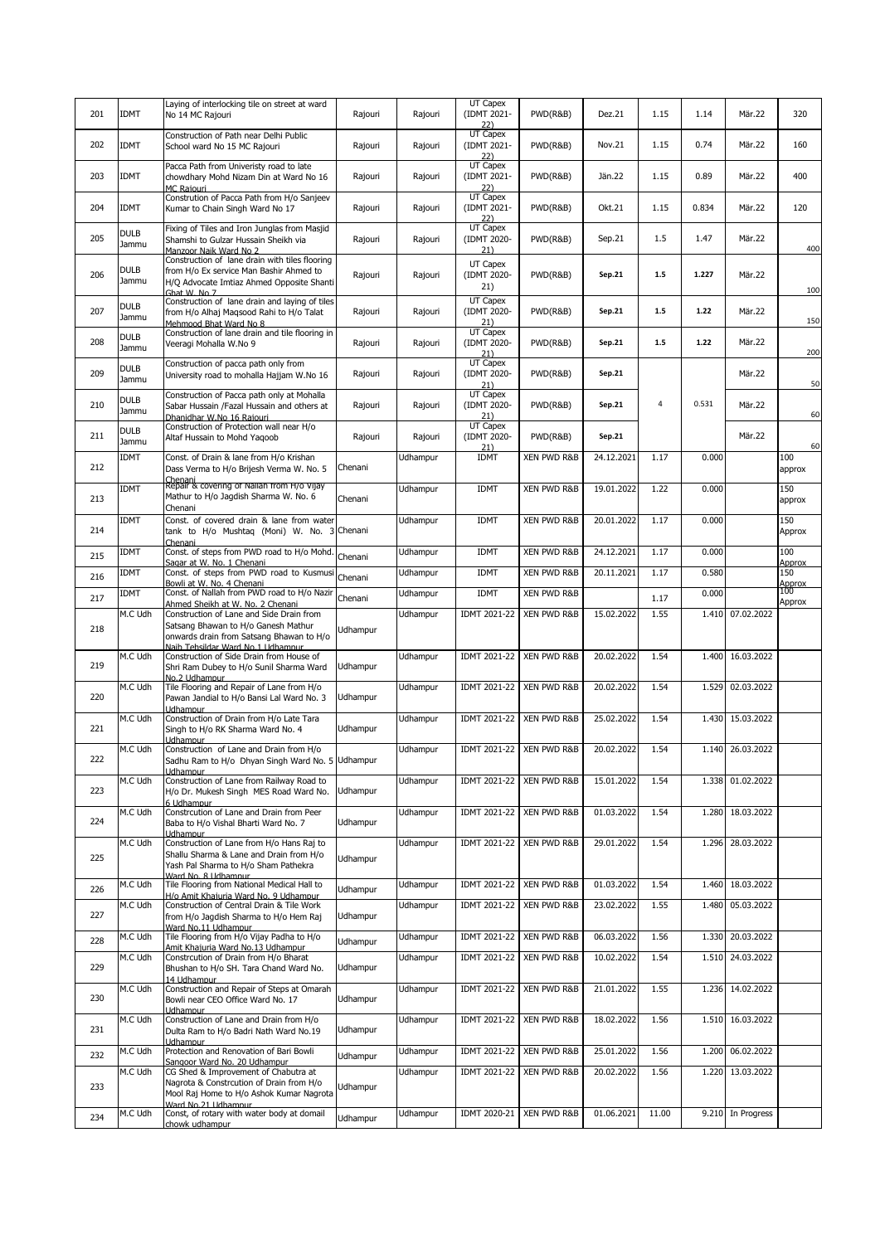| 201 | <b>IDMT</b>          | Laying of interlocking tile on street at ward<br>No 14 MC Rajouri                                                                                                 | Rajouri         | Rajouri  | UT Capex<br>(IDMT 2021-                     | PWD(R&B)               | Dez.21     | 1.15  | 1.14  | Mär.22            | 320           |
|-----|----------------------|-------------------------------------------------------------------------------------------------------------------------------------------------------------------|-----------------|----------|---------------------------------------------|------------------------|------------|-------|-------|-------------------|---------------|
| 202 | <b>IDMT</b>          | Construction of Path near Delhi Public<br>School ward No 15 MC Rajouri                                                                                            | Rajouri         | Rajouri  | $\frac{22}{\text{UT Capex}}$<br>(IDMT 2021- | PWD(R&B)               | Nov.21     | 1.15  | 0.74  | Mär.22            | 160           |
| 203 | <b>IDMT</b>          | Pacca Path from Univeristy road to late<br>chowdhary Mohd Nizam Din at Ward No 16<br>MC Raiouri                                                                   | Rajouri         | Rajouri  | 22)<br>UT Capex<br>(IDMT 2021-              | PWD(R&B)               | Jän. 22    | 1.15  | 0.89  | Mär.22            | 400           |
| 204 | <b>IDMT</b>          | Constrution of Pacca Path from H/o Sanjeev<br>Kumar to Chain Singh Ward No 17                                                                                     | Rajouri         | Rajouri  | $\frac{22}{100}$<br>(IDMT 2021-<br>22)      | PWD(R&B)               | Okt.21     | 1.15  | 0.834 | Mär.22            | 120           |
| 205 | <b>DULB</b><br>Jammu | Fixing of Tiles and Iron Junglas from Masjid<br>Shamshi to Gulzar Hussain Sheikh via<br>Manzoor Naik Ward No 2                                                    | Rajouri         | Rajouri  | <b>UT Capex</b><br>(IDMT 2020-<br>21)       | PWD(R&B)               | Sep.21     | 1.5   | 1.47  | Mär.22            | 400           |
| 206 | <b>DULB</b><br>Jammu | Construction of lane drain with tiles flooring<br>from H/o Ex service Man Bashir Ahmed to<br>H/Q Advocate Imtiaz Ahmed Opposite Shanti<br>Ghat W. No 7            | Rajouri         | Rajouri  | UT Capex<br>(IDMT 2020-<br>21)              | PWD(R&B)               | Sep.21     | 1.5   | 1.227 | Mär.22            | 100           |
| 207 | <b>DULB</b><br>Jammu | Construction of lane drain and laying of tiles<br>from H/o Alhaj Maqsood Rahi to H/o Talat<br>Mehmood Bhat Ward No 8                                              | Rajouri         | Rajouri  | <b>UT Capex</b><br>(IDMT 2020-<br>21)       | PWD(R&B)               | Sep.21     | 1.5   | 1.22  | Mär.22            | 150           |
| 208 | <b>DULB</b><br>Jammu | Construction of lane drain and tile flooring in<br>Veeragi Mohalla W.No 9                                                                                         | Rajouri         | Rajouri  | UT Capex<br>(IDMT 2020-<br>21)              | PWD(R&B)               | Sep.21     | $1.5$ | 1.22  | Mär.22            | 200           |
| 209 | <b>DULB</b><br>Jammu | Construction of pacca path only from<br>University road to mohalla Hajjam W.No 16                                                                                 | Rajouri         | Rajouri  | <b>UT Capex</b><br>(IDMT 2020-<br>21)       | PWD(R&B)               | Sep.21     |       |       | Mär.22            | 50            |
| 210 | <b>DULB</b><br>Jammu | Construction of Pacca path only at Mohalla<br>Sabar Hussain /Fazal Hussain and others at<br>Dhanidhar W.No 16 Rajouri                                             | Rajouri         | Rajouri  | UT Capex<br>(IDMT 2020-<br>21)              | PWD(R&B)               | Sep.21     | 4     | 0.531 | Mär.22            | 60            |
| 211 | <b>DULB</b><br>Jammu | Construction of Protection wall near H/o<br>Altaf Hussain to Mohd Yaqoob                                                                                          | Rajouri         | Rajouri  | UT Capex<br>(IDMT 2020-<br>21)              | PWD(R&B)               | Sep.21     |       |       | Mär.22            | 60            |
| 212 | <b>IDMT</b>          | Const. of Drain & lane from H/o Krishan<br>Dass Verma to H/o Brijesh Verma W. No. 5<br>Chenani                                                                    | Chenani         | Udhampur | <b>IDMT</b>                                 | XEN PWD R&B            | 24.12.2021 | 1.17  | 0.000 |                   | 100<br>approx |
| 213 | <b>IDMT</b>          | Repair & covering of Nallah from H/o Vijay<br>Mathur to H/o Jagdish Sharma W. No. 6<br>Chenani                                                                    | Chenani         | Udhampur | <b>IDMT</b>                                 | <b>XEN PWD R&amp;B</b> | 19.01.2022 | 1.22  | 0.000 |                   | 150<br>approx |
| 214 | <b>IDMT</b>          | Const. of covered drain & lane from water<br>tank to H/o Mushtaq (Moni) W. No. 3<br>Chenani                                                                       | Chenani         | Udhampur | <b>IDMT</b>                                 | XEN PWD R&B            | 20.01.2022 | 1.17  | 0.000 |                   | 150<br>Approx |
| 215 | <b>IDMT</b>          | Const. of steps from PWD road to H/o Mohd.<br>Sagar at W. No. 1 Chenani                                                                                           | Chenani         | Udhampur | <b>IDMT</b>                                 | <b>XEN PWD R&amp;B</b> | 24.12.2021 | 1.17  | 0.000 |                   | 100<br>Approx |
| 216 | <b>IDMT</b>          | Const. of steps from PWD road to Kusmusi<br>Bowli at W. No. 4 Chenani                                                                                             | Chenani         | Udhampur | <b>IDMT</b>                                 | <b>XEN PWD R&amp;B</b> | 20.11.2021 | 1.17  | 0.580 |                   | 150<br>Approx |
| 217 | <b>IDMT</b>          | Const. of Nallah from PWD road to H/o Nazir<br>Ahmed Sheikh at W. No. 2 Chenani                                                                                   | Chenani         | Udhampur | <b>IDMT</b>                                 | XEN PWD R&B            |            | 1.17  | 0.000 |                   | 100<br>Approx |
| 218 | M.C Udh              | Construction of Lane and Side Drain from<br>Satsang Bhawan to H/o Ganesh Mathur<br>onwards drain from Satsang Bhawan to H/o<br>Naib Tehsildar Ward No. 1 Udhampur | Jdhampur        | Udhampur | IDMT 2021-22                                | <b>XEN PWD R&amp;B</b> | 15.02.2022 | 1.55  | 1.410 | 07.02.2022        |               |
| 219 | M.C Udh              | Construction of Side Drain from House of<br>Shri Ram Dubey to H/o Sunil Sharma Ward<br>No. 2 Udhamnur                                                             | <b>Jdhampur</b> | Udhampur | IDMT 2021-22                                | <b>XEN PWD R&amp;B</b> | 20.02.2022 | 1.54  | 1.400 | 16.03.2022        |               |
| 220 | M.C Udh              | Tile Flooring and Repair of Lane from H/o<br>Pawan Jandial to H/o Bansi Lal Ward No. 3<br>Udhampur                                                                | Jdhampur        | Udhampur | IDMT 2021-22                                | <b>XEN PWD R&amp;B</b> | 20.02.2022 | 1.54  | 1.529 | 02.03.2022        |               |
| 221 | M.C Udh              | Construction of Drain from H/o Late Tara<br>Singh to H/o RK Sharma Ward No. 4<br>Udhampur                                                                         | Jdhampur        | Udhampur | IDMT 2021-22                                | <b>XEN PWD R&amp;B</b> | 25.02.2022 | 1.54  | 1.430 | 15.03.2022        |               |
| 222 | M.C Udh              | Construction of Lane and Drain from H/o<br>Sadhu Ram to H/o Dhyan Singh Ward No. 5 Uanampur<br>Udhampur                                                           |                 | Udhampur | IDMT 2021-22                                | XEN PWD R&B            | 20.02.2022 | 1.54  |       | 1.140 26.03.2022  |               |
| 223 | M.C Udh              | Construction of Lane from Railway Road to<br>H/o Dr. Mukesh Singh MES Road Ward No.<br>6 Udhampur                                                                 | Udhampur        | Udhampur | IDMT 2021-22                                | <b>XEN PWD R&amp;B</b> | 15.01.2022 | 1.54  | 1.338 | 01.02.2022        |               |
| 224 | M.C Udh              | Constrcution of Lane and Drain from Peer<br>Baba to H/o Vishal Bharti Ward No. 7<br>Udhampur                                                                      | <b>Jdhampur</b> | Udhampur | <b>IDMT 2021-22</b>                         | XEN PWD R&B            | 01.03.2022 | 1.54  | 1.280 | 18.03.2022        |               |
| 225 | M.C Udh              | Construction of Lane from H/o Hans Raj to<br>Shallu Sharma & Lane and Drain from H/o<br>Yash Pal Sharma to H/o Sham Pathekra<br>Ward No. 8 Udhampur               | <b>Jdhampur</b> | Udhampur | <b>IDMT 2021-22</b>                         | XEN PWD R&B            | 29.01.2022 | 1.54  | 1.296 | 28.03.2022        |               |
| 226 | M.C Udh              | Tile Flooring from National Medical Hall to<br>H/o Amit Khaiuria Ward No. 9 Udhampur                                                                              | <b>Jdhampur</b> | Udhampur | IDMT 2021-22                                | <b>XEN PWD R&amp;B</b> | 01.03.2022 | 1.54  | 1.460 | 18.03.2022        |               |
| 227 | M.C Udh              | Construction of Central Drain & Tile Work<br>from H/o Jagdish Sharma to H/o Hem Rai<br>Ward No.11 Udhampur                                                        | <b>Jdhampur</b> | Udhampur | IDMT 2021-22                                | XEN PWD R&B            | 23.02.2022 | 1.55  | 1.480 | 05.03.2022        |               |
| 228 | M.C Udh              | Tile Flooring from H/o Vijay Padha to H/o<br>Amit Khaiuria Ward No.13 Udhampur                                                                                    | <b>Jdhampur</b> | Udhampur | IDMT 2021-22                                | XEN PWD R&B            | 06.03.2022 | 1.56  | 1.330 | 20.03.2022        |               |
| 229 | M.C Udh              | Constrcution of Drain from H/o Bharat<br>Bhushan to H/o SH. Tara Chand Ward No.<br>14 Udhampur                                                                    | <b>Jdhampur</b> | Udhampur | IDMT 2021-22                                | XEN PWD R&B            | 10.02.2022 | 1.54  | 1.510 | 24.03.2022        |               |
| 230 | M.C Udh              | Construction and Repair of Steps at Omarah<br>Bowli near CEO Office Ward No. 17<br>Udhampur                                                                       | <b>Jdhampur</b> | Udhampur | IDMT 2021-22                                | <b>XEN PWD R&amp;B</b> | 21.01.2022 | 1.55  | 1.236 | 14.02.2022        |               |
| 231 | M.C Udh              | Construction of Lane and Drain from H/o<br>Dulta Ram to H/o Badri Nath Ward No.19<br>Udhampur                                                                     | <b>Jdhampur</b> | Udhampur | IDMT 2021-22                                | <b>XEN PWD R&amp;B</b> | 18.02.2022 | 1.56  | 1.510 | 16.03.2022        |               |
| 232 | M.C Udh              | Protection and Renovation of Bari Bowli<br>Sangoor Ward No. 20 Udhampur                                                                                           | <b>Jdhampur</b> | Udhampur | IDMT 2021-22                                | XEN PWD R&B            | 25.01.2022 | 1.56  | 1.200 | 06.02.2022        |               |
| 233 | M.C Udh              | CG Shed & Improvement of Chabutra at<br>Nagrota & Constrcution of Drain from H/o<br>Mool Raj Home to H/o Ashok Kumar Nagrota<br>Ward No. 21 Udhampur              | Jdhampur        | Udhampur | IDMT 2021-22                                | XEN PWD R&B            | 20.02.2022 | 1.56  | 1.220 | 13.03.2022        |               |
| 234 | M.C Udh              | Const, of rotary with water body at domail<br>chowk udhampur                                                                                                      | <b>Udhampur</b> | Udhampur | IDMT 2020-21                                | <b>XEN PWD R&amp;B</b> | 01.06.2021 | 11.00 |       | 9.210 In Progress |               |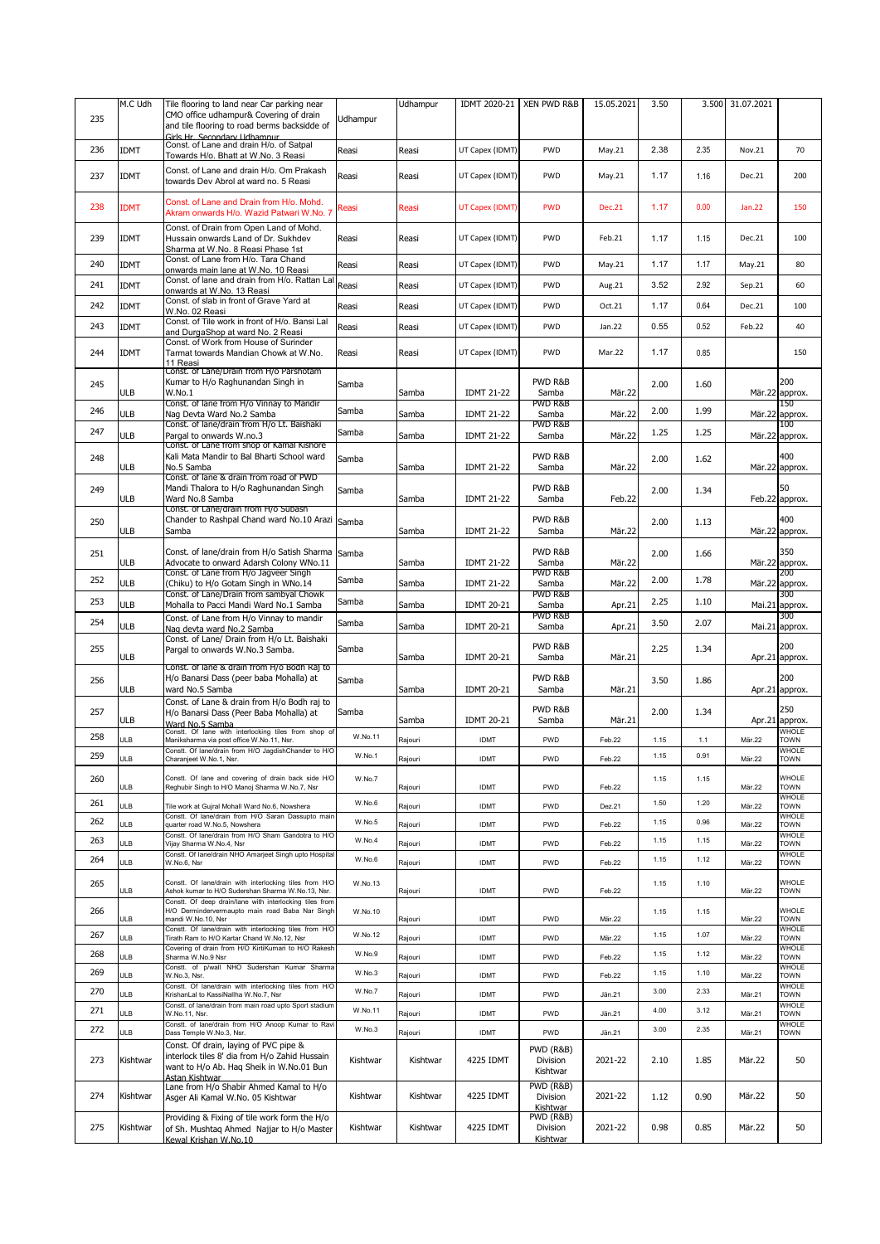|     | M.C Udh     | Tile flooring to land near Car parking near                                                                                                          |                 | Udhampur | IDMT 2020-21      | XEN PWD R&B                                  | 15.05.2021    | 3.50 | 3.500 | 31.07.2021    |                             |
|-----|-------------|------------------------------------------------------------------------------------------------------------------------------------------------------|-----------------|----------|-------------------|----------------------------------------------|---------------|------|-------|---------------|-----------------------------|
| 235 |             | CMO office udhampur& Covering of drain<br>and tile flooring to road berms backsidde of                                                               | <b>Jdhampur</b> |          |                   |                                              |               |      |       |               |                             |
| 236 | <b>IDMT</b> | Girls Hr. Secondary Udhampur<br>Const. of Lane and drain H/o. of Satpal<br>Towards H/o. Bhatt at W.No. 3 Reasi                                       | Reasi           | Reasi    | UT Capex (IDMT)   | PWD                                          | May.21        | 2.38 | 2.35  | Nov.21        | 70                          |
| 237 | <b>IDMT</b> | Const. of Lane and drain H/o. Om Prakash<br>towards Dev Abrol at ward no. 5 Reasi                                                                    | Reasi           | Reasi    | UT Capex (IDMT)   | PWD                                          | May.21        | 1.17 | 1.16  | Dec.21        | 200                         |
| 238 | <b>IDMT</b> | Const. of Lane and Drain from H/o. Mohd.<br>Akram onwards H/o. Wazid Patwari W.No. 7                                                                 | Reasi           | Reasi    | UT Capex (IDMT)   | <b>PWD</b>                                   | <b>Dec.21</b> | 1.17 | 0.00  | <b>Jan.22</b> | 150                         |
| 239 | <b>IDMT</b> | Const. of Drain from Open Land of Mohd.<br>Hussain onwards Land of Dr. Sukhdev<br>Sharma at W.No. 8 Reasi Phase 1st                                  | Reasi           | Reasi    | UT Capex (IDMT)   | PWD                                          | Feb.21        | 1.17 | 1.15  | Dec.21        | 100                         |
| 240 | <b>IDMT</b> | Const. of Lane from H/o. Tara Chand<br>onwards main lane at W.No. 10 Reasi                                                                           | Reasi           | Reasi    | UT Capex (IDMT)   | PWD                                          | May.21        | 1.17 | 1.17  | May.21        | 80                          |
| 241 | <b>IDMT</b> | Const. of lane and drain from H/o. Rattan Lal<br>onwards at W.No. 13 Reasi                                                                           | Reasi           | Reasi    | UT Capex (IDMT)   | PWD                                          | Aug.21        | 3.52 | 2.92  | Sep.21        | 60                          |
| 242 | <b>IDMT</b> | Const. of slab in front of Grave Yard at<br>W.No. 02 Reasi                                                                                           | Reasi           | Reasi    | UT Capex (IDMT)   | PWD                                          | Oct.21        | 1.17 | 0.64  | Dec.21        | 100                         |
| 243 | <b>IDMT</b> | Const. of Tile work in front of H/o. Bansi Lal<br>and DurgaShop at ward No. 2 Reasi                                                                  | Reasi           | Reasi    | UT Capex (IDMT)   | <b>PWD</b>                                   | Jan.22        | 0.55 | 0.52  | Feb.22        | 40                          |
| 244 | <b>IDMT</b> | Const. of Work from House of Surinder<br>Tarmat towards Mandian Chowk at W.No.<br>11 Reasi                                                           | Reasi           | Reasi    | UT Capex (IDMT)   | PWD                                          | Mar.22        | 1.17 | 0.85  |               | 150                         |
| 245 | ULB         | Const. of Lane/Drain from H/o Parshotam<br>Kumar to H/o Raghunandan Singh in<br>W.No.1                                                               | Samba           | Samba    | <b>IDMT 21-22</b> | PWD R&B<br>Samba                             | Mär.22        | 2.00 | 1.60  |               | 200<br>Mär.22 approx.       |
| 246 | ULB         | Const. of lane from H/o Vinnay to Mandir<br>Nag Devta Ward No.2 Samba                                                                                | Samba           | Samba    | <b>IDMT 21-22</b> | PWD R&B<br>Samba                             | Mär.22        | 2.00 | 1.99  |               | 150<br>Mär.22 approx.       |
| 247 | ULB         | Const. of lane/drain from H/o Lt. Baishaki<br>Pargal to onwards W.no.3                                                                               | Samba           | Samba    | <b>IDMT 21-22</b> | PWD R&B<br>Samba                             | Mär.22        | 1.25 | 1.25  |               | 100<br>Mär.22 approx.       |
| 248 | ULB         | Const. of Lane from shop of Kamal Kishore<br>Kali Mata Mandir to Bal Bharti School ward<br>No.5 Samba                                                | Samba           | Samba    | <b>IDMT 21-22</b> | PWD R&B<br>Samba                             | Mär.22        | 2.00 | 1.62  |               | 400<br>Mär.22 approx.       |
| 249 | ULB         | Const. of lane & drain from road of PWD<br>Mandi Thalora to H/o Raghunandan Singh<br>Ward No.8 Samba                                                 | Samba           | Samba    | <b>IDMT 21-22</b> | PWD R&B<br>Samba                             | Feb.22        | 2.00 | 1.34  |               | 50<br>Feb.22 approx.        |
| 250 | ULB         | Const. of Lane/drain from H/o Subash<br>Chander to Rashpal Chand ward No.10 Arazi<br>Samba                                                           | Samba           | Samba    | <b>IDMT 21-22</b> | PWD R&B<br>Samba                             | Mär.22        | 2.00 | 1.13  |               | 400<br>Mär.22 approx.       |
| 251 | ULB         | Const. of lane/drain from H/o Satish Sharma<br>Advocate to onward Adarsh Colony WNo.11                                                               | Samba           | Samba    | <b>IDMT 21-22</b> | PWD R&B<br>Samba                             | Mär.22        | 2.00 | 1.66  |               | 350<br>Mär.22 approx.       |
| 252 | ULB         | Const. of Lane from H/o Jagveer Singh<br>(Chiku) to H/o Gotam Singh in WNo.14                                                                        | Samba           | Samba    | <b>IDMT 21-22</b> | PWD R&B<br>Samba                             | Mär.22        | 2.00 | 1.78  |               | 200<br>Mär.22 approx.       |
| 253 | ULB         | Const. of Lane/Drain from sambyal Chowk<br>Mohalla to Pacci Mandi Ward No.1 Samba                                                                    | Samba           | Samba    | <b>IDMT 20-21</b> | PWD R&B<br>Samba                             | Apr.21        | 2.25 | 1.10  | Mai.21        | 300<br>approx.              |
| 254 | ULB         | Const. of Lane from H/o Vinnay to mandir<br>Nag devta ward No.2 Samba                                                                                | Samba           | Samba    | <b>IDMT 20-21</b> | PWD R&B<br>Samba                             | Apr.21        | 3.50 | 2.07  | Mai.21        | 300<br>approx.              |
| 255 | ULB         | Const. of Lane/ Drain from H/o Lt. Baishaki<br>Pargal to onwards W.No.3 Samba.                                                                       | Samba           | Samba    | <b>IDMT 20-21</b> | PWD R&B<br>Samba                             | Mär.21        | 2.25 | 1.34  | Apr.21        | 200<br>approx.              |
| 256 | ULB         | Const. of lane & drain from H/o Bodh Raj to<br>H/o Banarsi Dass (peer baba Mohalla) at<br>ward No.5 Samba                                            | Samba           | Samba    | <b>IDMT 20-21</b> | PWD R&B<br>Samba                             | Mär.21        | 3.50 | 1.86  |               | 200<br>Apr.21 approx.       |
| 257 | ULB         | Const. of Lane & drain from H/o Bodh raj to<br>H/o Banarsi Dass (Peer Baba Mohalla) at<br>Ward No.5 Samba                                            | Samba           | Samba    | <b>IDMT 20-21</b> | PWD R&B<br>Samba                             | Mär.21        | 2.00 | 1.34  | Apr.21        | 250<br>approx.              |
| 258 | ULB         | Constt. Of lane with interlocking tiles from shop of<br>Maniksharma via post office W.No.11, Nsr.                                                    | W.No.11         | Rajouri  | <b>IDMT</b>       | PWD                                          | Feb.22        | 1.15 | 1.1   | Mär.22        | <b>WHOLE</b><br><b>TOWN</b> |
| 259 | <b>ULB</b>  | Constt. Of lane/drain from H/O JagdishChander to H/O<br>Charanieet W.No.1. Nsr.                                                                      | W.No.1          | Rajouri  | <b>IDMT</b>       | <b>PWD</b>                                   | Feb.22        | 1.15 | 0.91  | Mär.22        | <b>WHOLE</b><br><b>TOWN</b> |
| 260 | ULB         | Constt. Of lane and covering of drain back side H/O<br>Reghubir Singh to H/O Manoj Sharma W.No.7, Nsr                                                | W.No.7          | Rajouri  | <b>IDMT</b>       | <b>PWD</b>                                   | Feb.22        | 1.15 | 1.15  | Mär.22        | WHOLE<br><b>TOWN</b>        |
| 261 | <b>ULB</b>  | Tile work at Gujral Mohall Ward No.6, Nowshera                                                                                                       | W.No.6          | Rajouri  | <b>IDMT</b>       | PWD                                          | Dez.21        | 1.50 | 1.20  | Mär.22        | WHOLE<br><b>TOWN</b>        |
| 262 | ULB         | Constt. Of lane/drain from H/O Saran Dassupto main<br>quarter road W.No.5, Nowshera                                                                  | W.No.5          | Rajouri  | <b>IDMT</b>       | <b>PWD</b>                                   | Feb.22        | 1.15 | 0.96  | Mär.22        | WHOLE<br>TOWN               |
| 263 | ULB         | Constt. Of lane/drain from H/O Sham Gandotra to H/O<br>Vijay Sharma W.No.4, Nsr                                                                      | W.No.4          | Rajouri  | <b>IDMT</b>       | PWD                                          | Feb.22        | 1.15 | 1.15  | Mär.22        | <b>WHOLE</b><br><b>TOWN</b> |
| 264 | ULB         | Constt. Of lane/drain NHO Amarjeet Singh upto Hospital<br>W.No.6. Nsr                                                                                | W.No.6          | Rajouri  | <b>IDMT</b>       | PWD                                          | Feb.22        | 1.15 | 1.12  | Mär.22        | <b>WHOLE</b><br><b>TOWN</b> |
| 265 | ULB         | Constt. Of lane/drain with interlocking tiles from H/O<br>Ashok kumar to H/O Sudershan Sharma W.No.13, Nsr.                                          | W.No.13         | Rajouri  | <b>IDMT</b>       | PWD                                          | Feb.22        | 1.15 | 1.10  | Mär.22        | WHOLE<br><b>TOWN</b>        |
| 266 | ULB         | Constt. Of deep drain/lane with interlocking tiles from<br>H/O Dermindervermaupto main road Baba Nar Singh<br>mandi W.No.10, Nsr                     | W.No.10         | Rajouri  | <b>IDMT</b>       | PWD                                          | Mär.22        | 1.15 | 1.15  | Mär.22        | WHOLE<br><b>TOWN</b>        |
| 267 | ULB         | Constt. Of lane/drain with interlocking tiles from H/O<br>Tirath Ram to H/O Kartar Chand W.No.12, Nsr                                                | W.No.12         | Rajouri  | <b>IDMT</b>       | PWD                                          | Mär.22        | 1.15 | 1.07  | Mär.22        | <b>WHOLE</b><br>TOWN        |
| 268 | ULB         | Covering of drain from H/O KirtiKumari to H/O Rakesh<br>Sharma W.No.9 Nsr                                                                            | W.No.9          | Rajouri  | <b>IDMT</b>       | PWD                                          | Feb.22        | 1.15 | 1.12  | Mär.22        | WHOLE<br><b>TOWN</b>        |
| 269 | ULB         | Constt. of p/wall NHO Sudershan Kumar Sharma<br>W.No.3, Nsr.                                                                                         | W.No.3          | Rajouri  | <b>IDMT</b>       | PWD                                          | Feb.22        | 1.15 | 1.10  | Mär.22        | WHOLE<br><b>TOWN</b>        |
| 270 | <b>ULB</b>  | Constt. Of lane/drain with interlocking tiles from H/O<br>KrishanLal to KassiNallha W.No.7, Nsr                                                      | W.No.7          | Rajouri  | <b>IDMT</b>       | PWD                                          | Jän.21        | 3.00 | 2.33  | Mär.21        | WHOLE<br><b>TOWN</b>        |
| 271 | ULB         | Constt. of lane/drain from main road upto Sport stadium<br>W.No.11, Nsr.                                                                             | W.No.11         | Rajouri  | <b>IDMT</b>       | PWD                                          | Jän.21        | 4.00 | 3.12  | Mär.21        | WHOLE<br>TOWN               |
| 272 | ULB         | Constt. of lane/drain from H/O Anoop Kumar to Ravi<br>Dass Temple W.No.3, Nsr.                                                                       | W.No.3          | Rajouri  | <b>IDMT</b>       | PWD                                          | Jän.21        | 3.00 | 2.35  | Mär.21        | WHOLE<br><b>TOWN</b>        |
| 273 | Kishtwar    | Const. Of drain, laying of PVC pipe &<br>interlock tiles 8' dia from H/o Zahid Hussain<br>want to H/o Ab. Haq Sheik in W.No.01 Bun<br>Astan Kishtwar | Kishtwar        | Kishtwar | 4225 IDMT         | <b>PWD (R&amp;B)</b><br>Division<br>Kishtwar | 2021-22       | 2.10 | 1.85  | Mär.22        | 50                          |
| 274 | Kishtwar    | Lane from H/o Shabir Ahmed Kamal to H/o<br>Asger Ali Kamal W.No. 05 Kishtwar                                                                         | Kishtwar        | Kishtwar | 4225 IDMT         | PWD (R&B)<br>Division<br>Kishtwar            | 2021-22       | 1.12 | 0.90  | Mär.22        | 50                          |
| 275 | Kishtwar    | Providing & Fixing of tile work form the H/o<br>of Sh. Mushtaq Ahmed Najjar to H/o Master<br>Kewal Krishan W.No.10                                   | Kishtwar        | Kishtwar | 4225 IDMT         | PWD (R&B)<br>Division<br>Kishtwar            | 2021-22       | 0.98 | 0.85  | Mär.22        | 50                          |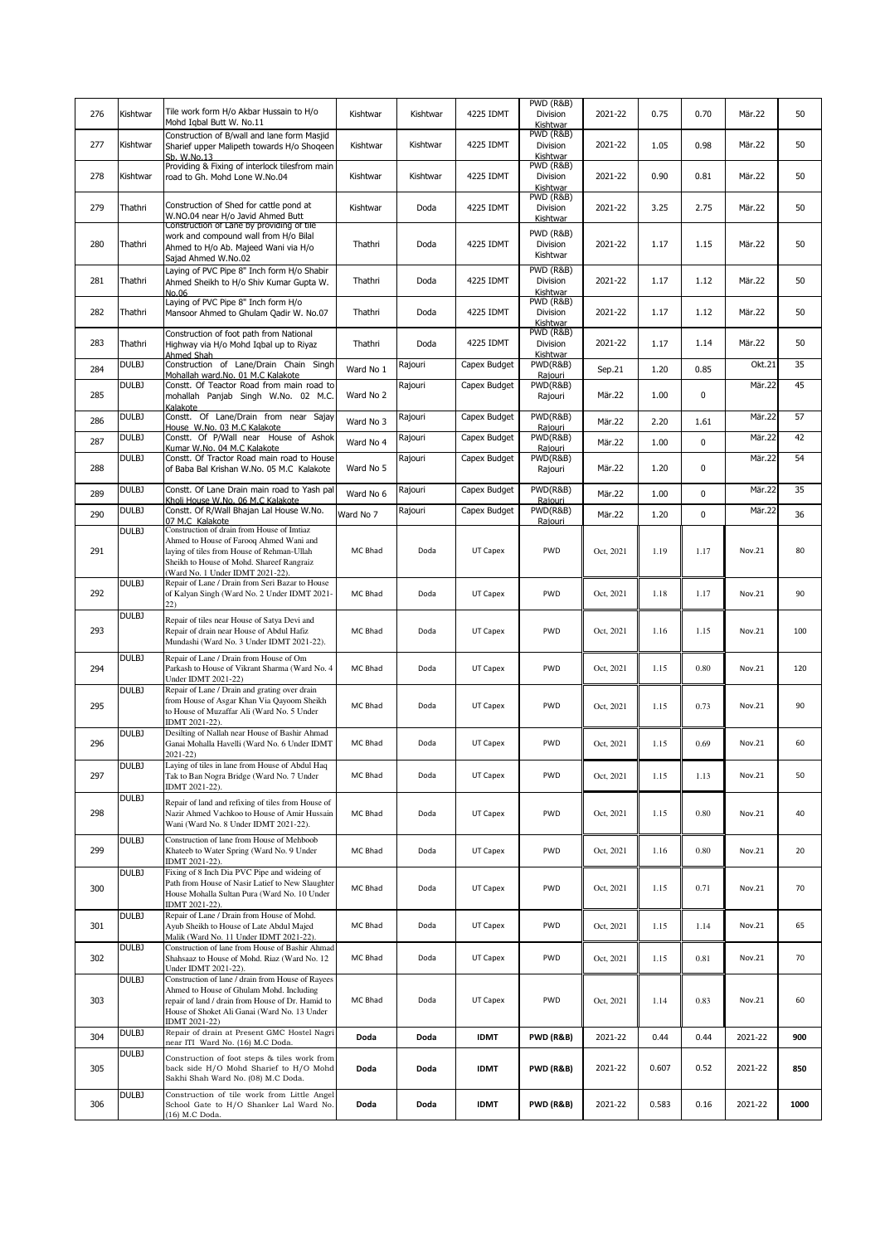| 276 | Kishtwar     | Tile work form H/o Akbar Hussain to H/o<br>Mohd Igbal Butt W. No.11                                                                                                                                                  | Kishtwar  | Kishtwar | 4225 IDMT    | PWD (R&B)<br>Division<br>Kishtwar                     | 2021-22   | 0.75  | 0.70 | Mär.22  | 50   |
|-----|--------------|----------------------------------------------------------------------------------------------------------------------------------------------------------------------------------------------------------------------|-----------|----------|--------------|-------------------------------------------------------|-----------|-------|------|---------|------|
| 277 | Kishtwar     | Construction of B/wall and lane form Masjid<br>Sharief upper Malipeth towards H/o Shogeen<br>Sb. W.No.13                                                                                                             | Kishtwar  | Kishtwar | 4225 IDMT    | PWD (R&B)<br>Division<br>Kishtwar                     | 2021-22   | 1.05  | 0.98 | Mär.22  | 50   |
| 278 | Kishtwar     | Providing & Fixing of interlock tilesfrom main<br>road to Gh. Mohd Lone W.No.04                                                                                                                                      | Kishtwar  | Kishtwar | 4225 IDMT    | $\overline{\text{PWD}}$ (R&B)<br>Division<br>Kishtwar | 2021-22   | 0.90  | 0.81 | Mär.22  | 50   |
| 279 | Thathri      | Construction of Shed for cattle pond at<br>W.NO.04 near H/o Javid Ahmed Butt                                                                                                                                         | Kishtwar  | Doda     | 4225 IDMT    | PWD (R&B)<br>Division<br>Kishtwar                     | 2021-22   | 3.25  | 2.75 | Mär.22  | 50   |
| 280 | Thathri      | Construction of Lane by providing of tile<br>work and compound wall from H/o Bilal<br>Ahmed to H/o Ab. Majeed Wani via H/o<br>Sajad Ahmed W.No.02                                                                    | Thathri   | Doda     | 4225 IDMT    | PWD (R&B)<br>Division<br>Kishtwar                     | 2021-22   | 1.17  | 1.15 | Mär.22  | 50   |
| 281 | Thathri      | Laying of PVC Pipe 8" Inch form H/o Shabir<br>Ahmed Sheikh to H/o Shiv Kumar Gupta W.<br>No.06                                                                                                                       | Thathri   | Doda     | 4225 IDMT    | PWD (R&B)<br>Division<br>Kishtwar                     | 2021-22   | 1.17  | 1.12 | Mär.22  | 50   |
| 282 | Thathri      | Laying of PVC Pipe 8" Inch form H/o<br>Mansoor Ahmed to Ghulam Qadir W. No.07                                                                                                                                        | Thathri   | Doda     | 4225 IDMT    | $\overline{\text{PWD}}$ (R&B)<br>Division<br>Kishtwar | 2021-22   | 1.17  | 1.12 | Mär.22  | 50   |
| 283 | Thathri      | Construction of foot path from National<br>Highway via H/o Mohd Iqbal up to Riyaz<br>Ahmed Shah                                                                                                                      | Thathri   | Doda     | 4225 IDMT    | PWD (R&B)<br>Division<br>Kishtwar                     | 2021-22   | 1.17  | 1.14 | Mär.22  | 50   |
| 284 | <b>DULBJ</b> | Construction of Lane/Drain Chain Singh<br>Mohallah ward.No. 01 M.C Kalakote                                                                                                                                          | Ward No 1 | Rajouri  | Capex Budget | PWD(R&B)<br>Raiouri                                   | Sep.21    | 1.20  | 0.85 | Okt.21  | 35   |
| 285 | DULBJ        | Constt. Of Teactor Road from main road to<br>mohallah Panjab Singh W.No. 02 M.C.<br>Kalakote                                                                                                                         | Ward No 2 | Rajouri  | Capex Budget | PWD(R&B)<br>Rajouri                                   | Mär.22    | 1.00  | 0    | Mär.22  | 45   |
| 286 | DULBJ        | Constt. Of Lane/Drain from near Sajay<br>House W.No. 03 M.C Kalakote                                                                                                                                                 | Ward No 3 | Rajouri  | Capex Budget | PWD(R&B)<br>Raiouri                                   | Mär.22    | 2.20  | 1.61 | Mär.22  | 57   |
| 287 | DULBJ        | Constt. Of P/Wall near House of Ashok<br>Kumar W.No. 04 M.C Kalakote                                                                                                                                                 | Ward No 4 | Rajouri  | Capex Budget | PWD(R&B)<br>Rajouri                                   | Mär.22    | 1.00  | 0    | Mär.22  | 42   |
| 288 | DULBJ        | Constt. Of Tractor Road main road to House<br>of Baba Bal Krishan W.No. 05 M.C Kalakote                                                                                                                              | Ward No 5 | Rajouri  | Capex Budget | PWD(R&B)<br>Rajouri                                   | Mär.22    | 1.20  | 0    | Mär.22  | 54   |
| 289 | <b>DULBJ</b> | Constt. Of Lane Drain main road to Yash pal<br>Kholi House W.No. 06 M.C Kalakote                                                                                                                                     | Ward No 6 | Rajouri  | Capex Budget | PWD(R&B)<br>Raiouri                                   | Mär.22    | 1.00  | 0    | Mär.22  | 35   |
| 290 | DULBJ        | Constt. Of R/Wall Bhajan Lal House W.No.<br>07 M.C Kalakote                                                                                                                                                          | Ward No 7 | Rajouri  | Capex Budget | PWD(R&B)<br>Raiouri                                   | Mär.22    | 1.20  | 0    | Mär.22  | 36   |
| 291 | DULBJ        | Construction of drain from House of Imtiaz<br>Ahmed to House of Farooq Ahmed Wani and<br>laying of tiles from House of Rehman-Ullah<br>Sheikh to House of Mohd. Shareef Rangraiz<br>(Ward No. 1 Under IDMT 2021-22). | MC Bhad   | Doda     | UT Capex     | PWD                                                   | Oct, 2021 | 1.19  | 1.17 | Nov.21  | 80   |
| 292 | DULBJ        | Repair of Lane / Drain from Seri Bazar to House<br>of Kalyan Singh (Ward No. 2 Under IDMT 2021-<br>22)                                                                                                               | MC Bhad   | Doda     | UT Capex     | PWD                                                   | Oct, 2021 | 1.18  | 1.17 | Nov.21  | 90   |
| 293 | <b>DULBJ</b> | Repair of tiles near House of Satya Devi and<br>Repair of drain near House of Abdul Hafiz<br>Mundashi (Ward No. 3 Under IDMT 2021-22).                                                                               | MC Bhad   | Doda     | UT Capex     | PWD                                                   | Oct, 2021 | 1.16  | 1.15 | Nov.21  | 100  |
| 294 | <b>DULBJ</b> | Repair of Lane / Drain from House of Om<br>Parkash to House of Vikrant Sharma (Ward No. 4<br>Under IDMT 2021-22)                                                                                                     | MC Bhad   | Doda     | UT Capex     | PWD                                                   | Oct, 2021 | 1.15  | 0.80 | Nov.21  | 120  |
| 295 | <b>DULBJ</b> | Repair of Lane / Drain and grating over drain<br>from House of Asgar Khan Via Qayoom Sheikh<br>to House of Muzaffar Ali (Ward No. 5 Under<br>IDMT 2021-22).                                                          | MC Bhad   | Doda     | UT Capex     | PWD                                                   | Oct, 2021 | 1.15  | 0.73 | Nov.21  | 90   |
| 296 | DULBJ        | Desilting of Nallah near House of Bashir Ahmad<br>Ganai Mohalla Havelli (Ward No. 6 Under IDMT<br>$2021 - 22$                                                                                                        | MC Bhad   | Doda     | UT Capex     | PWD                                                   | Oct, 2021 | 1.15  | 0.69 | Nov.21  | 60   |
| 297 | DULBJ        | Laying of tiles in lane from House of Abdul Haq<br>Tak to Ban Nogra Bridge (Ward No. 7 Under<br>IDMT 2021-22).                                                                                                       | MC Bhad   | Doda     | UT Capex     | PWD                                                   | Oct, 2021 | 1.15  | 1.13 | Nov.21  | 50   |
| 298 | DULBJ        | Repair of land and refixing of tiles from House of<br>Nazir Ahmed Vachkoo to House of Amir Hussain<br>Wani (Ward No. 8 Under IDMT 2021-22).                                                                          | MC Bhad   | Doda     | UT Capex     | PWD                                                   | Oct, 2021 | 1.15  | 0.80 | Nov.21  | 40   |
| 299 | DULBJ        | Construction of lane from House of Mehboob<br>Khateeb to Water Spring (Ward No. 9 Under<br>IDMT 2021-22).                                                                                                            | MC Bhad   | Doda     | UT Capex     | PWD                                                   | Oct, 2021 | 1.16  | 0.80 | Nov.21  | 20   |
| 300 | DULBJ        | Fixing of 8 Inch Dia PVC Pipe and wideing of<br>Path from House of Nasir Latief to New Slaughter<br>House Mohalla Sultan Pura (Ward No. 10 Under<br>IDMT 2021-22).                                                   | MC Bhad   | Doda     | UT Capex     | PWD                                                   | Oct, 2021 | 1.15  | 0.71 | Nov.21  | 70   |
| 301 | DULBJ        | Repair of Lane / Drain from House of Mohd.<br>Ayub Sheikh to House of Late Abdul Majed<br>Malik (Ward No. 11 Under IDMT 2021-22).                                                                                    | MC Bhad   | Doda     | UT Capex     | PWD                                                   | Oct, 2021 | 1.15  | 1.14 | Nov.21  | 65   |
| 302 | <b>DULBJ</b> | Construction of lane from House of Bashir Ahmad<br>Shahsaaz to House of Mohd. Riaz (Ward No. 12<br>Under IDMT 2021-22).                                                                                              | MC Bhad   | Doda     | UT Capex     | PWD                                                   | Oct, 2021 | 1.15  | 0.81 | Nov.21  | 70   |
| 303 | DULBJ        | Construction of lane / drain from House of Rayees<br>Ahmed to House of Ghulam Mohd. Including<br>repair of land / drain from House of Dr. Hamid to<br>House of Shoket Ali Ganai (Ward No. 13 Under<br>IDMT 2021-22)  | MC Bhad   | Doda     | UT Capex     | PWD                                                   | Oct, 2021 | 1.14  | 0.83 | Nov.21  | 60   |
| 304 | DULBJ        | Repair of drain at Present GMC Hostel Nagri<br>near ITI Ward No. (16) M.C Doda.                                                                                                                                      | Doda      | Doda     | <b>IDMT</b>  | <b>PWD (R&amp;B)</b>                                  | 2021-22   | 0.44  | 0.44 | 2021-22 | 900  |
| 305 | DULBJ        | Construction of foot steps & tiles work from<br>back side H/O Mohd Sharief to H/O Mohd<br>Sakhi Shah Ward No. (08) M.C Doda.                                                                                         | Doda      | Doda     | <b>IDMT</b>  | <b>PWD (R&amp;B)</b>                                  | 2021-22   | 0.607 | 0.52 | 2021-22 | 850  |
| 306 | DULBJ        | Construction of tile work from Little Angel<br>School Gate to H/O Shanker Lal Ward No.<br>(16) M.C Doda.                                                                                                             | Doda      | Doda     | <b>IDMT</b>  | PWD (R&B)                                             | 2021-22   | 0.583 | 0.16 | 2021-22 | 1000 |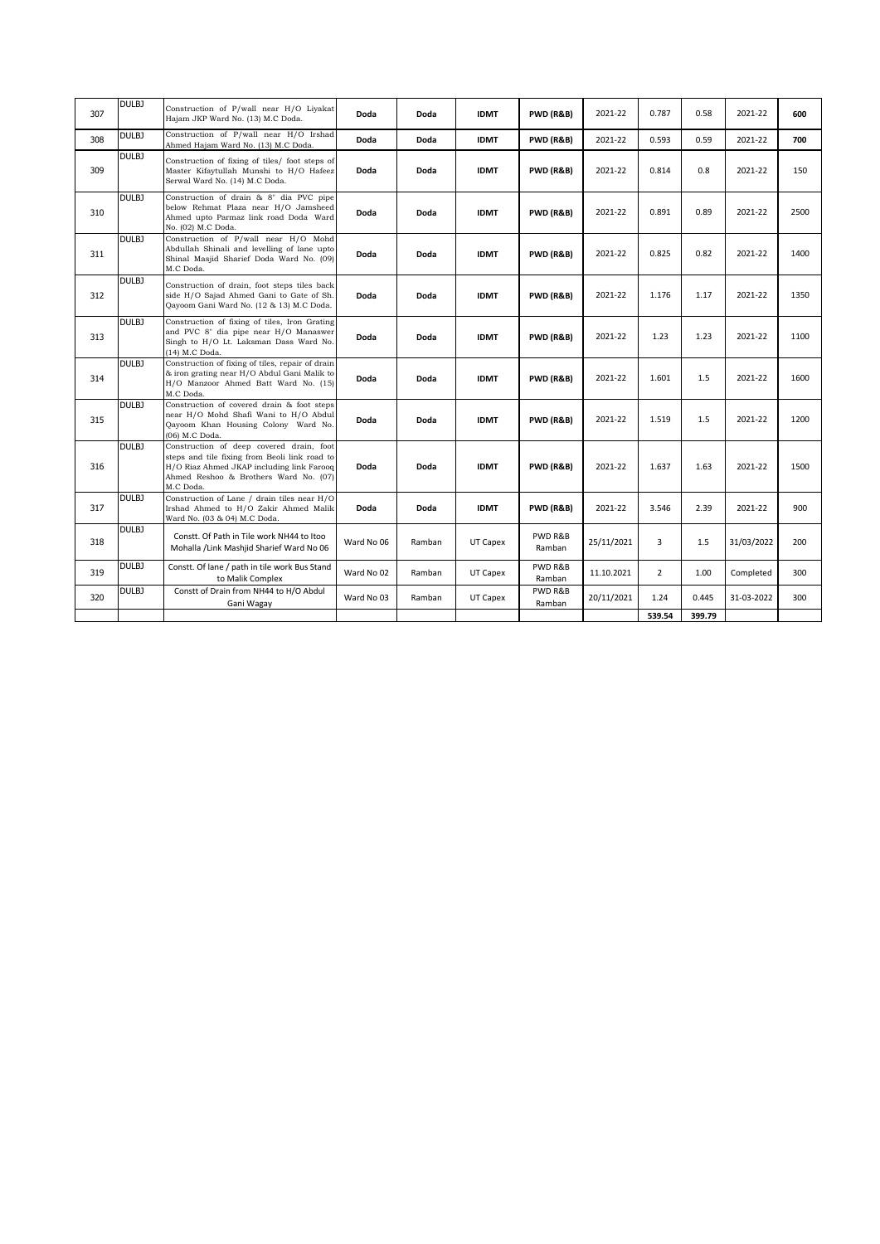| 307 | <b>DULBJ</b> | Construction of P/wall near H/O Livakat<br>Hajam JKP Ward No. (13) M.C Doda.                                                                                                                 | Doda       | Doda   | <b>IDMT</b> | <b>PWD (R&amp;B)</b> | 2021-22    | 0.787          | 0.58   | 2021-22    | 600  |
|-----|--------------|----------------------------------------------------------------------------------------------------------------------------------------------------------------------------------------------|------------|--------|-------------|----------------------|------------|----------------|--------|------------|------|
| 308 | DULB1        | Construction of P/wall near H/O Irshad<br>Ahmed Hajam Ward No. (13) M.C Doda.                                                                                                                | Doda       | Doda   | <b>IDMT</b> | <b>PWD (R&amp;B)</b> | 2021-22    | 0.593          | 0.59   | 2021-22    | 700  |
| 309 | DULBJ        | Construction of fixing of tiles/ foot steps of<br>Master Kifaytullah Munshi to H/O Hafeez<br>Serwal Ward No. (14) M.C Doda.                                                                  | Doda       | Doda   | <b>IDMT</b> | <b>PWD (R&amp;B)</b> | 2021-22    | 0.814          | 0.8    | 2021-22    | 150  |
| 310 | DULBJ        | Construction of drain & 8" dia PVC pipe<br>below Rehmat Plaza near H/O Jamsheed<br>Ahmed upto Parmaz link road Doda Ward<br>No. (02) M.C Doda.                                               | Doda       | Doda   | <b>IDMT</b> | <b>PWD (R&amp;B)</b> | 2021-22    | 0.891          | 0.89   | 2021-22    | 2500 |
| 311 | DULBJ        | Construction of P/wall near H/O Mohd<br>Abdullah Shinali and levelling of lane upto<br>Shinal Masjid Sharief Doda Ward No. (09)<br>M.C Doda.                                                 | Doda       | Doda   | <b>IDMT</b> | <b>PWD (R&amp;B)</b> | 2021-22    | 0.825          | 0.82   | 2021-22    | 1400 |
| 312 | DULBJ        | Construction of drain, foot steps tiles back<br>side H/O Sajad Ahmed Gani to Gate of Sh.<br>Qayoom Gani Ward No. (12 & 13) M.C Doda.                                                         | Doda       | Doda   | <b>IDMT</b> | <b>PWD (R&amp;B)</b> | 2021-22    | 1.176          | 1.17   | 2021-22    | 1350 |
| 313 | <b>DULBJ</b> | Construction of fixing of tiles, Iron Grating<br>and PVC 8" dia pipe near H/O Manaswer<br>Singh to H/O Lt. Laksman Dass Ward No.<br>(14) M.C Doda.                                           | Doda       | Doda   | <b>IDMT</b> | <b>PWD (R&amp;B)</b> | 2021-22    | 1.23           | 1.23   | 2021-22    | 1100 |
| 314 | DULBJ        | Construction of fixing of tiles, repair of drain<br>& iron grating near H/O Abdul Gani Malik to<br>H/O Manzoor Ahmed Batt Ward No. (15)<br>M.C Doda.                                         | Doda       | Doda   | <b>IDMT</b> | <b>PWD (R&amp;B)</b> | 2021-22    | 1.601          | 1.5    | 2021-22    | 1600 |
| 315 | DULBJ        | Construction of covered drain & foot steps<br>near H/O Mohd Shafi Wani to H/O Abdul<br>Qayoom Khan Housing Colony Ward No.<br>(06) M.C Doda.                                                 | Doda       | Doda   | <b>IDMT</b> | <b>PWD (R&amp;B)</b> | 2021-22    | 1.519          | 1.5    | 2021-22    | 1200 |
| 316 | DULBJ        | Construction of deep covered drain, foot<br>steps and tile fixing from Beoli link road to<br>H/O Riaz Ahmed JKAP including link Farooq<br>Ahmed Reshoo & Brothers Ward No. (07)<br>M.C Doda. | Doda       | Doda   | <b>IDMT</b> | <b>PWD (R&amp;B)</b> | 2021-22    | 1.637          | 1.63   | 2021-22    | 1500 |
| 317 | DULBJ        | Construction of Lane / drain tiles near H/O<br>Irshad Ahmed to H/O Zakir Ahmed Malik<br>Ward No. (03 & 04) M.C Doda.                                                                         | Doda       | Doda   | <b>IDMT</b> | <b>PWD (R&amp;B)</b> | 2021-22    | 3.546          | 2.39   | 2021-22    | 900  |
| 318 | DULBJ        | Constt. Of Path in Tile work NH44 to Itoo<br>Mohalla /Link Mashjid Sharief Ward No 06                                                                                                        | Ward No 06 | Ramban | UT Capex    | PWD R&B<br>Ramban    | 25/11/2021 | 3              | 1.5    | 31/03/2022 | 200  |
| 319 | <b>DULBJ</b> | Constt. Of lane / path in tile work Bus Stand<br>to Malik Complex                                                                                                                            | Ward No 02 | Ramban | UT Capex    | PWD R&B<br>Ramban    | 11.10.2021 | $\overline{2}$ | 1.00   | Completed  | 300  |
| 320 | DULBJ        | Constt of Drain from NH44 to H/O Abdul<br>Gani Wagay                                                                                                                                         | Ward No 03 | Ramban | UT Capex    | PWD R&B<br>Ramban    | 20/11/2021 | 1.24           | 0.445  | 31-03-2022 | 300  |
|     |              |                                                                                                                                                                                              |            |        |             |                      |            | 539.54         | 399.79 |            |      |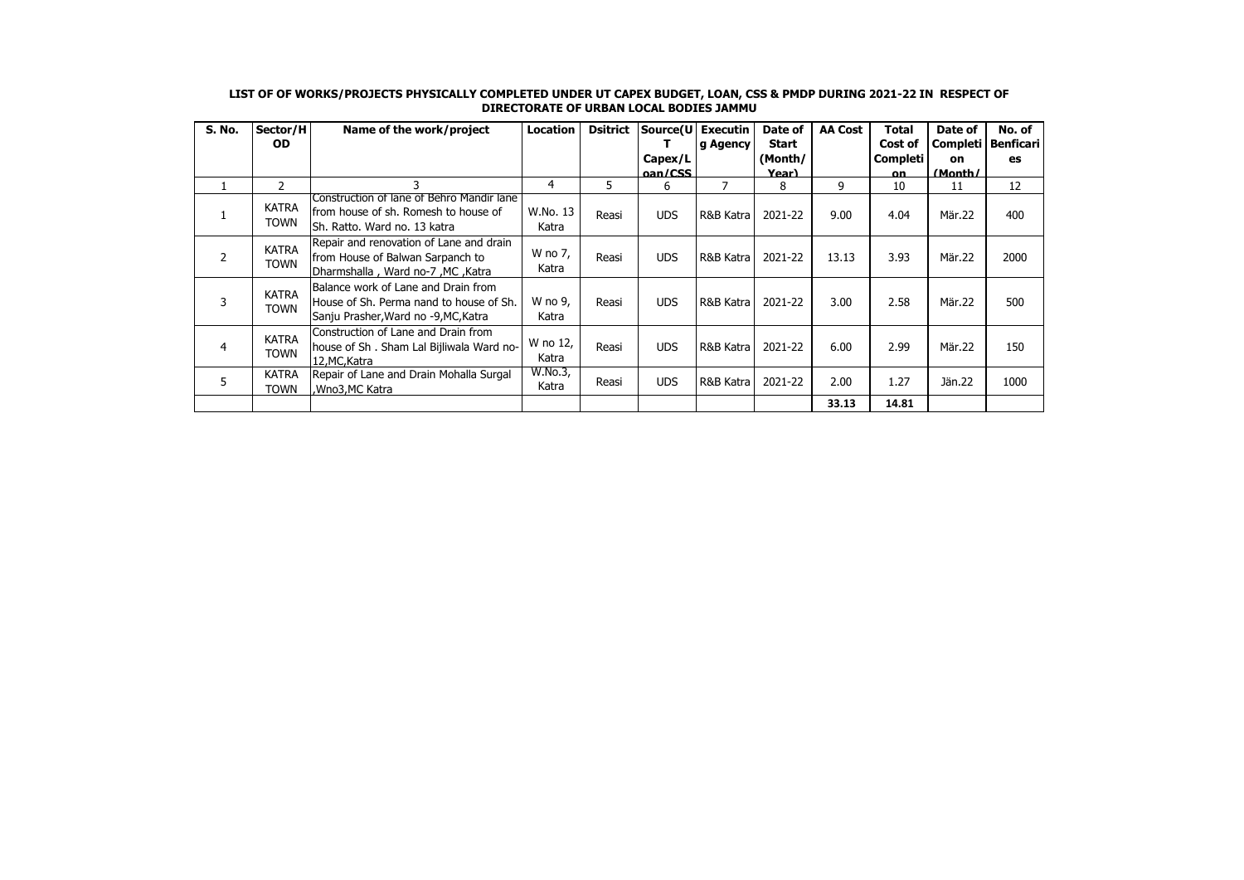| S. No. | Sector/H<br><b>OD</b>       | Name of the work/project                                                                                               | <b>Location</b>   | <b>Dsitrict</b> |              | Source(U Executin<br>g Agency | Date of<br><b>Start</b> | <b>AA Cost</b> | Total<br>Cost of | Date of<br>Completi | No. of<br><b>Benficari</b> |
|--------|-----------------------------|------------------------------------------------------------------------------------------------------------------------|-------------------|-----------------|--------------|-------------------------------|-------------------------|----------------|------------------|---------------------|----------------------------|
|        |                             |                                                                                                                        |                   |                 | Capex/L      |                               | (Month/                 |                | Completi         | <b>on</b>           | es                         |
| 1      | $\overline{2}$              | 3                                                                                                                      | 4                 | 5.              | oan/CSS<br>6 | 7                             | Year)<br>8              | 9              | <b>on</b><br>10  | (Month/<br>11       | 12                         |
|        | <b>KATRA</b><br><b>TOWN</b> | Construction of lane of Behro Mandir lane<br>lfrom house of sh. Romesh to house of<br>lSh. Ratto. Ward no. 13 katra    | W.No. 13<br>Katra | Reasi           | <b>UDS</b>   | R&B Katra                     | 2021-22                 | 9.00           | 4.04             | Mär.22              | 400                        |
| 2      | <b>KATRA</b><br><b>TOWN</b> | Repair and renovation of Lane and drain<br>from House of Balwan Sarpanch to<br>Joharmshalla, Ward no-7, MC, Katra      | W no 7,<br>Katra  | Reasi           | <b>UDS</b>   | R&B Katra                     | 2021-22                 | 13.13          | 3.93             | Mär.22              | 2000                       |
| 3      | <b>KATRA</b><br><b>TOWN</b> | Balance work of Lane and Drain from<br>House of Sh. Perma nand to house of Sh.<br>Sanju Prasher, Ward no -9, MC, Katra | W no 9,<br>Katra  | Reasi           | <b>UDS</b>   | R&B Katra                     | 2021-22                 | 3.00           | 2.58             | Mär.22              | 500                        |
| 4      | <b>KATRA</b><br><b>TOWN</b> | Construction of Lane and Drain from<br>house of Sh. Sham Lal Bijliwala Ward no-<br>12.MC.Katra                         | W no 12,<br>Katra | Reasi           | <b>UDS</b>   | R&B Katra                     | 2021-22                 | 6.00           | 2.99             | Mär.22              | 150                        |
| 5      | <b>KATRA</b><br><b>TOWN</b> | Repair of Lane and Drain Mohalla Surgal<br>,Wno3,MC Katra                                                              | W.No.3,<br>Katra  | Reasi           | <b>UDS</b>   | R&B Katra                     | 2021-22                 | 2.00           | 1.27             | Jän. 22             | 1000                       |
|        |                             |                                                                                                                        |                   |                 |              |                               |                         | 33.13          | 14.81            |                     |                            |

## **LIST OF OF WORKS/PROJECTS PHYSICALLY COMPLETED UNDER UT CAPEX BUDGET, LOAN, CSS & PMDP DURING 2021-22 IN RESPECT OF DIRECTORATE OF URBAN LOCAL BODIES JAMMU**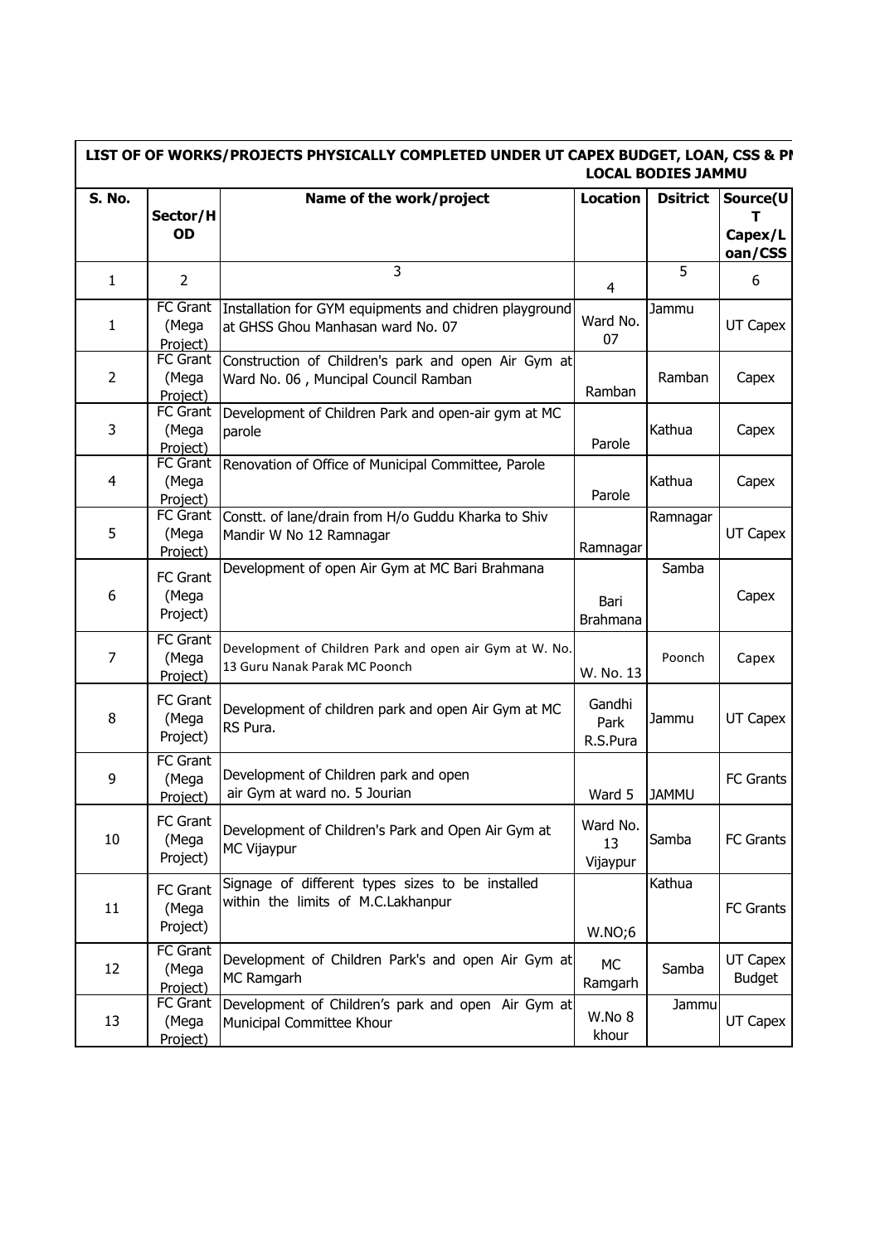|                |                                      | LIST OF OF WORKS/PROJECTS PHYSICALLY COMPLETED UNDER UT CAPEX BUDGET, LOAN, CSS & PI        |                            | <b>LOCAL BODIES JAMMU</b> |                                     |
|----------------|--------------------------------------|---------------------------------------------------------------------------------------------|----------------------------|---------------------------|-------------------------------------|
| S. No.         | Sector/H<br>OD                       | Name of the work/project                                                                    | <b>Location</b>            | <b>Dsitrict</b>           | Source(U<br>т<br>Capex/L<br>oan/CSS |
| $\mathbf{1}$   | $\overline{2}$                       | 3                                                                                           | $\overline{4}$             | 5                         | 6                                   |
| $\mathbf{1}$   | <b>FC</b> Grant<br>(Mega<br>Project) | Installation for GYM equipments and chidren playground<br>at GHSS Ghou Manhasan ward No. 07 | Ward No.<br>07             | Jammu                     | UT Capex                            |
| $\overline{2}$ | <b>FC</b> Grant<br>(Mega<br>Project) | Construction of Children's park and open Air Gym at<br>Ward No. 06, Muncipal Council Ramban | Ramban                     | Ramban                    | Capex                               |
| 3              | <b>FC</b> Grant<br>(Mega<br>Project) | Development of Children Park and open-air gym at MC<br>parole                               | Parole                     | Kathua                    | Capex                               |
| 4              | <b>FC Grant</b><br>(Mega<br>Project) | Renovation of Office of Municipal Committee, Parole                                         | Parole                     | Kathua                    | Capex                               |
| 5              | FC Grant<br>(Mega<br>Project)        | Constt. of lane/drain from H/o Guddu Kharka to Shiv<br>Mandir W No 12 Ramnagar              | Ramnagar                   | Ramnagar                  | UT Capex                            |
| 6              | FC Grant<br>(Mega<br>Project)        | Development of open Air Gym at MC Bari Brahmana                                             | Bari<br>Brahmana           | Samba                     | Capex                               |
| $\overline{7}$ | <b>FC</b> Grant<br>(Mega<br>Project) | Development of Children Park and open air Gym at W. No.<br>13 Guru Nanak Parak MC Poonch    | W. No. 13                  | Poonch                    | Capex                               |
| 8              | <b>FC Grant</b><br>(Mega<br>Project) | Development of children park and open Air Gym at MC<br>RS Pura.                             | Gandhi<br>Park<br>R.S.Pura | Jammu                     | UT Capex                            |
| 9              | <b>FC</b> Grant<br>(Mega<br>Project) | Development of Children park and open<br>air Gym at ward no. 5 Jourian                      | Ward 5                     | <b>JAMMU</b>              | <b>FC Grants</b>                    |
| 10             | FC Grant<br>(Mega<br>Project)        | Development of Children's Park and Open Air Gym at<br>MC Vijaypur                           | Ward No.<br>13<br>Vijaypur | Samba                     | FC Grants                           |
| 11             | <b>FC Grant</b><br>(Mega<br>Project) | Signage of different types sizes to be installed<br>within the limits of M.C.Lakhanpur      | W.NO;6                     | Kathua                    | FC Grants                           |
| 12             | <b>FC</b> Grant<br>(Mega<br>Project) | Development of Children Park's and open Air Gym at<br>MC Ramgarh                            | <b>MC</b><br>Ramgarh       | Samba                     | UT Capex<br><b>Budget</b>           |
| 13             | FC Grant<br>(Mega<br>Project)        | Development of Children's park and open Air Gym at<br>Municipal Committee Khour             | W.No 8<br>khour            | Jammu                     | UT Capex                            |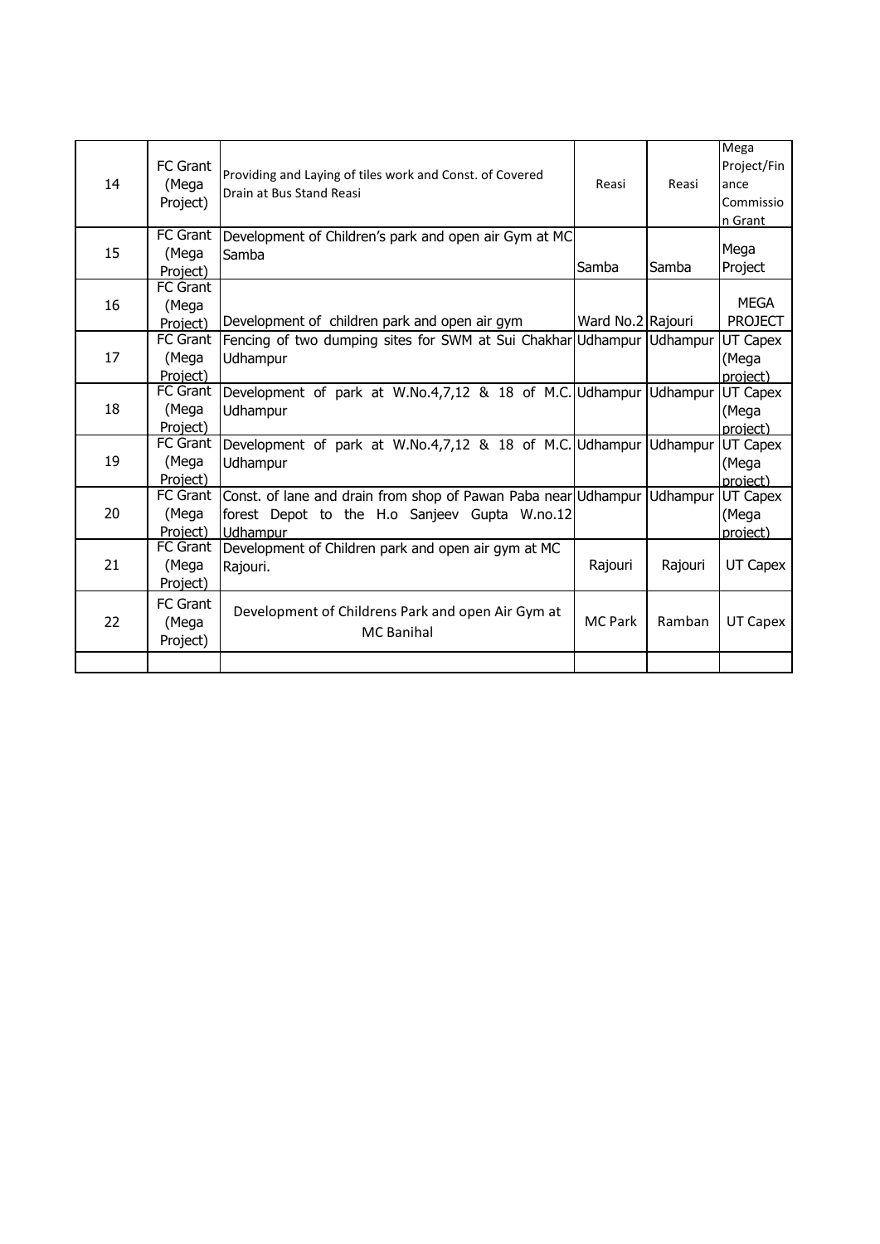| 14 | FC Grant<br>(Mega<br>Project)        | Providing and Laying of tiles work and Const. of Covered<br>Drain at Bus Stand Reasi                                        | Reasi             | Reasi    | Mega<br>Project/Fin<br>ance<br>Commissio<br>n Grant |
|----|--------------------------------------|-----------------------------------------------------------------------------------------------------------------------------|-------------------|----------|-----------------------------------------------------|
| 15 | <b>FC</b> Grant<br>(Mega<br>Project) | Development of Children's park and open air Gym at MC<br>Samba                                                              | Samba             | Samba    | Mega<br>Project                                     |
| 16 | <b>FC Grant</b><br>(Mega<br>Project) | Development of children park and open air gym                                                                               | Ward No.2 Rajouri |          | <b>MEGA</b><br><b>PROJECT</b>                       |
| 17 | <b>FC Grant</b><br>(Mega<br>Project) | Fencing of two dumping sites for SWM at Sui Chakhar Udhampur Udhampur<br>Udhampur                                           |                   |          | UT Capex<br>(Mega<br>project)                       |
| 18 | FC Grant<br>(Mega<br>Project)        | Development of park at W.No.4,7,12 & 18 of M.C. Udhampur<br>Udhampur                                                        |                   | Udhampur | UT Capex<br>(Mega<br>project)                       |
| 19 | FC Grant<br>(Mega<br>Project)        | Development of park at W.No.4,7,12 & 18 of M.C. Udhampur<br>Udhampur                                                        |                   | Udhampur | UT Capex<br>(Mega<br>project)                       |
| 20 | FC Grant<br>(Mega<br>Project)        | Const. of lane and drain from shop of Pawan Paba near Udhampur<br>forest Depot to the H.o Sanjeev Gupta W.no.12<br>Udhampur |                   | Udhampur | UT Capex<br>(Mega<br>project)                       |
| 21 | <b>FC Grant</b><br>(Mega<br>Project) | Development of Children park and open air gym at MC<br>Rajouri.                                                             | Rajouri           | Rajouri  | UT Capex                                            |
| 22 | FC Grant<br>(Mega<br>Project)        | Development of Childrens Park and open Air Gym at<br><b>MC</b> Banihal                                                      | <b>MC Park</b>    | Ramban   | UT Capex                                            |
|    |                                      |                                                                                                                             |                   |          |                                                     |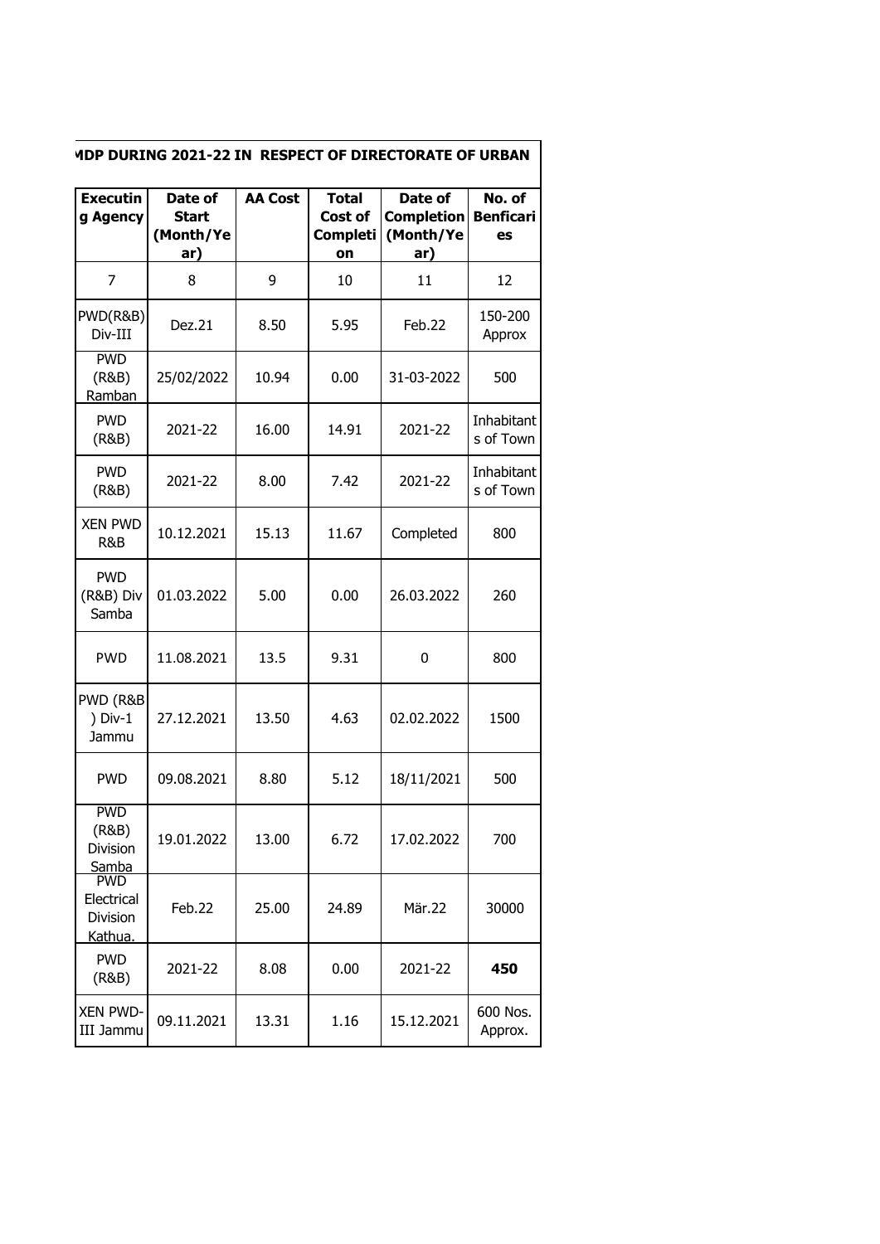| <b>Executin</b><br>g Agency                     | Date of<br>Start<br>(Month/Ye<br>ar) | <b>AA Cost</b> | <b>Total</b><br>Cost of<br><b>Completi</b><br>on | Date of<br><b>Completion</b><br>(Month/Ye<br>ar) | No. of<br><b>Benficari</b><br>es |
|-------------------------------------------------|--------------------------------------|----------------|--------------------------------------------------|--------------------------------------------------|----------------------------------|
| 7                                               | 8                                    | 9              | 10                                               | 11                                               | 12                               |
| PWD(R&B)<br>Div-III                             | Dez.21                               | 8.50           | 5.95                                             | Feb.22                                           | 150-200<br>Approx                |
| <b>PWD</b><br>(R&B)<br>Ramban                   | 25/02/2022                           | 10.94          | 0.00                                             | 31-03-2022                                       | 500                              |
| <b>PWD</b><br>(R&B)                             | 2021-22                              | 16.00          | 14.91                                            | 2021-22                                          | Inhabitant<br>s of Town          |
| <b>PWD</b><br>(R&B)                             | 2021-22                              | 8.00           | 7.42                                             | 2021-22                                          | Inhabitant<br>s of Town          |
| <b>XEN PWD</b><br>R&B                           | 10.12.2021                           | 15.13          | 11.67                                            | Completed                                        | 800                              |
| <b>PWD</b><br>(R&B) Div<br>Samba                | 01.03.2022                           | 5.00           | 0.00                                             | 26.03.2022                                       | 260                              |
| <b>PWD</b>                                      | 11.08.2021                           | 13.5           | 9.31                                             | 0                                                | 800                              |
| PWD (R&B<br>$) Div-1$<br>Jammu                  | 27.12.2021                           | 13.50          | 4.63                                             | 02.02.2022                                       | 1500                             |
| <b>PWD</b>                                      | 09.08.2021                           | 8.80           | 5.12                                             | 18/11/2021                                       | 500                              |
| <b>PWD</b><br>(R&B)<br>Division<br>Samba        | 19.01.2022                           | 13.00          | 6.72                                             | 17.02.2022                                       | 700                              |
| <b>PWD</b><br>Electrical<br>Division<br>Kathua. | Feb.22                               | 25.00          | 24.89                                            | Mär.22                                           | 30000                            |
| <b>PWD</b><br>(R&B)                             | 2021-22                              | 8.08           | 0.00                                             | 2021-22                                          | 450                              |
| <b>XEN PWD-</b><br>III Jammu                    | 09.11.2021                           | 13.31          | 1.16                                             | 15.12.2021                                       | 600 Nos.<br>Approx.              |

## **MDP DURING 2021-22 IN RESPECT OF DIRECTORATE OF URBAN**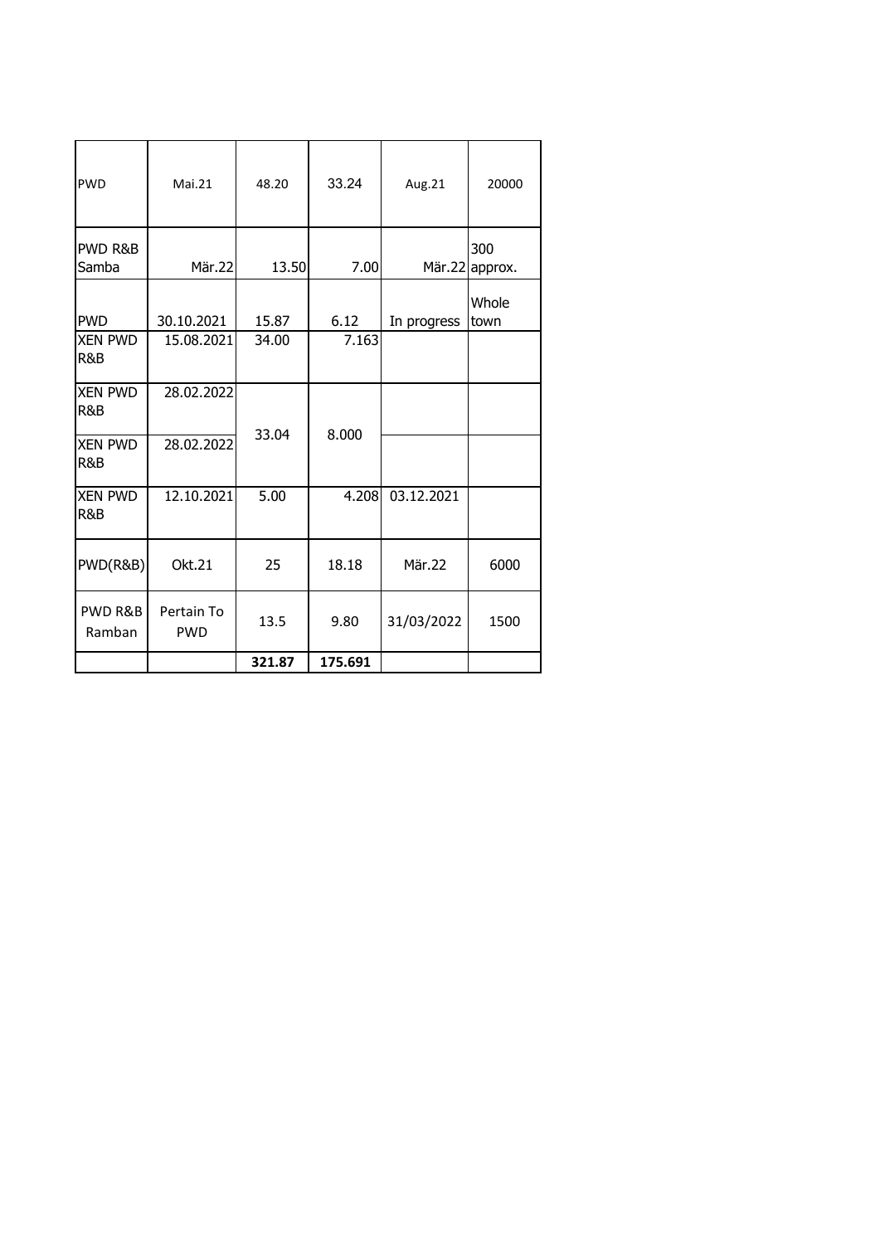| <b>PWD</b>                   | Mai.21                   | 48.20  | 33.24   | Aug.21      | 20000          |
|------------------------------|--------------------------|--------|---------|-------------|----------------|
|                              |                          |        |         |             |                |
| PWD R&B<br>Samba             | Mär.22                   | 13.50  | 7.00    | Mär.22      | 300<br>approx. |
| <b>PWD</b>                   | 30.10.2021               | 15.87  | 6.12    | In progress | Whole<br>town  |
| <b>XEN PWD</b><br>R&B        | 15.08.2021               | 34.00  | 7.163   |             |                |
| <b>XEN PWD</b><br>R&B        | 28.02.2022               |        |         |             |                |
| <b>XEN PWD</b><br>R&B        | 28.02.2022               | 33.04  | 8.000   |             |                |
| <b>XEN PWD</b><br>R&B        | 12.10.2021               | 5.00   | 4.208   | 03.12.2021  |                |
| PWD(R&B)                     | Okt.21                   | 25     | 18.18   | Mär.22      | 6000           |
| <b>PWD R&amp;B</b><br>Ramban | Pertain To<br><b>PWD</b> | 13.5   | 9.80    | 31/03/2022  | 1500           |
|                              |                          | 321.87 | 175.691 |             |                |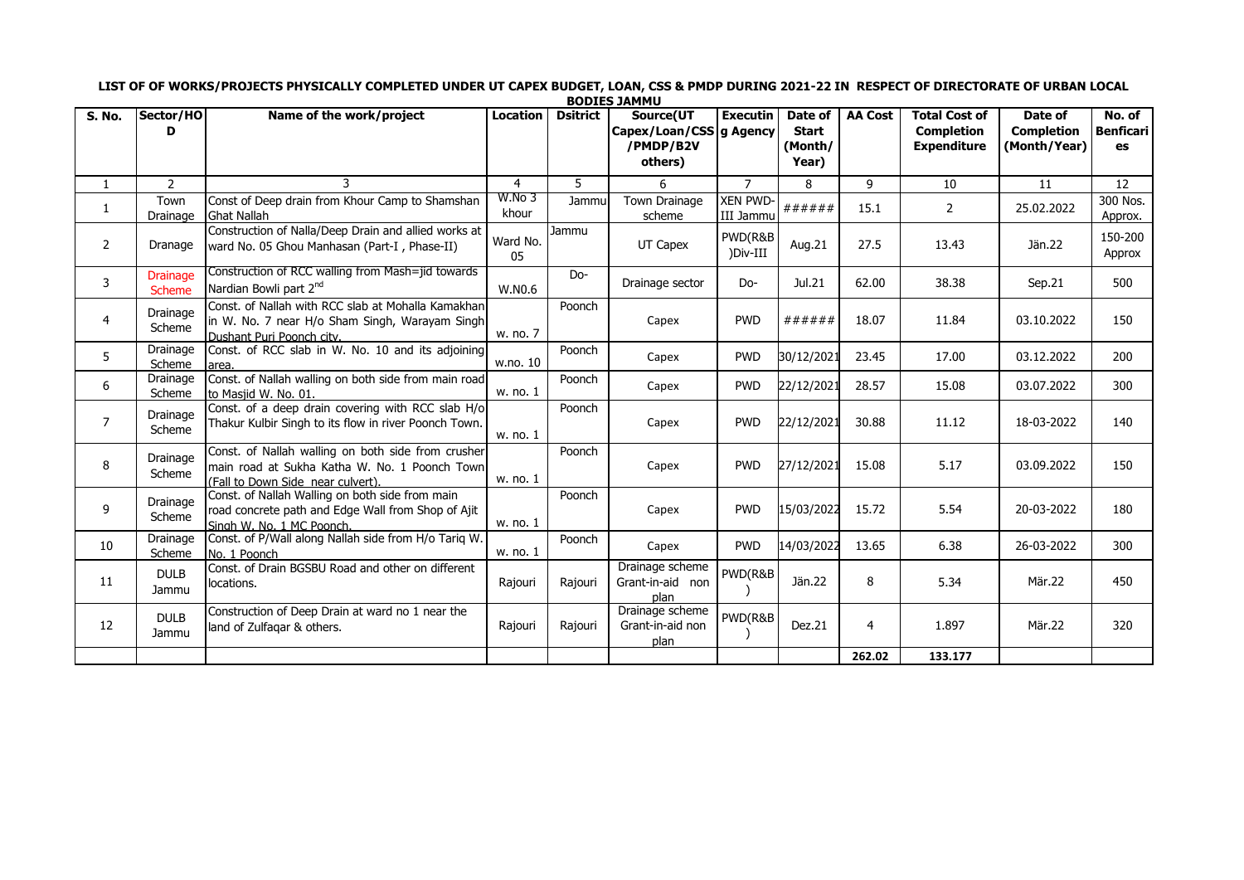|                |                                  |                                                                                                                                          |                 |                 | <b>BODIES JAMMU</b>                                 |                                    |                                             |                |                                                                 |                                              |                                  |
|----------------|----------------------------------|------------------------------------------------------------------------------------------------------------------------------------------|-----------------|-----------------|-----------------------------------------------------|------------------------------------|---------------------------------------------|----------------|-----------------------------------------------------------------|----------------------------------------------|----------------------------------|
| S. No.         | Sector/HO<br>D                   | Name of the work/project                                                                                                                 | <b>Location</b> | <b>Dsitrict</b> | Source(UT<br>Capex/Loan/CSS<br>/PMDP/B2V<br>others) | <b>Executin</b><br><b>q</b> Agency | Date of<br><b>Start</b><br>(Month/<br>Year) | <b>AA Cost</b> | <b>Total Cost of</b><br><b>Completion</b><br><b>Expenditure</b> | Date of<br><b>Completion</b><br>(Month/Year) | No. of<br><b>Benficari</b><br>es |
| $\mathbf{1}$   | $\overline{2}$                   | 3                                                                                                                                        | $\overline{4}$  | 5.              | 6.                                                  | $\overline{7}$                     | 8                                           | 9              | 10                                                              | 11                                           | 12                               |
| 1              | Town<br>Drainage                 | Const of Deep drain from Khour Camp to Shamshan<br><b>Ghat Nallah</b>                                                                    | W.No 3<br>khour | Jammu           | <b>Town Drainage</b><br>scheme                      | <b>XEN PWD-</b><br>III Jammu       | ######                                      | 15.1           | $\overline{2}$                                                  | 25.02.2022                                   | 300 Nos.<br>Approx.              |
| $\overline{2}$ | Dranage                          | Construction of Nalla/Deep Drain and allied works at<br>ward No. 05 Ghou Manhasan (Part-I, Phase-II)                                     | Ward No.<br>05  | Jammu           | UT Capex                                            | PWD(R&B<br>)Div-III                | Aug.21                                      | 27.5           | 13.43                                                           | Jän.22                                       | 150-200<br>Approx                |
| 3              | <b>Drainage</b><br><b>Scheme</b> | Construction of RCC walling from Mash=jid towards<br>Nardian Bowli part 2nd                                                              | W.N0.6          | Do-             | Drainage sector                                     | Do-                                | Jul.21                                      | 62.00          | 38.38                                                           | Sep.21                                       | 500                              |
| 4              | Drainage<br>Scheme               | Const. of Nallah with RCC slab at Mohalla Kamakhan<br>in W. No. 7 near H/o Sham Singh, Warayam Singh<br>Dushant Puri Poonch city.        | w. no. 7        | Poonch          | Capex                                               | <b>PWD</b>                         | ######                                      | 18.07          | 11.84                                                           | 03.10.2022                                   | 150                              |
| 5              | Drainage<br>Scheme               | Const. of RCC slab in W. No. 10 and its adjoining<br>area.                                                                               | w.no. 10        | Poonch          | Capex                                               | <b>PWD</b>                         | 30/12/2021                                  | 23.45          | 17.00                                                           | 03.12.2022                                   | 200                              |
| 6              | Drainage<br>Scheme               | Const. of Nallah walling on both side from main road<br>to Masjid W. No. 01.                                                             | w. no. 1        | Poonch          | Capex                                               | <b>PWD</b>                         | 22/12/2021                                  | 28.57          | 15.08                                                           | 03.07.2022                                   | 300                              |
| $\overline{7}$ | Drainage<br>Scheme               | Const. of a deep drain covering with RCC slab H/o<br>Thakur Kulbir Singh to its flow in river Poonch Town.                               | w. no. 1        | Poonch          | Capex                                               | <b>PWD</b>                         | 22/12/2021                                  | 30.88          | 11.12                                                           | 18-03-2022                                   | 140                              |
| 8              | Drainage<br>Scheme               | Const. of Nallah walling on both side from crusher<br>main road at Sukha Katha W. No. 1 Poonch Town<br>(Fall to Down Side near culvert). | w. no. 1        | Poonch          | Capex                                               | <b>PWD</b>                         | 27/12/2021                                  | 15.08          | 5.17                                                            | 03.09.2022                                   | 150                              |
| 9              | Drainage<br>Scheme               | Const. of Nallah Walling on both side from main<br>road concrete path and Edge Wall from Shop of Ajit<br>Singh W. No. 1 MC Poonch.       | w. no. 1        | Poonch          | Capex                                               | <b>PWD</b>                         | 15/03/2022                                  | 15.72          | 5.54                                                            | 20-03-2022                                   | 180                              |
| 10             | Drainage<br>Scheme               | Const. of P/Wall along Nallah side from H/o Tariq W.<br>No. 1 Poonch                                                                     | w. no. 1        | Poonch          | Capex                                               | <b>PWD</b>                         | 14/03/2022                                  | 13.65          | 6.38                                                            | 26-03-2022                                   | 300                              |
| 11             | <b>DULB</b><br>Jammu             | Const. of Drain BGSBU Road and other on different<br>locations.                                                                          | Rajouri         | Rajouri         | Drainage scheme<br>Grant-in-aid non<br>plan         | PWD(R&B                            | Jän.22                                      | 8              | 5.34                                                            | Mär.22                                       | 450                              |
| 12             | <b>DULB</b><br>Jammu             | Construction of Deep Drain at ward no 1 near the<br>land of Zulfaqar & others.                                                           | Rajouri         | Rajouri         | Drainage scheme<br>Grant-in-aid non<br>plan         | PWD(R&B                            | Dez.21                                      | $\overline{4}$ | 1.897                                                           | Mär.22                                       | 320                              |
|                |                                  |                                                                                                                                          |                 |                 |                                                     |                                    |                                             | 262.02         | 133.177                                                         |                                              |                                  |

**LIST OF OF WORKS/PROJECTS PHYSICALLY COMPLETED UNDER UT CAPEX BUDGET, LOAN, CSS & PMDP DURING 2021-22 IN RESPECT OF DIRECTORATE OF URBAN LOCAL**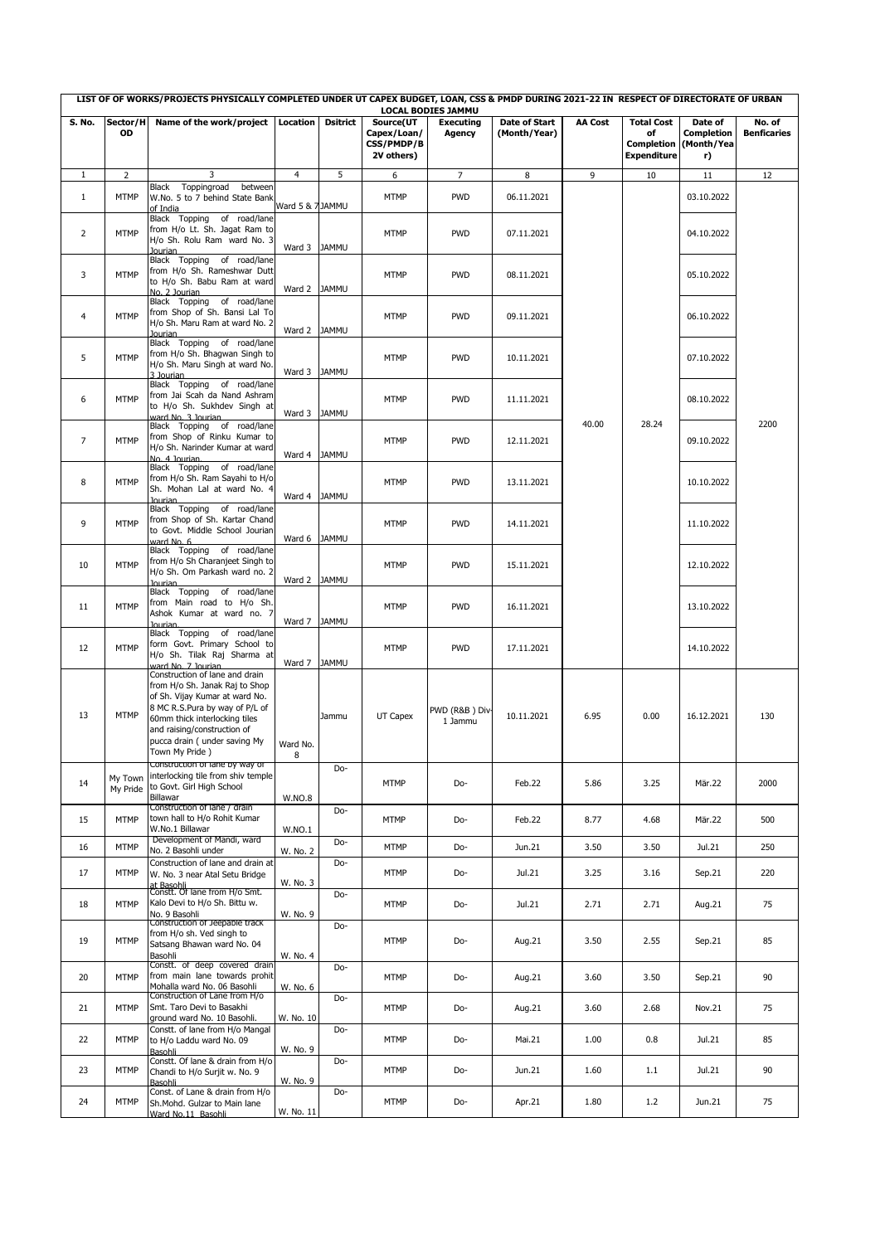| LIST OF OF WORKS/PROJECTS PHYSICALLY COMPLETED UNDER UT CAPEX BUDGET, LOAN, CSS & PMDP DURING 2021-22 IN RESPECT OF DIRECTORATE OF URBAN<br><b>LOCAL BODIES JAMMU</b> |                     |                                                                                                                                                                                                                                                         |                  |                 |                                         |                           |               |                |                                               |                                       |                    |
|-----------------------------------------------------------------------------------------------------------------------------------------------------------------------|---------------------|---------------------------------------------------------------------------------------------------------------------------------------------------------------------------------------------------------------------------------------------------------|------------------|-----------------|-----------------------------------------|---------------------------|---------------|----------------|-----------------------------------------------|---------------------------------------|--------------------|
| S. No.                                                                                                                                                                | Sector/H            | Name of the work/project                                                                                                                                                                                                                                | Location         | <b>Dsitrict</b> | Source(UT                               | <b>Executing</b>          | Date of Start | <b>AA Cost</b> | <b>Total Cost</b>                             | Date of                               | No. of             |
|                                                                                                                                                                       | OD                  |                                                                                                                                                                                                                                                         |                  |                 | Capex/Loan/<br>CSS/PMDP/B<br>2V others) | Agency                    | (Month/Year)  |                | of<br><b>Completion</b><br><b>Expenditure</b> | <b>Completion</b><br>(Month/Yea<br>r) | <b>Benficaries</b> |
| $\mathbf{1}$                                                                                                                                                          | $\overline{2}$      | 3                                                                                                                                                                                                                                                       | $\overline{4}$   | 5               | 6                                       | $\overline{7}$            | 8             | 9              | 10                                            | 11                                    | 12                 |
| $\mathbf{1}$                                                                                                                                                          | <b>MTMP</b>         | Toppingroad<br>between<br>Black<br>W.No. 5 to 7 behind State Bank<br>of India                                                                                                                                                                           | Ward 5 & 7 JAMMU |                 | <b>MTMP</b>                             | <b>PWD</b>                | 06.11.2021    |                |                                               | 03.10.2022                            |                    |
| $\overline{2}$                                                                                                                                                        | <b>MTMP</b>         | Black Topping of road/lane<br>from H/o Lt. Sh. Jagat Ram to<br>H/o Sh. Rolu Ram ward No. 3<br>lourian                                                                                                                                                   | Ward 3           | <b>JAMMU</b>    | <b>MTMP</b>                             | <b>PWD</b>                | 07.11.2021    |                |                                               | 04.10.2022                            |                    |
| 3                                                                                                                                                                     | <b>MTMP</b>         | Black Topping of road/lane<br>from H/o Sh. Rameshwar Dutt<br>to H/o Sh. Babu Ram at ward<br>No. 2 Jourian                                                                                                                                               | Ward 2           | <b>JAMMU</b>    | <b>MTMP</b>                             | <b>PWD</b>                | 08.11.2021    |                |                                               | 05.10.2022                            |                    |
| 4                                                                                                                                                                     | <b>MTMP</b>         | Black Topping of road/lane<br>from Shop of Sh. Bansi Lal To<br>H/o Sh. Maru Ram at ward No. 2<br><b>Jourian</b>                                                                                                                                         | Ward 2 JAMMU     |                 | <b>MTMP</b>                             | <b>PWD</b>                | 09.11.2021    |                |                                               | 06.10.2022                            |                    |
| 5                                                                                                                                                                     | <b>MTMP</b>         | Black Topping of road/lane<br>from H/o Sh. Bhagwan Singh to<br>H/o Sh. Maru Singh at ward No.<br>3 Jourian                                                                                                                                              | Ward 3 JAMMU     |                 | <b>MTMP</b>                             | <b>PWD</b>                | 10.11.2021    |                |                                               | 07.10.2022                            |                    |
| 6                                                                                                                                                                     | <b>MTMP</b>         | Black Topping of road/lane<br>from Jai Scah da Nand Ashram<br>to H/o Sh. Sukhdev Singh at<br>ward No. 3 Jourian                                                                                                                                         | Ward 3           | <b>JAMMU</b>    | <b>MTMP</b>                             | <b>PWD</b>                | 11.11.2021    |                |                                               | 08.10.2022                            |                    |
| $\overline{7}$                                                                                                                                                        | <b>MTMP</b>         | Black Topping of road/lane<br>from Shop of Rinku Kumar to<br>H/o Sh. Narinder Kumar at ward<br>No. 4 Jourian                                                                                                                                            | Ward 4 JAMMU     |                 | <b>MTMP</b>                             | <b>PWD</b>                | 12.11.2021    | 40.00          | 28.24                                         | 09.10.2022                            | 2200               |
| 8                                                                                                                                                                     | <b>MTMP</b>         | Black Topping of road/lane<br>from H/o Sh. Ram Sayahi to H/o<br>Sh. Mohan Lal at ward No. 4<br><b>Jourian</b>                                                                                                                                           | Ward 4 JAMMU     |                 | <b>MTMP</b>                             | <b>PWD</b>                | 13.11.2021    |                |                                               | 10.10.2022                            |                    |
| 9                                                                                                                                                                     | <b>MTMP</b>         | Black Topping of road/lane<br>from Shop of Sh. Kartar Chand<br>to Govt. Middle School Jourian<br>ward No. 6                                                                                                                                             | Ward 6           | <b>JAMMU</b>    | <b>MTMP</b>                             | <b>PWD</b>                | 14.11.2021    |                |                                               | 11.10.2022                            |                    |
| 10                                                                                                                                                                    | <b>MTMP</b>         | Black Topping of road/lane<br>from H/o Sh Charanjeet Singh to<br>H/o Sh. Om Parkash ward no. 2<br>lourian                                                                                                                                               | Ward 2 JAMMU     |                 | <b>MTMP</b>                             | <b>PWD</b>                | 15.11.2021    |                |                                               | 12.10.2022                            |                    |
| 11                                                                                                                                                                    | <b>MTMP</b>         | Black Topping of road/lane<br>from Main road to H/o Sh.<br>Ashok Kumar at ward no. 7<br>lourian.                                                                                                                                                        | Ward 7           | <b>JAMMU</b>    | <b>MTMP</b>                             | <b>PWD</b>                | 16.11.2021    |                |                                               | 13.10.2022                            |                    |
| 12                                                                                                                                                                    | <b>MTMP</b>         | Black Topping of road/lane<br>form Govt. Primary School to<br>H/o Sh. Tilak Raj Sharma at<br>ward No. 7 Jourian                                                                                                                                         | Ward 7           | <b>JAMMU</b>    | <b>MTMP</b>                             | <b>PWD</b>                | 17.11.2021    |                |                                               | 14.10.2022                            |                    |
| 13                                                                                                                                                                    | <b>MTMP</b>         | Construction of lane and drain<br>from H/o Sh. Janak Raj to Shop<br>of Sh. Vijay Kumar at ward No.<br>8 MC R.S.Pura by way of P/L of<br>60mm thick interlocking tiles<br>and raising/construction of<br>pucca drain ( under saving My<br>Town My Pride) | Ward No.<br>8    | Jammu           | UT Capex                                | PWD (R&B) Div-<br>1 Jammu | 10.11.2021    | 6.95           | 0.00                                          | 16.12.2021                            | 130                |
| 14                                                                                                                                                                    | My Town<br>My Pride | Construction or lane by way or<br>interlocking tile from shiv temple<br>to Govt. Girl High School<br>Billawar                                                                                                                                           | <b>W.NO.8</b>    | Do-             | <b>MTMP</b>                             | Do-                       | Feb.22        | 5.86           | 3.25                                          | Mär.22                                | 2000               |
| 15                                                                                                                                                                    | <b>MTMP</b>         | Construction of lane / drain<br>town hall to H/o Rohit Kumar<br>W.No.1 Billawar<br>Development of Mandi, ward                                                                                                                                           | W.NO.1           | Do-             | <b>MTMP</b>                             | Do-                       | Feb.22        | 8.77           | 4.68                                          | Mär.22                                | 500                |
| 16                                                                                                                                                                    | <b>MTMP</b>         | No. 2 Basohli under                                                                                                                                                                                                                                     | W. No. 2         | Do-             | MTMP                                    | Do-                       | Jun.21        | 3.50           | 3.50                                          | Jul.21                                | 250                |
| 17                                                                                                                                                                    | <b>MTMP</b>         | Construction of lane and drain at<br>W. No. 3 near Atal Setu Bridge<br>at Basohli<br>Constt. Of lane from H/o Smt.                                                                                                                                      | W. No. 3         | Do-             | <b>MTMP</b>                             | Do-                       | Jul.21        | 3.25           | 3.16                                          | Sep.21                                | 220                |
| 18                                                                                                                                                                    | <b>MTMP</b>         | Kalo Devi to H/o Sh. Bittu w.<br>No. 9 Basohli                                                                                                                                                                                                          | W. No. 9         | Do-             | MTMP                                    | Do-                       | Jul.21        | 2.71           | 2.71                                          | Aug.21                                | 75                 |
| 19                                                                                                                                                                    | <b>MTMP</b>         | Construction of Jeepable track<br>from H/o sh. Ved singh to<br>Satsang Bhawan ward No. 04<br>Basohli                                                                                                                                                    | W. No. 4         | Do-             | <b>MTMP</b>                             | Do-                       | Aug.21        | 3.50           | 2.55                                          | Sep.21                                | 85                 |
| 20                                                                                                                                                                    | <b>MTMP</b>         | Constt. of deep covered drain<br>from main lane towards prohit<br>Mohalla ward No. 06 Basohli                                                                                                                                                           | W. No. 6         | Do-             | <b>MTMP</b>                             | Do-                       | Aug.21        | 3.60           | 3.50                                          | Sep.21                                | 90                 |
| 21                                                                                                                                                                    | <b>MTMP</b>         | Construction of Lane from H/o<br>Smt. Taro Devi to Basakhi<br>ground ward No. 10 Basohli.                                                                                                                                                               | W. No. 10        | Do-             | <b>MTMP</b>                             | Do-                       | Aug.21        | 3.60           | 2.68                                          | Nov.21                                | 75                 |
| 22                                                                                                                                                                    | <b>MTMP</b>         | Constt. of lane from H/o Mangal<br>to H/o Laddu ward No. 09<br>Basohli                                                                                                                                                                                  | W. No. 9         | Do-             | <b>MTMP</b>                             | Do-                       | Mai.21        | 1.00           | 0.8                                           | Jul.21                                | 85                 |
| 23                                                                                                                                                                    | <b>MTMP</b>         | Constt. Of lane & drain from H/o<br>Chandi to H/o Surjit w. No. 9<br>Basohli                                                                                                                                                                            | W. No. 9         | Do-             | <b>MTMP</b>                             | Do-                       | Jun.21        | 1.60           | 1.1                                           | Jul.21                                | 90                 |
| 24                                                                                                                                                                    | <b>MTMP</b>         | Const. of Lane & drain from H/o<br>Sh.Mohd. Gulzar to Main lane<br>Ward No.11 Basohli                                                                                                                                                                   | W. No. 11        | Do-             | MTMP                                    | Do-                       | Apr.21        | 1.80           | 1.2                                           | Jun.21                                | 75                 |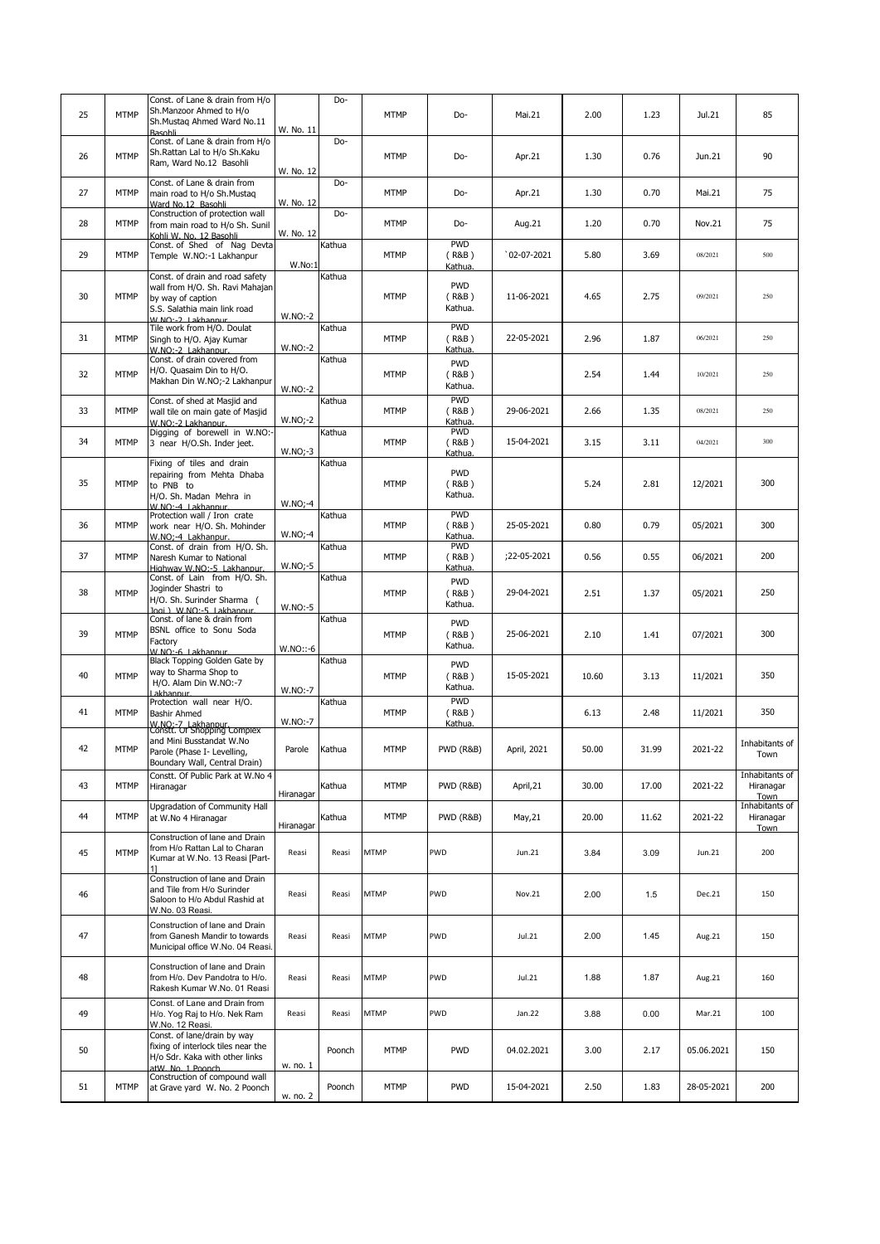| 25 | <b>MTMP</b> | Const. of Lane & drain from H/o<br>Sh.Manzoor Ahmed to H/o<br>Sh.Mustag Ahmed Ward No.11<br><b>Basobli</b>                                  | W. No. 11  | Do-    | <b>MTMP</b> | Do-                            | Mai.21       | 2.00  | 1.23  | Jul.21     | 85                                  |
|----|-------------|---------------------------------------------------------------------------------------------------------------------------------------------|------------|--------|-------------|--------------------------------|--------------|-------|-------|------------|-------------------------------------|
| 26 | <b>MTMP</b> | Const. of Lane & drain from H/o<br>Sh.Rattan Lal to H/o Sh.Kaku<br>Ram, Ward No.12 Basohli                                                  | W. No. 12  | Do-    | <b>MTMP</b> | Do-                            | Apr.21       | 1.30  | 0.76  | Jun.21     | 90                                  |
| 27 | <b>MTMP</b> | Const. of Lane & drain from<br>main road to H/o Sh.Mustaq<br>Ward No.12 Basohli                                                             | W. No. 12  | Do-    | MTMP        | Do-                            | Apr.21       | 1.30  | 0.70  | Mai.21     | 75                                  |
| 28 | <b>MTMP</b> | Construction of protection wall<br>from main road to H/o Sh. Sunil<br>Kohli W. No. 12 Basohli                                               | W. No. 12  | Do-    | MTMP        | Do-                            | Aug.21       | 1.20  | 0.70  | Nov.21     | 75                                  |
| 29 | <b>MTMP</b> | Const. of Shed of Nag Devta<br>Temple W.NO:-1 Lakhanpur                                                                                     | W.No:1     | Kathua | MTMP        | <b>PWD</b><br>(R&B)<br>Kathua  | $02-07-2021$ | 5.80  | 3.69  | 08/2021    | 500                                 |
| 30 | <b>MTMP</b> | Const. of drain and road safety<br>wall from H/O. Sh. Ravi Mahajan<br>by way of caption<br>S.S. Salathia main link road<br>W NO-2 Lakhannur | $W.NO:-2$  | Kathua | <b>MTMP</b> | <b>PWD</b><br>(R&B)<br>Kathua. | 11-06-2021   | 4.65  | 2.75  | 09/2021    | 250                                 |
| 31 | <b>MTMP</b> | Tile work from H/O. Doulat<br>Singh to H/O. Ajay Kumar<br>W.NO:-2 Lakhanpur.                                                                | $W.NO:-2$  | Kathua | <b>MTMP</b> | <b>PWD</b><br>(R&B)<br>Kathua  | 22-05-2021   | 2.96  | 1.87  | 06/2021    | 250                                 |
| 32 | <b>MTMP</b> | Const. of drain covered from<br>H/O. Quasaim Din to H/O.<br>Makhan Din W.NO;-2 Lakhanpur                                                    | $W.NO:-2$  | Kathua | MTMP        | <b>PWD</b><br>(R&B)<br>Kathua. |              | 2.54  | 1.44  | 10/2021    | 250                                 |
| 33 | <b>MTMP</b> | Const. of shed at Masjid and<br>wall tile on main gate of Masjid<br>W.NO:-2 Lakhannur.                                                      | $W.NO:-2$  | Kathua | <b>MTMP</b> | <b>PWD</b><br>(R&B)<br>Kathua  | 29-06-2021   | 2.66  | 1.35  | 08/2021    | 250                                 |
| 34 | <b>MTMP</b> | Digging of borewell in W.NO:-<br>3 near H/O.Sh. Inder jeet.                                                                                 | $W.NO:-3$  | Kathua | <b>MTMP</b> | <b>PWD</b><br>(R&B)<br>Kathua. | 15-04-2021   | 3.15  | 3.11  | 04/2021    | 300                                 |
| 35 | <b>MTMP</b> | Fixing of tiles and drain<br>repairing from Mehta Dhaba<br>to PNB to<br>H/O. Sh. Madan Mehra in<br>$W \ NO - 4$ Lakhannur                   | $W.NO:-4$  | Kathua | <b>MTMP</b> | <b>PWD</b><br>(R&B)<br>Kathua. |              | 5.24  | 2.81  | 12/2021    | 300                                 |
| 36 | <b>MTMP</b> | Protection wall / Iron crate<br>work near H/O. Sh. Mohinder<br>W.NO:-4 Lakhanpur.                                                           | $W.NO:-4$  | Kathua | MTMP        | <b>PWD</b><br>(R&B)<br>Kathua  | 25-05-2021   | 0.80  | 0.79  | 05/2021    | 300                                 |
| 37 | <b>MTMP</b> | Const. of drain from H/O. Sh.<br>Naresh Kumar to National<br>Highway W.NO:-5 Lakhanpur.                                                     | $W.NO:-5$  | Kathua | MTMP        | <b>PWD</b><br>(R&B)<br>Kathua  | ;22-05-2021  | 0.56  | 0.55  | 06/2021    | 200                                 |
| 38 | <b>MTMP</b> | Const. of Lain from H/O. Sh.<br>Joginder Shastri to<br>H/O. Sh. Surinder Sharma (<br>Jogi ) W.NO:-5 Lakhannur.                              | W.NO:-5    | Kathua | <b>MTMP</b> | <b>PWD</b><br>(R&B)<br>Kathua. | 29-04-2021   | 2.51  | 1.37  | 05/2021    | 250                                 |
| 39 | <b>MTMP</b> | Const. of lane & drain from<br>BSNL office to Sonu Soda<br>Factory<br>W.NO:-6 Lakhannur.                                                    | $W.NO::-6$ | Kathua | <b>MTMP</b> | <b>PWD</b><br>(R&B)<br>Kathua. | 25-06-2021   | 2.10  | 1.41  | 07/2021    | 300                                 |
| 40 | <b>MTMP</b> | Black Topping Golden Gate by<br>way to Sharma Shop to<br>H/O. Alam Din W.NO:-7<br>Lakhannur                                                 | W.NO:-7    | Kathua | MTMP        | <b>PWD</b><br>(R&B)<br>Kathua. | 15-05-2021   | 10.60 | 3.13  | 11/2021    | 350                                 |
| 41 | <b>MTMP</b> | Protection wall near H/O.<br><b>Bashir Ahmed</b><br>W.NO:-7 Lakhanpur.<br>Constt. Or Shopping Complex                                       | W.NO:-7    | Kathua | MTMP        | <b>PWD</b><br>(R&B)<br>Kathua  |              | 6.13  | 2.48  | 11/2021    | 350                                 |
| 42 | <b>MTMP</b> | and Mini Busstandat W.No<br>Parole (Phase I- Levelling,<br>Boundary Wall, Central Drain)                                                    | Parole     | Kathua | <b>MTMP</b> | PWD (R&B)                      | April, 2021  | 50.00 | 31.99 | 2021-22    | Inhabitants of<br>Town              |
| 43 | <b>MTMP</b> | Constt. Of Public Park at W.No 4<br>Hiranagar                                                                                               | Hiranagar  | Kathua | <b>MTMP</b> | <b>PWD (R&amp;B)</b>           | April, 21    | 30.00 | 17.00 | 2021-22    | Inhabitants of<br>Hiranagar<br>Town |
| 44 | <b>MTMP</b> | Upgradation of Community Hall<br>at W.No 4 Hiranagar                                                                                        | Hiranagar  | Kathua | <b>MTMP</b> | <b>PWD (R&amp;B)</b>           | May, 21      | 20.00 | 11.62 | 2021-22    | Inhabitants of<br>Hiranagar<br>Town |
| 45 | <b>MTMP</b> | Construction of lane and Drain<br>from H/o Rattan Lal to Charan<br>Kumar at W.No. 13 Reasi [Part-<br>11                                     | Reasi      | Reasi  | <b>MTMP</b> | PWD                            | Jun.21       | 3.84  | 3.09  | Jun.21     | 200                                 |
| 46 |             | Construction of lane and Drain<br>and Tile from H/o Surinder<br>Saloon to H/o Abdul Rashid at<br>W.No. 03 Reasi.                            | Reasi      | Reasi  | <b>MTMP</b> | PWD                            | Nov.21       | 2.00  | 1.5   | Dec.21     | 150                                 |
| 47 |             | Construction of lane and Drain<br>from Ganesh Mandir to towards<br>Municipal office W.No. 04 Reasi.                                         | Reasi      | Reasi  | <b>MTMP</b> | PWD                            | Jul.21       | 2.00  | 1.45  | Aug.21     | 150                                 |
| 48 |             | Construction of lane and Drain<br>from H/o. Dev Pandotra to H/o.<br>Rakesh Kumar W.No. 01 Reasi                                             | Reasi      | Reasi  | <b>MTMP</b> | PWD                            | Jul.21       | 1.88  | 1.87  | Aug.21     | 160                                 |
| 49 |             | Const. of Lane and Drain from<br>H/o. Yog Raj to H/o. Nek Ram<br>W.No. 12 Reasi.                                                            | Reasi      | Reasi  | <b>MTMP</b> | PWD                            | Jan.22       | 3.88  | 0.00  | Mar.21     | 100                                 |
| 50 |             | Const. of lane/drain by way<br>fixing of interlock tiles near the<br>H/o Sdr. Kaka with other links<br>atW. No. 1 Poonch                    | w. no. 1   | Poonch | <b>MTMP</b> | <b>PWD</b>                     | 04.02.2021   | 3.00  | 2.17  | 05.06.2021 | 150                                 |
| 51 | <b>MTMP</b> | Construction of compound wall<br>at Grave yard W. No. 2 Poonch                                                                              | w. no. 2   | Poonch | MTMP        | <b>PWD</b>                     | 15-04-2021   | 2.50  | 1.83  | 28-05-2021 | 200                                 |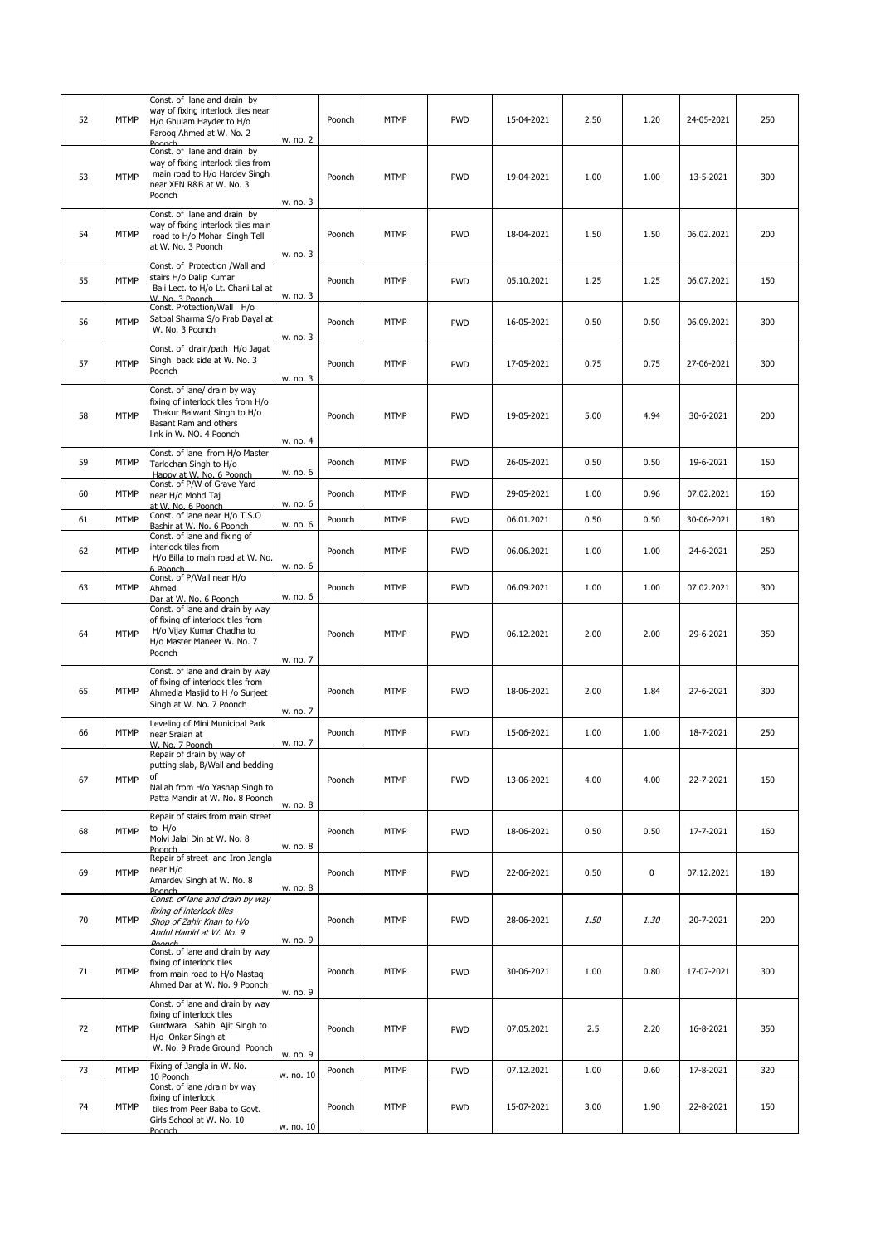| 52 | <b>MTMP</b> | Const. of lane and drain by<br>way of fixing interlock tiles near<br>H/o Ghulam Hayder to H/o<br>Faroog Ahmed at W. No. 2                             | w. no. 2  | Poonch | MTMP        | <b>PWD</b> | 15-04-2021 | 2.50 | 1.20        | 24-05-2021 | 250 |
|----|-------------|-------------------------------------------------------------------------------------------------------------------------------------------------------|-----------|--------|-------------|------------|------------|------|-------------|------------|-----|
| 53 | <b>MTMP</b> | Poonch<br>Const. of lane and drain by<br>way of fixing interlock tiles from<br>main road to H/o Hardev Singh<br>near XEN R&B at W. No. 3<br>Poonch    | w. no. 3  | Poonch | MTMP        | <b>PWD</b> | 19-04-2021 | 1.00 | 1.00        | 13-5-2021  | 300 |
| 54 | <b>MTMP</b> | Const. of lane and drain by<br>way of fixing interlock tiles main<br>road to H/o Mohar Singh Tell<br>at W. No. 3 Poonch                               | w. no. 3  | Poonch | <b>MTMP</b> | <b>PWD</b> | 18-04-2021 | 1.50 | 1.50        | 06.02.2021 | 200 |
| 55 | <b>MTMP</b> | Const. of Protection /Wall and<br>stairs H/o Dalip Kumar<br>Bali Lect. to H/o Lt. Chani Lal at<br>W. No. 3 Poonch                                     | w. no. 3  | Poonch | <b>MTMP</b> | <b>PWD</b> | 05.10.2021 | 1.25 | 1.25        | 06.07.2021 | 150 |
| 56 | <b>MTMP</b> | Const. Protection/Wall H/o<br>Satpal Sharma S/o Prab Dayal at<br>W. No. 3 Poonch                                                                      | w. no. 3  | Poonch | <b>MTMP</b> | <b>PWD</b> | 16-05-2021 | 0.50 | 0.50        | 06.09.2021 | 300 |
| 57 | <b>MTMP</b> | Const. of drain/path H/o Jagat<br>Singh back side at W. No. 3<br>Poonch                                                                               | w. no. 3  | Poonch | MTMP        | <b>PWD</b> | 17-05-2021 | 0.75 | 0.75        | 27-06-2021 | 300 |
| 58 | <b>MTMP</b> | Const. of lane/ drain by way<br>fixing of interlock tiles from H/o<br>Thakur Balwant Singh to H/o<br>Basant Ram and others<br>link in W. NO. 4 Poonch | w. no. 4  | Poonch | <b>MTMP</b> | <b>PWD</b> | 19-05-2021 | 5.00 | 4.94        | 30-6-2021  | 200 |
| 59 | <b>MTMP</b> | Const. of lane from H/o Master<br>Tarlochan Singh to H/o<br>Hanny at W. No. 6 Poonch                                                                  | w. no. 6  | Poonch | <b>MTMP</b> | <b>PWD</b> | 26-05-2021 | 0.50 | 0.50        | 19-6-2021  | 150 |
| 60 | <b>MTMP</b> | Const. of P/W of Grave Yard<br>near H/o Mohd Taj<br>at W. No. 6 Poonch                                                                                | w. no. 6  | Poonch | <b>MTMP</b> | <b>PWD</b> | 29-05-2021 | 1.00 | 0.96        | 07.02.2021 | 160 |
| 61 | <b>MTMP</b> | Const. of lane near H/o T.S.O<br>Bashir at W. No. 6 Poonch                                                                                            | w. no. 6  | Poonch | <b>MTMP</b> | <b>PWD</b> | 06.01.2021 | 0.50 | 0.50        | 30-06-2021 | 180 |
| 62 | <b>MTMP</b> | Const. of lane and fixing of<br>interlock tiles from<br>H/o Billa to main road at W. No.<br>6 Poonch                                                  | w. no. 6  | Poonch | <b>MTMP</b> | <b>PWD</b> | 06.06.2021 | 1.00 | 1.00        | 24-6-2021  | 250 |
| 63 | <b>MTMP</b> | Const. of P/Wall near H/o<br>Ahmed<br>Dar at W. No. 6 Poonch                                                                                          | w. no. 6  | Poonch | MTMP        | <b>PWD</b> | 06.09.2021 | 1.00 | 1.00        | 07.02.2021 | 300 |
| 64 | <b>MTMP</b> | Const. of lane and drain by way<br>of fixing of interlock tiles from<br>H/o Vijay Kumar Chadha to<br>H/o Master Maneer W. No. 7<br>Poonch             | w. no. 7  | Poonch | MTMP        | <b>PWD</b> | 06.12.2021 | 2.00 | 2.00        | 29-6-2021  | 350 |
| 65 | <b>MTMP</b> | Const. of lane and drain by way<br>of fixing of interlock tiles from<br>Ahmedia Masjid to H /o Surjeet<br>Singh at W. No. 7 Poonch                    | w. no. 7  | Poonch | MTMP        | <b>PWD</b> | 18-06-2021 | 2.00 | 1.84        | 27-6-2021  | 300 |
| 66 | <b>MTMP</b> | Leveling of Mini Municipal Park<br>near Sraian at<br>W. No. 7 Poonch                                                                                  | w. no. 7  | Poonch | MTMP        | <b>PWD</b> | 15-06-2021 | 1.00 | 1.00        | 18-7-2021  | 250 |
| 67 | <b>MTMP</b> | Repair of drain by way of<br>putting slab, B/Wall and bedding<br>of<br>Nallah from H/o Yashap Singh to<br>Patta Mandir at W. No. 8 Poonch             | w. no. 8  | Poonch | <b>MTMP</b> | <b>PWD</b> | 13-06-2021 | 4.00 | 4.00        | 22-7-2021  | 150 |
| 68 | <b>MTMP</b> | Repair of stairs from main street<br>to H/o<br>Molvi Jalal Din at W. No. 8<br>Poonch                                                                  | w. no. 8  | Poonch | <b>MTMP</b> | <b>PWD</b> | 18-06-2021 | 0.50 | 0.50        | 17-7-2021  | 160 |
| 69 | <b>MTMP</b> | Repair of street and Iron Jangla<br>near H/o<br>Amardev Singh at W. No. 8<br>Poonch                                                                   | w. no. 8  | Poonch | MTMP        | <b>PWD</b> | 22-06-2021 | 0.50 | $\mathbf 0$ | 07.12.2021 | 180 |
| 70 | <b>MTMP</b> | Const. of lane and drain by way<br>fixing of interlock tiles<br>Shop of Zahir Khan to H/o<br>Abdul Hamid at W. No. 9<br>Poonch                        | w. no. 9  | Poonch | <b>MTMP</b> | <b>PWD</b> | 28-06-2021 | 1.50 | 1.30        | 20-7-2021  | 200 |
| 71 | <b>MTMP</b> | Const. of lane and drain by way<br>fixing of interlock tiles<br>from main road to H/o Mastaq<br>Ahmed Dar at W. No. 9 Poonch                          | w. no. 9  | Poonch | <b>MTMP</b> | <b>PWD</b> | 30-06-2021 | 1.00 | 0.80        | 17-07-2021 | 300 |
| 72 | <b>MTMP</b> | Const. of lane and drain by way<br>fixing of interlock tiles<br>Gurdwara Sahib Ajit Singh to<br>H/o Onkar Singh at<br>W. No. 9 Prade Ground Poonch    | w. no. 9  | Poonch | <b>MTMP</b> | <b>PWD</b> | 07.05.2021 | 2.5  | 2.20        | 16-8-2021  | 350 |
| 73 | <b>MTMP</b> | Fixing of Jangla in W. No.<br>10 Poonch                                                                                                               | w. no. 10 | Poonch | <b>MTMP</b> | <b>PWD</b> | 07.12.2021 | 1.00 | 0.60        | 17-8-2021  | 320 |
| 74 | <b>MTMP</b> | Const. of lane /drain by way<br>fixing of interlock<br>tiles from Peer Baba to Govt.<br>Girls School at W. No. 10<br>Poonch                           | w. no. 10 | Poonch | <b>MTMP</b> | <b>PWD</b> | 15-07-2021 | 3.00 | 1.90        | 22-8-2021  | 150 |
|    |             |                                                                                                                                                       |           |        |             |            |            |      |             |            |     |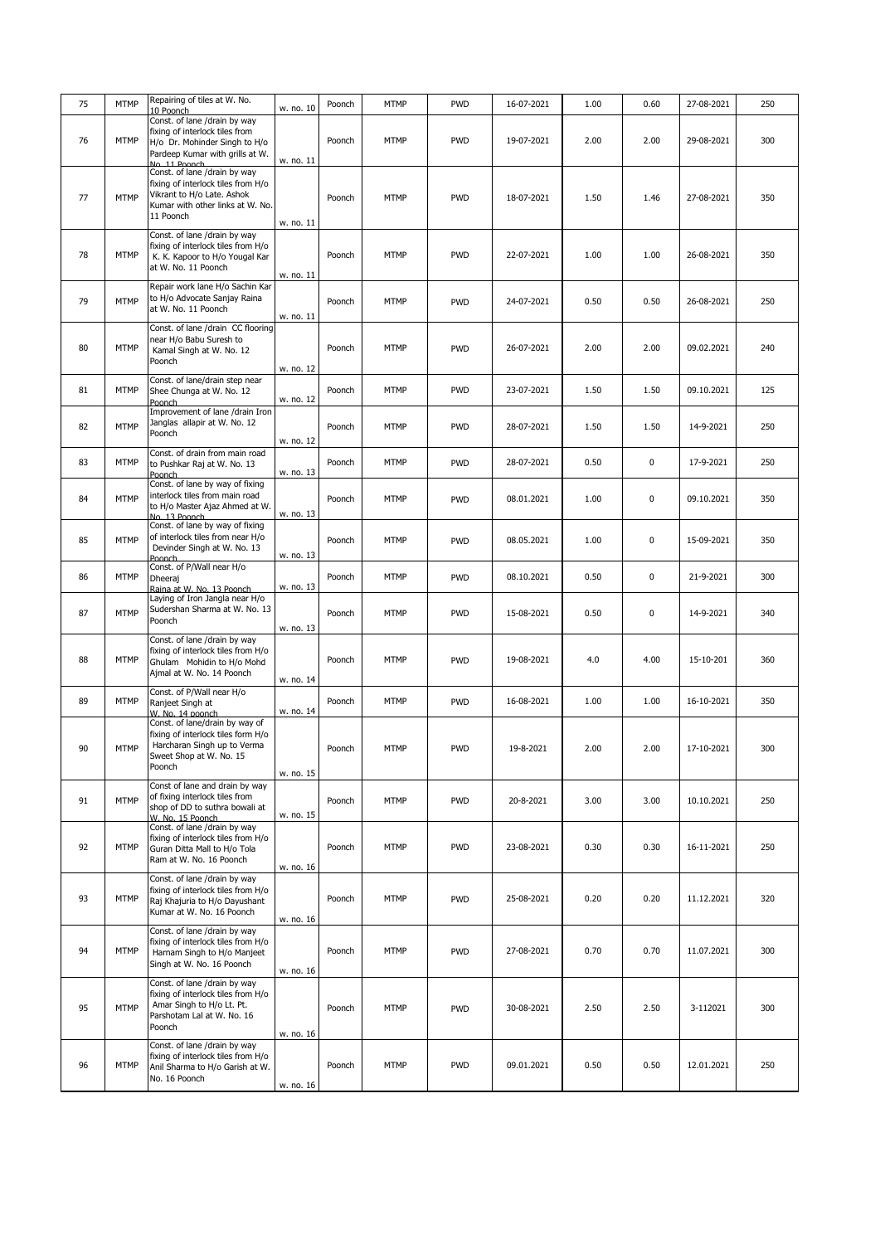| 75 | <b>MTMP</b> | Repairing of tiles at W. No.                                          |           | Poonch | <b>MTMP</b> | <b>PWD</b> | 16-07-2021 | 1.00 | 0.60      | 27-08-2021 | 250 |
|----|-------------|-----------------------------------------------------------------------|-----------|--------|-------------|------------|------------|------|-----------|------------|-----|
|    |             | 10 Poonch<br>Const. of lane /drain by way                             | w. no. 10 |        |             |            |            |      |           |            |     |
|    |             | fixing of interlock tiles from                                        |           |        |             |            |            |      |           |            |     |
| 76 | <b>MTMP</b> | H/o Dr. Mohinder Singh to H/o                                         |           | Poonch | <b>MTMP</b> | <b>PWD</b> | 19-07-2021 | 2.00 | 2.00      | 29-08-2021 | 300 |
|    |             | Pardeep Kumar with grills at W.                                       | w. no. 11 |        |             |            |            |      |           |            |     |
|    |             | No. 11 Poonch<br>Const. of lane /drain by way                         |           |        |             |            |            |      |           |            |     |
|    |             | fixing of interlock tiles from H/o                                    |           |        |             |            |            |      |           |            |     |
| 77 | <b>MTMP</b> | Vikrant to H/o Late. Ashok                                            |           | Poonch | <b>MTMP</b> | <b>PWD</b> | 18-07-2021 | 1.50 | 1.46      | 27-08-2021 | 350 |
|    |             | Kumar with other links at W. No.<br>11 Poonch                         |           |        |             |            |            |      |           |            |     |
|    |             |                                                                       | w. no. 11 |        |             |            |            |      |           |            |     |
|    |             | Const. of lane /drain by way                                          |           |        |             |            |            |      |           |            |     |
| 78 | <b>MTMP</b> | fixing of interlock tiles from H/o<br>K. K. Kapoor to H/o Yougal Kar  |           | Poonch | <b>MTMP</b> | <b>PWD</b> | 22-07-2021 | 1.00 | 1.00      | 26-08-2021 | 350 |
|    |             | at W. No. 11 Poonch                                                   |           |        |             |            |            |      |           |            |     |
|    |             |                                                                       | w. no. 11 |        |             |            |            |      |           |            |     |
|    |             | Repair work lane H/o Sachin Kar<br>to H/o Advocate Sanjay Raina       |           |        |             |            |            |      |           |            |     |
| 79 | <b>MTMP</b> | at W. No. 11 Poonch                                                   |           | Poonch | <b>MTMP</b> | <b>PWD</b> | 24-07-2021 | 0.50 | 0.50      | 26-08-2021 | 250 |
|    |             |                                                                       | w. no. 11 |        |             |            |            |      |           |            |     |
|    |             | Const. of lane /drain CC flooring<br>near H/o Babu Suresh to          |           |        |             |            |            |      |           |            |     |
| 80 | <b>MTMP</b> | Kamal Singh at W. No. 12                                              |           | Poonch | <b>MTMP</b> | <b>PWD</b> | 26-07-2021 | 2.00 | 2.00      | 09.02.2021 | 240 |
|    |             | Poonch                                                                | w. no. 12 |        |             |            |            |      |           |            |     |
|    |             | Const. of lane/drain step near                                        |           |        |             |            |            |      |           |            |     |
| 81 | <b>MTMP</b> | Shee Chunga at W. No. 12                                              |           | Poonch | <b>MTMP</b> | <b>PWD</b> | 23-07-2021 | 1.50 | 1.50      | 09.10.2021 | 125 |
|    |             | Poonch<br>Improvement of lane /drain Iron                             | w. no. 12 |        |             |            |            |      |           |            |     |
|    |             | Janglas allapir at W. No. 12                                          |           |        |             |            |            |      |           |            |     |
| 82 | <b>MTMP</b> | Poonch                                                                |           | Poonch | <b>MTMP</b> | <b>PWD</b> | 28-07-2021 | 1.50 | 1.50      | 14-9-2021  | 250 |
|    |             | Const. of drain from main road                                        | w. no. 12 |        |             |            |            |      |           |            |     |
| 83 | <b>MTMP</b> | to Pushkar Raj at W. No. 13                                           |           | Poonch | <b>MTMP</b> | <b>PWD</b> | 28-07-2021 | 0.50 | 0         | 17-9-2021  | 250 |
|    |             | Poonch                                                                | w. no. 13 |        |             |            |            |      |           |            |     |
|    |             | Const. of lane by way of fixing                                       |           |        |             |            |            |      |           |            |     |
| 84 | <b>MTMP</b> | interlock tiles from main road<br>to H/o Master Ajaz Ahmed at W.      |           | Poonch | <b>MTMP</b> | <b>PWD</b> | 08.01.2021 | 1.00 | 0         | 09.10.2021 | 350 |
|    |             | No. 13 Poonch                                                         | w. no. 13 |        |             |            |            |      |           |            |     |
|    |             | Const. of lane by way of fixing<br>of interlock tiles from near H/o   |           |        |             |            |            |      |           |            |     |
| 85 | <b>MTMP</b> | Devinder Singh at W. No. 13                                           |           | Poonch | <b>MTMP</b> | <b>PWD</b> | 08.05.2021 | 1.00 | $\pmb{0}$ | 15-09-2021 | 350 |
|    |             | Poonch                                                                | w. no. 13 |        |             |            |            |      |           |            |     |
| 86 | <b>MTMP</b> | Const. of P/Wall near H/o<br>Dheeraj                                  |           | Poonch | <b>MTMP</b> | <b>PWD</b> | 08.10.2021 | 0.50 | 0         | 21-9-2021  | 300 |
|    |             | Raina at W. No. 13 Poonch                                             | w. no. 13 |        |             |            |            |      |           |            |     |
|    |             | Laying of Iron Jangla near H/o                                        |           |        |             |            |            |      |           |            |     |
| 87 | <b>MTMP</b> | Sudershan Sharma at W. No. 13<br>Poonch                               |           | Poonch | <b>MTMP</b> | <b>PWD</b> | 15-08-2021 | 0.50 | 0         | 14-9-2021  | 340 |
|    |             |                                                                       | w. no. 13 |        |             |            |            |      |           |            |     |
|    |             | Const. of lane /drain by way                                          |           |        |             |            |            |      |           |            |     |
| 88 | <b>MTMP</b> | fixing of interlock tiles from H/o<br>Ghulam Mohidin to H/o Mohd      |           | Poonch | <b>MTMP</b> | <b>PWD</b> | 19-08-2021 | 4.0  | 4.00      | 15-10-201  | 360 |
|    |             | Ajmal at W. No. 14 Poonch                                             |           |        |             |            |            |      |           |            |     |
|    |             |                                                                       | w. no. 14 |        |             |            |            |      |           |            |     |
| 89 | <b>MTMP</b> | Const. of P/Wall near H/o<br>Ranjeet Singh at                         |           | Poonch | <b>MTMP</b> | <b>PWD</b> | 16-08-2021 | 1.00 | 1.00      | 16-10-2021 | 350 |
|    |             | W. No. 14 poonch                                                      | w. no. 14 |        |             |            |            |      |           |            |     |
|    |             | Const. of lane/drain by way of                                        |           |        |             |            |            |      |           |            |     |
|    |             | fixing of interlock tiles form H/o<br>Harcharan Singh up to Verma     |           |        |             |            |            |      |           |            |     |
| 90 | <b>MTMP</b> | Sweet Shop at W. No. 15                                               |           | Poonch | <b>MTMP</b> | <b>PWD</b> | 19-8-2021  | 2.00 | 2.00      | 17-10-2021 | 300 |
|    |             | Poonch                                                                | w. no. 15 |        |             |            |            |      |           |            |     |
|    |             | Const of lane and drain by way                                        |           |        |             |            |            |      |           |            |     |
| 91 | <b>MTMP</b> | of fixing interlock tiles from                                        |           | Poonch | <b>MTMP</b> | <b>PWD</b> | 20-8-2021  | 3.00 | 3.00      | 10.10.2021 | 250 |
|    |             | shop of DD to suthra bowali at<br>W. No. 15 Poonch                    | w. no. 15 |        |             |            |            |      |           |            |     |
|    |             | Const. of lane /drain by way                                          |           |        |             |            |            |      |           |            |     |
|    |             | fixing of interlock tiles from H/o                                    |           |        |             |            |            |      |           |            |     |
| 92 | <b>MTMP</b> | Guran Ditta Mall to H/o Tola                                          |           | Poonch | <b>MTMP</b> | <b>PWD</b> | 23-08-2021 | 0.30 | 0.30      | 16-11-2021 | 250 |
|    |             | Ram at W. No. 16 Poonch                                               | w. no. 16 |        |             |            |            |      |           |            |     |
|    |             | Const. of lane /drain by way                                          |           |        |             |            |            |      |           |            |     |
| 93 | <b>MTMP</b> | fixing of interlock tiles from H/o                                    |           | Poonch | <b>MTMP</b> | <b>PWD</b> | 25-08-2021 | 0.20 | 0.20      | 11.12.2021 | 320 |
|    |             | Raj Khajuria to H/o Dayushant<br>Kumar at W. No. 16 Poonch            |           |        |             |            |            |      |           |            |     |
|    |             |                                                                       | w. no. 16 |        |             |            |            |      |           |            |     |
|    |             | Const. of lane /drain by way                                          |           |        |             |            |            |      |           |            |     |
| 94 | <b>MTMP</b> | fixing of interlock tiles from H/o<br>Harnam Singh to H/o Manjeet     |           | Poonch | <b>MTMP</b> | <b>PWD</b> | 27-08-2021 | 0.70 | 0.70      | 11.07.2021 | 300 |
|    |             | Singh at W. No. 16 Poonch                                             |           |        |             |            |            |      |           |            |     |
|    |             | Const. of lane /drain by way                                          | w. no. 16 |        |             |            |            |      |           |            |     |
|    |             | fixing of interlock tiles from H/o                                    |           |        |             |            |            |      |           |            |     |
| 95 | <b>MTMP</b> | Amar Singh to H/o Lt. Pt.                                             |           | Poonch | <b>MTMP</b> | <b>PWD</b> | 30-08-2021 | 2.50 | 2.50      | 3-112021   | 300 |
|    |             | Parshotam Lal at W. No. 16                                            |           |        |             |            |            |      |           |            |     |
|    |             | Poonch                                                                | w. no. 16 |        |             |            |            |      |           |            |     |
|    |             | Const. of lane /drain by way                                          |           |        |             |            |            |      |           |            |     |
| 96 | <b>MTMP</b> | fixing of interlock tiles from H/o<br>Anil Sharma to H/o Garish at W. |           | Poonch | <b>MTMP</b> | <b>PWD</b> | 09.01.2021 | 0.50 | 0.50      | 12.01.2021 | 250 |
|    |             | No. 16 Poonch                                                         |           |        |             |            |            |      |           |            |     |
|    |             |                                                                       | w. no. 16 |        |             |            |            |      |           |            |     |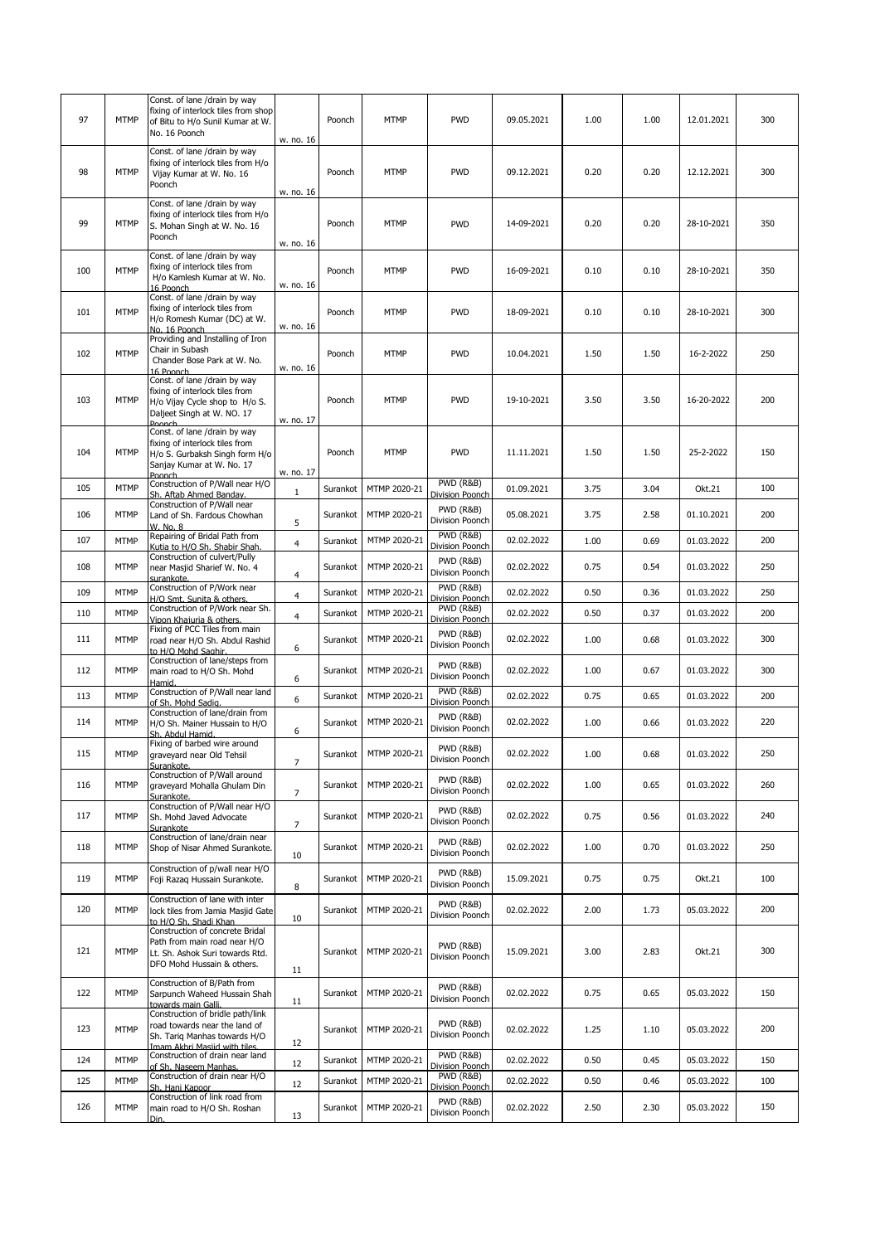| 97  | <b>MTMP</b> | Const. of lane /drain by way<br>fixing of interlock tiles from shop<br>of Bitu to H/o Sunil Kumar at W.<br>No. 16 Poonch                 | w. no. 16        | Poonch   | MTMP                    | <b>PWD</b>                                      | 09.05.2021 | 1.00 | 1.00 | 12.01.2021 | 300 |
|-----|-------------|------------------------------------------------------------------------------------------------------------------------------------------|------------------|----------|-------------------------|-------------------------------------------------|------------|------|------|------------|-----|
| 98  | <b>MTMP</b> | Const. of lane /drain by way<br>fixing of interlock tiles from H/o<br>Vijay Kumar at W. No. 16<br>Poonch                                 | w. no. 16        | Poonch   | <b>MTMP</b>             | <b>PWD</b>                                      | 09.12.2021 | 0.20 | 0.20 | 12.12.2021 | 300 |
| 99  | <b>MTMP</b> | Const. of lane /drain by way<br>fixing of interlock tiles from H/o<br>S. Mohan Singh at W. No. 16<br>Poonch                              | w. no. 16        | Poonch   | <b>MTMP</b>             | <b>PWD</b>                                      | 14-09-2021 | 0.20 | 0.20 | 28-10-2021 | 350 |
| 100 | <b>MTMP</b> | Const. of lane /drain by way<br>fixing of interlock tiles from<br>H/o Kamlesh Kumar at W. No.<br>16 Poonch                               | w. no. 16        | Poonch   | MTMP                    | <b>PWD</b>                                      | 16-09-2021 | 0.10 | 0.10 | 28-10-2021 | 350 |
| 101 | <b>MTMP</b> | Const. of lane /drain by way<br>fixing of interlock tiles from<br>H/o Romesh Kumar (DC) at W.<br>No. 16 Poonch                           | w. no. 16        | Poonch   | <b>MTMP</b>             | <b>PWD</b>                                      | 18-09-2021 | 0.10 | 0.10 | 28-10-2021 | 300 |
| 102 | <b>MTMP</b> | Providing and Installing of Iron<br>Chair in Subash<br>Chander Bose Park at W. No.<br>16 Poonch                                          | w. no. 16        | Poonch   | MTMP                    | <b>PWD</b>                                      | 10.04.2021 | 1.50 | 1.50 | 16-2-2022  | 250 |
| 103 | <b>MTMP</b> | Const. of lane /drain by way<br>fixing of interlock tiles from<br>H/o Vijay Cycle shop to H/o S.<br>Daljeet Singh at W. NO. 17<br>Poonch | w. no. 17        | Poonch   | MTMP                    | <b>PWD</b>                                      | 19-10-2021 | 3.50 | 3.50 | 16-20-2022 | 200 |
| 104 | <b>MTMP</b> | Const. of lane /drain by way<br>fixing of interlock tiles from<br>H/o S. Gurbaksh Singh form H/o<br>Sanjay Kumar at W. No. 17<br>Poonch  | w. no. 17        | Poonch   | MTMP                    | <b>PWD</b>                                      | 11.11.2021 | 1.50 | 1.50 | 25-2-2022  | 150 |
| 105 | <b>MTMP</b> | Construction of P/Wall near H/O                                                                                                          | $\mathbf{1}$     | Surankot | MTMP 2020-21            | PWD (R&B)<br>Division Poonch                    | 01.09.2021 | 3.75 | 3.04 | Okt.21     | 100 |
| 106 | <b>MTMP</b> | Sh. Aftab Ahmed Bandav.<br>Construction of P/Wall near<br>Land of Sh. Fardous Chowhan<br>W. No. 8                                        | 5                | Surankot | MTMP 2020-21            | PWD (R&B)<br>Division Poonch                    | 05.08.2021 | 3.75 | 2.58 | 01.10.2021 | 200 |
| 107 | <b>MTMP</b> | Repairing of Bridal Path from<br>Kutia to H/O Sh. Shabir Shah.                                                                           | $\overline{4}$   | Surankot | MTMP 2020-21            | PWD (R&B)<br>Division Poonch                    | 02.02.2022 | 1.00 | 0.69 | 01.03.2022 | 200 |
| 108 | <b>MTMP</b> | Construction of culvert/Pully<br>near Masjid Sharief W. No. 4<br>surankote.                                                              | $\overline{4}$   | Surankot | MTMP 2020-21            | PWD (R&B)<br>Division Poonch                    | 02.02.2022 | 0.75 | 0.54 | 01.03.2022 | 250 |
| 109 | <b>MTMP</b> | Construction of P/Work near<br>H/O Smt. Sunita & others.                                                                                 | $\overline{4}$   | Surankot | MTMP 2020-21            | <b>PWD (R&amp;B)</b><br>Division Poonch         | 02.02.2022 | 0.50 | 0.36 | 01.03.2022 | 250 |
| 110 | <b>MTMP</b> | Construction of P/Work near Sh.                                                                                                          | $\overline{4}$   | Surankot | MTMP 2020-21            | PWD (R&B)                                       | 02.02.2022 | 0.50 | 0.37 | 01.03.2022 | 200 |
| 111 | <b>MTMP</b> | Vipon Khaiuria & others.<br>Fixing of PCC Tiles from main<br>road near H/O Sh. Abdul Rashid<br>to H/O Mohd Saghir.                       | 6                | Surankot | MTMP 2020-21            | Division Poonch<br>PWD (R&B)<br>Division Poonch | 02.02.2022 | 1.00 | 0.68 | 01.03.2022 | 300 |
| 112 | <b>MTMP</b> | Construction of lane/steps from<br>main road to H/O Sh. Mohd<br>Hamid.                                                                   | 6                | Surankot | MTMP 2020-21            | PWD (R&B)<br>Division Poonch                    | 02.02.2022 | 1.00 | 0.67 | 01.03.2022 | 300 |
| 113 | <b>MTMP</b> | Construction of P/Wall near land<br>of Sh. Mohd Sadig.                                                                                   | 6                | Surankot | MTMP 2020-21            | PWD (R&B)<br>Division Poonch                    | 02.02.2022 | 0.75 | 0.65 | 01.03.2022 | 200 |
| 114 | <b>MTMP</b> | Construction of lane/drain from<br>H/O Sh. Mainer Hussain to H/O<br>Sh. Abdul Hamid.                                                     | 6                | Surankot | MTMP 2020-21            | PWD (R&B)<br>Division Poonch                    | 02.02.2022 | 1.00 | 0.66 | 01.03.2022 | 220 |
| 115 | <b>MTMP</b> | Fixing of barbed wire around<br>graveyard near Old Tehsil<br>Surankote.<br>Construction of P/Wall around                                 | $\overline{7}$   |          | Surankot   MTMP 2020-21 | PWD (R&B)<br>Division Poonch                    | 02.02.2022 | 1.00 | 0.68 | 01.03.2022 | 250 |
| 116 | <b>MTMP</b> | graveyard Mohalla Ghulam Din<br>Surankote.                                                                                               | $\overline{7}$   | Surankot | MTMP 2020-21            | PWD (R&B)<br>Division Poonch                    | 02.02.2022 | 1.00 | 0.65 | 01.03.2022 | 260 |
| 117 | <b>MTMP</b> | Construction of P/Wall near H/O<br>Sh. Mohd Javed Advocate<br>Surankote                                                                  | $\boldsymbol{7}$ | Surankot | MTMP 2020-21            | PWD (R&B)<br>Division Poonch                    | 02.02.2022 | 0.75 | 0.56 | 01.03.2022 | 240 |
| 118 | <b>MTMP</b> | Construction of lane/drain near<br>Shop of Nisar Ahmed Surankote.                                                                        | 10               | Surankot | MTMP 2020-21            | PWD (R&B)<br>Division Poonch                    | 02.02.2022 | 1.00 | 0.70 | 01.03.2022 | 250 |
| 119 | <b>MTMP</b> | Construction of p/wall near H/O<br>Foji Razaq Hussain Surankote.                                                                         | 8                | Surankot | MTMP 2020-21            | PWD (R&B)<br>Division Poonch                    | 15.09.2021 | 0.75 | 0.75 | Okt.21     | 100 |
| 120 | <b>MTMP</b> | Construction of lane with inter<br>lock tiles from Jamia Masjid Gate<br>to H/O Sh. Shadi Khan                                            | 10               | Surankot | MTMP 2020-21            | PWD (R&B)<br>Division Poonch                    | 02.02.2022 | 2.00 | 1.73 | 05.03.2022 | 200 |
| 121 | <b>MTMP</b> | Construction of concrete Bridal<br>Path from main road near H/O<br>Lt. Sh. Ashok Suri towards Rtd.<br>DFO Mohd Hussain & others.         | 11               | Surankot | MTMP 2020-21            | PWD (R&B)<br>Division Poonch                    | 15.09.2021 | 3.00 | 2.83 | Okt.21     | 300 |
| 122 | <b>MTMP</b> | Construction of B/Path from<br>Sarpunch Waheed Hussain Shah<br>towards main Galli.                                                       | 11               | Surankot | MTMP 2020-21            | PWD (R&B)<br>Division Poonch                    | 02.02.2022 | 0.75 | 0.65 | 05.03.2022 | 150 |
| 123 | <b>MTMP</b> | Construction of bridle path/link<br>road towards near the land of<br>Sh. Tarig Manhas towards H/O<br>Imam Akhri Masjid with tiles.       | 12               | Surankot | MTMP 2020-21            | PWD (R&B)<br>Division Poonch                    | 02.02.2022 | 1.25 | 1.10 | 05.03.2022 | 200 |
| 124 | <b>MTMP</b> | Construction of drain near land                                                                                                          | 12               | Surankot | MTMP 2020-21            | PWD (R&B)<br>Division Poonch                    | 02.02.2022 | 0.50 | 0.45 | 05.03.2022 | 150 |
| 125 | <b>MTMP</b> | of Sh. Naseem Manhas.<br>Construction of drain near H/O                                                                                  | 12               | Surankot | MTMP 2020-21            | PWD (R&B)                                       | 02.02.2022 | 0.50 | 0.46 | 05.03.2022 | 100 |
|     |             | Sh. Hani Kapoor<br>Construction of link road from                                                                                        |                  |          |                         | Division Poonch<br>PWD (R&B)                    |            |      |      |            |     |
| 126 | <b>MTMP</b> | main road to H/O Sh. Roshan<br>Din.                                                                                                      | 13               | Surankot | MTMP 2020-21            | Division Poonch                                 | 02.02.2022 | 2.50 | 2.30 | 05.03.2022 | 150 |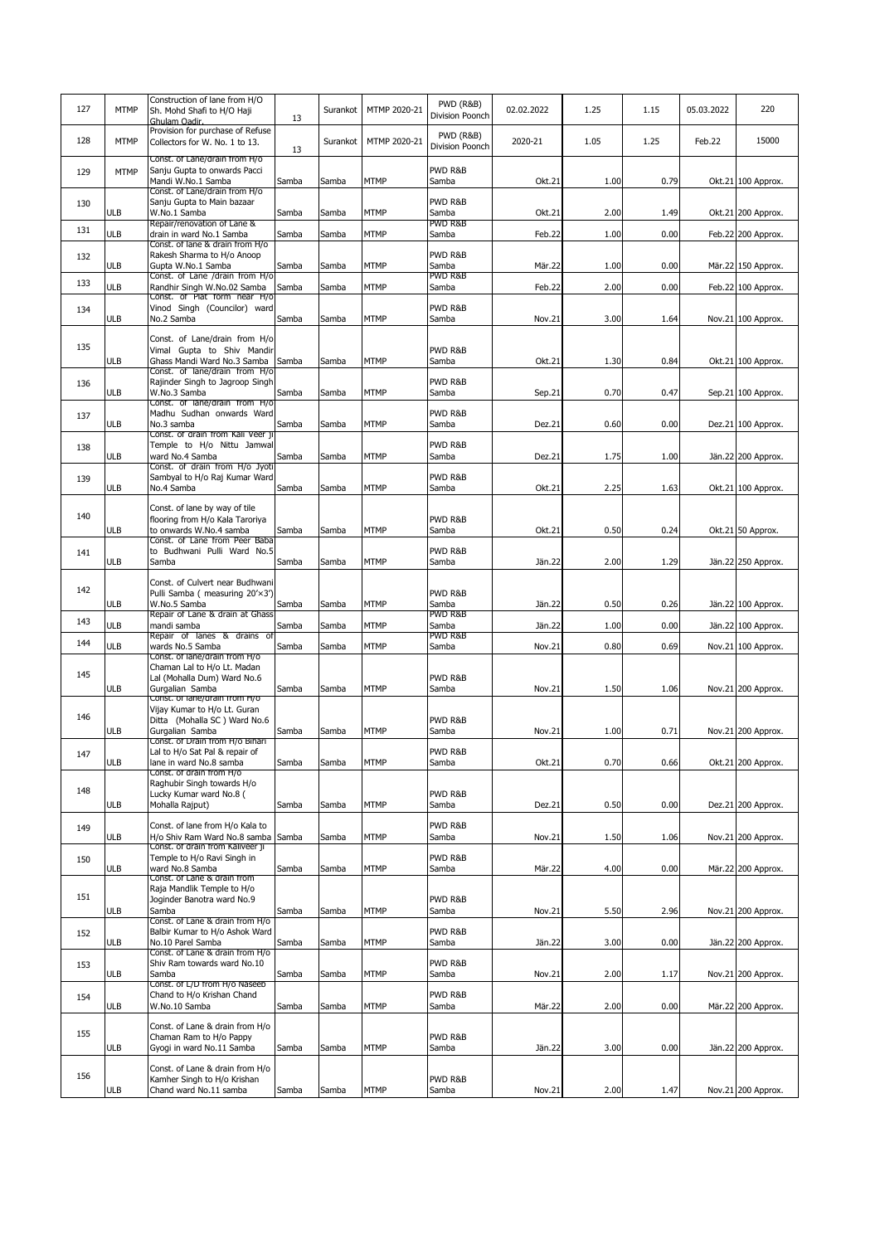| 127 | <b>MTMP</b> | Construction of lane from H/O<br>Sh. Mohd Shafi to H/O Haji<br>Ghulam Oadir.                                                 | 13    | Surankot | MTMP 2020-21 | PWD (R&B)<br>Division Poonch            | 02.02.2022 | 1.25 | 1.15 | 05.03.2022 | 220                |
|-----|-------------|------------------------------------------------------------------------------------------------------------------------------|-------|----------|--------------|-----------------------------------------|------------|------|------|------------|--------------------|
| 128 | <b>MTMP</b> | Provision for purchase of Refuse<br>Collectors for W. No. 1 to 13.                                                           | 13    | Surankot | MTMP 2020-21 | <b>PWD (R&amp;B)</b><br>Division Poonch | 2020-21    | 1.05 | 1.25 | Feb.22     | 15000              |
| 129 | <b>MTMP</b> | Const. of Lane/drain from H/o<br>Sanju Gupta to onwards Pacci<br>Mandi W.No.1 Samba                                          | Samba | Samba    | <b>MTMP</b>  | PWD R&B<br>Samba                        | Okt.21     | 1.00 | 0.79 |            | Okt.21 100 Approx. |
| 130 | <b>ULB</b>  | Const. of Lane/drain from H/o<br>Sanju Gupta to Main bazaar<br>W.No.1 Samba<br>Repair/renovation of Lane &                   | Samba | Samba    | <b>MTMP</b>  | PWD R&B<br>Samba<br>PWD R&B             | Okt.21     | 2.00 | 1.49 |            | Okt.21 200 Approx. |
| 131 | <b>ULB</b>  | drain in ward No.1 Samba                                                                                                     | Samba | Samba    | MTMP         | Samba                                   | Feb.22     | 1.00 | 0.00 |            | Feb.22 200 Approx. |
| 132 | <b>ULB</b>  | Const. of lane & drain from H/o<br>Rakesh Sharma to H/o Anoop<br>Gupta W.No.1 Samba<br>Const. of Lane /drain from H/o        | Samba | Samba    | <b>MTMP</b>  | PWD R&B<br>Samba<br>PWD R&B             | Mär.22     | 1.00 | 0.00 |            | Mär.22 150 Approx. |
| 133 | <b>ULB</b>  | Randhir Singh W.No.02 Samba                                                                                                  | Samba | Samba    | MTMP         | Samba                                   | Feb.22     | 2.00 | 0.00 |            | Feb.22 100 Approx. |
| 134 | <b>ULB</b>  | Const. of Plat form near H/o<br>Vinod Singh (Councilor) ward<br>No.2 Samba                                                   | Samba | Samba    | <b>MTMP</b>  | PWD R&B<br>Samba                        | Nov.21     | 3.00 | 1.64 |            | Nov.21 100 Approx. |
| 135 | <b>ULB</b>  | Const. of Lane/drain from H/o<br>Vimal Gupta to Shiv Mandir<br>Ghass Mandi Ward No.3 Samba<br>Const. of lane/drain from H/o  | Samba | Samba    | <b>MTMP</b>  | PWD R&B<br>Samba                        | Okt.21     | 1.30 | 0.84 |            | Okt.21 100 Approx. |
| 136 | <b>ULB</b>  | Rajinder Singh to Jagroop Singh<br>W.No.3 Samba<br>Const. of lane/drain from H/o                                             | Samba | Samba    | <b>MTMP</b>  | PWD R&B<br>Samba                        | Sep.21     | 0.70 | 0.47 |            | Sep.21 100 Approx. |
| 137 | <b>ULB</b>  | Madhu Sudhan onwards Ward<br>No.3 samba                                                                                      | Samba | Samba    | <b>MTMP</b>  | PWD R&B<br>Samba                        | Dez.21     | 0.60 | 0.00 |            | Dez.21 100 Approx. |
| 138 | <b>ULB</b>  | Const. of drain from Kali Veer j<br>Temple to H/o Nittu Jamwal<br>ward No.4 Samba                                            | Samba | Samba    | <b>MTMP</b>  | PWD R&B<br>Samba                        | Dez.21     | 1.75 | 1.00 |            | Jän.22 200 Approx. |
| 139 | <b>ULB</b>  | Const. of drain from H/o Jyoti<br>Sambyal to H/o Raj Kumar Ward<br>No.4 Samba                                                | Samba | Samba    | <b>MTMP</b>  | PWD R&B<br>Samba                        | Okt.21     | 2.25 | 1.63 |            | Okt.21 100 Approx. |
| 140 | <b>ULB</b>  | Const. of lane by way of tile<br>flooring from H/o Kala Taroriya<br>to onwards W.No.4 samba<br>Const. of Lane from Peer Baba | Samba | Samba    | <b>MTMP</b>  | PWD R&B<br>Samba                        | Okt.21     | 0.50 | 0.24 |            | Okt.21 50 Approx.  |
| 141 | ULB         | to Budhwani Pulli Ward No.5<br>Samba                                                                                         | Samba | Samba    | <b>MTMP</b>  | PWD R&B<br>Samba                        | Jän.22     | 2.00 | 1.29 |            | Jän.22 250 Approx. |
|     |             |                                                                                                                              |       |          |              |                                         |            |      |      |            |                    |
| 142 |             | Const. of Culvert near Budhwani<br>Pulli Samba ( measuring 20'×3')                                                           |       |          |              | PWD R&B                                 |            |      |      |            |                    |
| 143 | <b>ULB</b>  | W.No.5 Samba<br>Repair of Lane & drain at Ghass                                                                              | Samba | Samba    | <b>MTMP</b>  | Samba<br>PWD R&B                        | Jän.22     | 0.50 | 0.26 |            | Jän.22 100 Approx. |
| 144 | <b>ULB</b>  | mandi samba<br>Repair of lanes & drains of                                                                                   | Samba | Samba    | <b>MTMP</b>  | Samba<br>PWD R&B                        | Jän.22     | 1.00 | 0.00 |            | Jän.22 100 Approx. |
|     | <b>ULB</b>  | wards No.5 Samba<br>Const. of lane/drain from H/o                                                                            | Samba | Samba    | <b>MTMP</b>  | Samba                                   | Nov.21     | 0.80 | 0.69 |            | Nov.21 100 Approx. |
| 145 | <b>ULB</b>  | Chaman Lal to H/o Lt. Madan<br>Lal (Mohalla Dum) Ward No.6<br>Gurgalian Samba                                                | Samba | Samba    | <b>MTMP</b>  | PWD R&B<br>Samba                        | Nov.21     | 1.50 | 1.06 |            | Nov.21 200 Approx. |
|     |             | Const. of lane/drain from H/o<br>Vijay Kumar to H/o Lt. Guran                                                                |       |          |              |                                         |            |      |      |            |                    |
| 146 | <b>ULB</b>  | Ditta (Mohalla SC) Ward No.6<br>Gurgalian Samba                                                                              | Samba | Samba    | <b>MTMP</b>  | PWD R&B<br>Samba                        | Nov.21     | 1.00 | 0.71 |            | Nov.21 200 Approx. |
|     |             | Const. of Drain from H/o Bihari                                                                                              |       |          |              | PWD R&B                                 |            |      |      |            |                    |
| 147 | <b>ULB</b>  | Lal to H/o Sat Pal & repair of<br>lane in ward No.8 samba                                                                    | Samba | Samba    | <b>MTMP</b>  | Samba                                   | Okt.21     | 0.70 | 0.66 |            | Okt.21 200 Approx. |
| 148 | <b>ULB</b>  | Const. of drain from H/o<br>Raghubir Singh towards H/o<br>Lucky Kumar ward No.8 (<br>Mohalla Rajput)                         | Samba | Samba    | <b>MTMP</b>  | PWD R&B<br>Samba                        | Dez.21     | 0.50 | 0.00 |            | Dez.21 200 Approx. |
| 149 |             | Const. of lane from H/o Kala to                                                                                              |       |          |              | PWD R&B                                 |            |      |      |            |                    |
| 150 | ULB         | H/o Shiv Ram Ward No.8 samba Samba<br>Const. of drain from Kaliveer 11<br>Temple to H/o Ravi Singh in                        |       | Samba    | <b>MTMP</b>  | Samba<br>PWD R&B                        | Nov.21     | 1.50 | 1.06 |            | Nov.21 200 Approx. |
|     | <b>ULB</b>  | ward No.8 Samba<br>Const. or Lane & drain from                                                                               | Samba | Samba    | <b>MTMP</b>  | Samba                                   | Mär.22     | 4.00 | 0.00 |            | Mär.22 200 Approx. |
| 151 | <b>ULB</b>  | Raja Mandlik Temple to H/o<br>Joginder Banotra ward No.9<br>Samba                                                            | Samba | Samba    | <b>MTMP</b>  | PWD R&B<br>Samba                        | Nov.21     | 5.50 | 2.96 |            | Nov.21 200 Approx. |
| 152 |             | Const. of Lane & drain from H/o<br>Balbir Kumar to H/o Ashok Ward                                                            |       |          |              | PWD R&B                                 |            |      |      |            |                    |
|     | ULB         | No.10 Parel Samba<br>Const. of Lane & drain from H/o                                                                         | Samba | Samba    | <b>MTMP</b>  | Samba                                   | Jän.22     | 3.00 | 0.00 |            | Jän.22 200 Approx. |
| 153 | ULB         | Shiv Ram towards ward No.10<br>Samba                                                                                         | Samba | Samba    | <b>MTMP</b>  | PWD R&B<br>Samba                        | Nov.21     | 2.00 | 1.17 |            | Nov.21 200 Approx. |
| 154 | <b>ULB</b>  | Const. of L/D from H/o Naseeb<br>Chand to H/o Krishan Chand<br>W.No.10 Samba                                                 | Samba | Samba    | <b>MTMP</b>  | PWD R&B<br>Samba                        | Mär.22     | 2.00 | 0.00 |            | Mär.22 200 Approx. |
| 155 |             | Const. of Lane & drain from H/o                                                                                              |       |          |              |                                         |            |      |      |            |                    |
|     | <b>ULB</b>  | Chaman Ram to H/o Pappy<br>Gyogi in ward No.11 Samba                                                                         | Samba | Samba    | <b>MTMP</b>  | PWD R&B<br>Samba                        | Jän.22     | 3.00 | 0.00 |            | Jän.22 200 Approx. |
| 156 |             | Const. of Lane & drain from H/o                                                                                              |       |          |              |                                         |            |      |      |            |                    |
|     | <b>ULB</b>  | Kamher Singh to H/o Krishan<br>Chand ward No.11 samba                                                                        | Samba | Samba    | MTMP         | PWD R&B<br>Samba                        | Nov.21     | 2.00 | 1.47 |            | Nov.21 200 Approx. |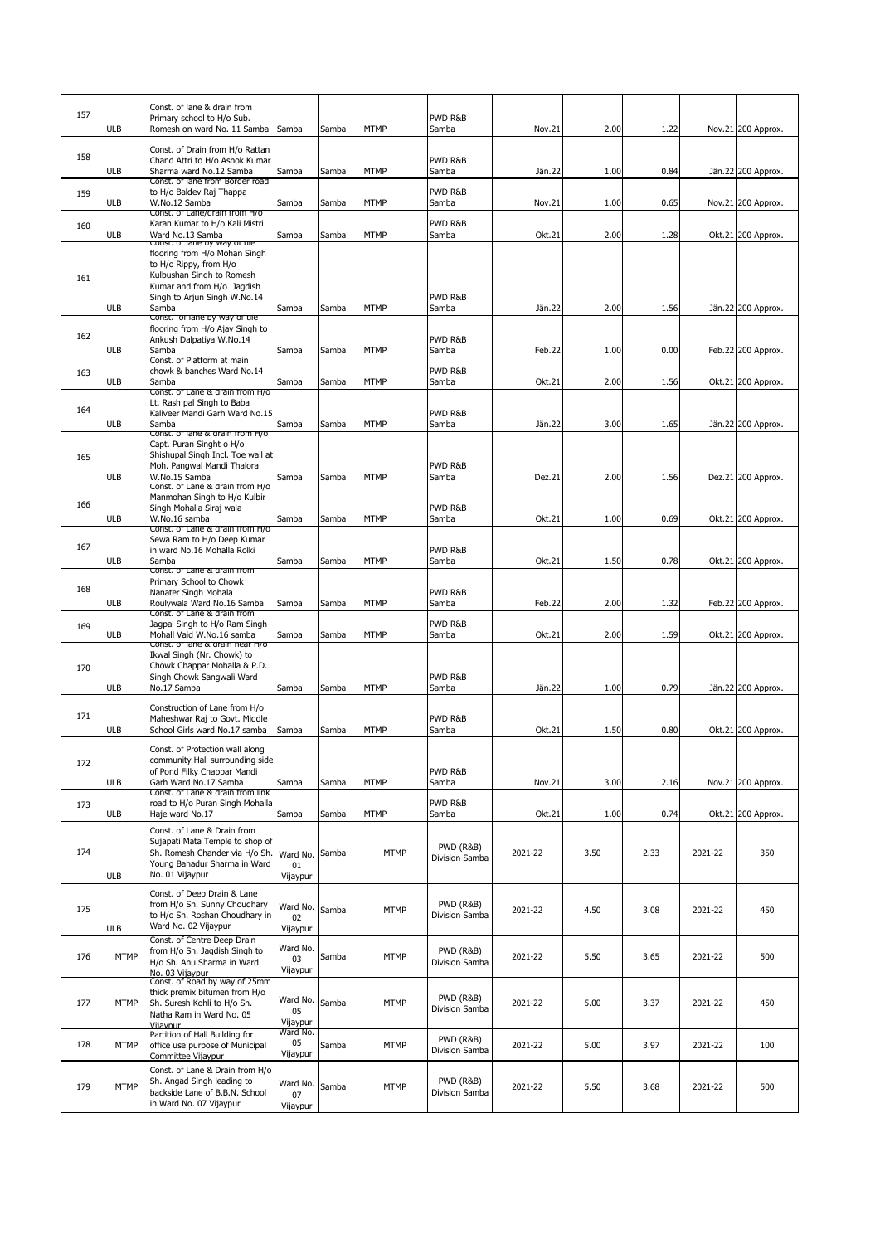| 157 | <b>ULB</b>  | Const. of lane & drain from<br>Primary school to H/o Sub.<br>Romesh on ward No. 11 Samba                                                                    | Samba                      | Samba | <b>MTMP</b> | PWD R&B<br>Samba                       | Nov.21  | 2.00 | 1.22 |         | Nov.21 200 Approx. |
|-----|-------------|-------------------------------------------------------------------------------------------------------------------------------------------------------------|----------------------------|-------|-------------|----------------------------------------|---------|------|------|---------|--------------------|
| 158 | <b>ULB</b>  | Const. of Drain from H/o Rattan<br>Chand Attri to H/o Ashok Kumar<br>Sharma ward No.12 Samba<br>Const. of lane from Border road                             | Samba                      | Samba | <b>MTMP</b> | PWD R&B<br>Samba                       | Jän.22  | 1.00 | 0.84 |         | Jän.22 200 Approx. |
| 159 | ULB         | to H/o Baldev Raj Thappa<br>W.No.12 Samba                                                                                                                   | Samba                      | Samba | MTMP        | PWD R&B<br>Samba                       | Nov.21  | 1.00 | 0.65 |         | Nov.21 200 Approx. |
| 160 | <b>ULB</b>  | Const. of Lane/drain from H/o<br>Karan Kumar to H/o Kali Mistri<br>Ward No.13 Samba<br>const. Or ranc by way or the                                         | Samba                      | Samba | MTMP        | PWD R&B<br>Samba                       | Okt.21  | 2.00 | 1.28 |         | Okt.21 200 Approx. |
| 161 | <b>ULB</b>  | flooring from H/o Mohan Singh<br>to H/o Rippy, from H/o<br>Kulbushan Singh to Romesh<br>Kumar and from H/o Jagdish<br>Singh to Ariun Singh W.No.14<br>Samba | Samba                      | Samba | <b>MTMP</b> | PWD R&B<br>Samba                       | Jän.22  | 2.00 | 1.56 |         | Jän.22 200 Approx. |
| 162 | <b>ULB</b>  | Const. of lane by way of tile<br>flooring from H/o Ajay Singh to<br>Ankush Dalpatiya W.No.14<br>Samba                                                       | Samba                      | Samba | MTMP        | PWD R&B<br>Samba                       | Feb.22  | 1.00 | 0.00 |         | Feb.22 200 Approx. |
| 163 | ULB         | Const. of Platform at main<br>chowk & banches Ward No.14<br>Samba                                                                                           | Samba                      | Samba | MTMP        | PWD R&B<br>Samba                       | Okt.21  | 2.00 | 1.56 |         | Okt.21 200 Approx. |
| 164 |             | Const. of Lane & drain from H/o<br>Lt. Rash pal Singh to Baba<br>Kaliveer Mandi Garh Ward No.15                                                             |                            |       |             | PWD R&B                                |         |      |      |         |                    |
| 165 | <b>ULB</b>  | Samba<br>Const. or lane & grain from H/o<br>Capt. Puran Singht o H/o<br>Shishupal Singh Incl. Toe wall at<br>Moh. Pangwal Mandi Thalora                     | Samba                      | Samba | MTMP        | Samba<br>PWD R&B                       | Jän.22  | 3.00 | 1.65 |         | Jän.22 200 Approx. |
|     | <b>ULB</b>  | W.No.15 Samba<br>Const. of Lane & drain from H/o<br>Manmohan Singh to H/o Kulbir                                                                            | Samba                      | Samba | MTMP        | Samba                                  | Dez.21  | 2.00 | 1.56 |         | Dez.21 200 Approx. |
| 166 | <b>ULB</b>  | Singh Mohalla Siraj wala<br>W.No.16 samba<br>Const. of Lane & drain from H/o                                                                                | Samba                      | Samba | <b>MTMP</b> | PWD R&B<br>Samba                       | Okt.21  | 1.00 | 0.69 |         | Okt.21 200 Approx. |
| 167 | <b>ULB</b>  | Sewa Ram to H/o Deep Kumar<br>in ward No.16 Mohalla Rolki<br>Samba                                                                                          | Samba                      | Samba | <b>MTMP</b> | PWD R&B<br>Samba                       | Okt.21  | 1.50 | 0.78 |         | Okt.21 200 Approx. |
| 168 | ULB         | Const. of Lane & drain from<br>Primary School to Chowk<br>Nanater Singh Mohala<br>Roulywala Ward No.16 Samba<br>Const. of Lane & drain from                 | Samba                      | Samba | MTMP        | PWD R&B<br>Samba                       | Feb.22  | 2.00 | 1.32 |         | Feb.22 200 Approx. |
| 169 | ULB         | Jagpal Singh to H/o Ram Singh<br>Mohall Vaid W.No.16 samba<br>Const. or lane & grain near H/o                                                               | Samba                      | Samba | MTMP        | PWD R&B<br>Samba                       | Okt.21  | 2.00 | 1.59 |         | Okt.21 200 Approx. |
| 170 | ULB         | Ikwal Singh (Nr. Chowk) to<br>Chowk Chappar Mohalla & P.D.<br>Singh Chowk Sangwali Ward<br>No.17 Samba                                                      | Samba                      | Samba | MTMP        | PWD R&B<br>Samba                       | Jän.22  | 1.00 | 0.79 |         | Jän.22 200 Approx. |
| 171 | <b>ULB</b>  | Construction of Lane from H/o<br>Maheshwar Raj to Govt. Middle<br>School Girls ward No.17 samba                                                             | Samba                      | Samba | MTMP        | PWD R&B<br>Samba                       | Okt.21  | 1.50 | 0.80 |         | Okt.21 200 Approx. |
| 172 | <b>ULB</b>  | Const. of Protection wall along<br>community Hall surrounding side<br>of Pond Filky Chappar Mandi<br>Garh Ward No.17 Samba                                  | Samba                      | Samba | <b>MTMP</b> | PWD R&B<br>Samba                       | Nov.21  | 3.00 | 2.16 |         | Nov.21 200 Approx. |
| 173 | <b>ULB</b>  | Const. of Lane & drain from link<br>road to H/o Puran Singh Mohalla<br>Haje ward No.17                                                                      | Samba                      | Samba | <b>MTMP</b> | PWD R&B<br>Samba                       | Okt.21  | 1.00 | 0.74 |         | Okt.21 200 Approx. |
| 174 | <b>ULB</b>  | Const. of Lane & Drain from<br>Sujapati Mata Temple to shop of<br>Sh. Romesh Chander via H/o Sh.<br>Young Bahadur Sharma in Ward<br>No. 01 Vijaypur         | Ward No.<br>01<br>Vijaypur | Samba | <b>MTMP</b> | PWD (R&B)<br>Division Samba            | 2021-22 | 3.50 | 2.33 | 2021-22 | 350                |
| 175 | <b>ULB</b>  | Const. of Deep Drain & Lane<br>from H/o Sh. Sunny Choudhary<br>to H/o Sh. Roshan Choudhary in<br>Ward No. 02 Vijaypur                                       | Ward No.<br>02<br>Vijaypur | Samba | MTMP        | <b>PWD (R&amp;B)</b><br>Division Samba | 2021-22 | 4.50 | 3.08 | 2021-22 | 450                |
| 176 | <b>MTMP</b> | Const. of Centre Deep Drain<br>from H/o Sh. Jagdish Singh to<br>H/o Sh. Anu Sharma in Ward<br>No. 03 Viiavpur                                               | Ward No.<br>03<br>Vijaypur | Samba | <b>MTMP</b> | <b>PWD (R&amp;B)</b><br>Division Samba | 2021-22 | 5.50 | 3.65 | 2021-22 | 500                |
| 177 | <b>MTMP</b> | Const. of Road by way of 25mm<br>thick premix bitumen from H/o<br>Sh. Suresh Kohli to H/o Sh.<br>Natha Ram in Ward No. 05<br>Vijavpur                       | Ward No.<br>05<br>Vijaypur | Samba | <b>MTMP</b> | <b>PWD (R&amp;B)</b><br>Division Samba | 2021-22 | 5.00 | 3.37 | 2021-22 | 450                |
| 178 | <b>MTMP</b> | Partition of Hall Building for<br>office use purpose of Municipal<br>Committee Vijaypur                                                                     | Ward No.<br>05<br>Vijaypur | Samba | <b>MTMP</b> | <b>PWD (R&amp;B)</b><br>Division Samba | 2021-22 | 5.00 | 3.97 | 2021-22 | 100                |
| 179 | <b>MTMP</b> | Const. of Lane & Drain from H/o<br>Sh. Angad Singh leading to<br>backside Lane of B.B.N. School<br>in Ward No. 07 Vijaypur                                  | Ward No.<br>07<br>Vijaypur | Samba | <b>MTMP</b> | <b>PWD (R&amp;B)</b><br>Division Samba | 2021-22 | 5.50 | 3.68 | 2021-22 | 500                |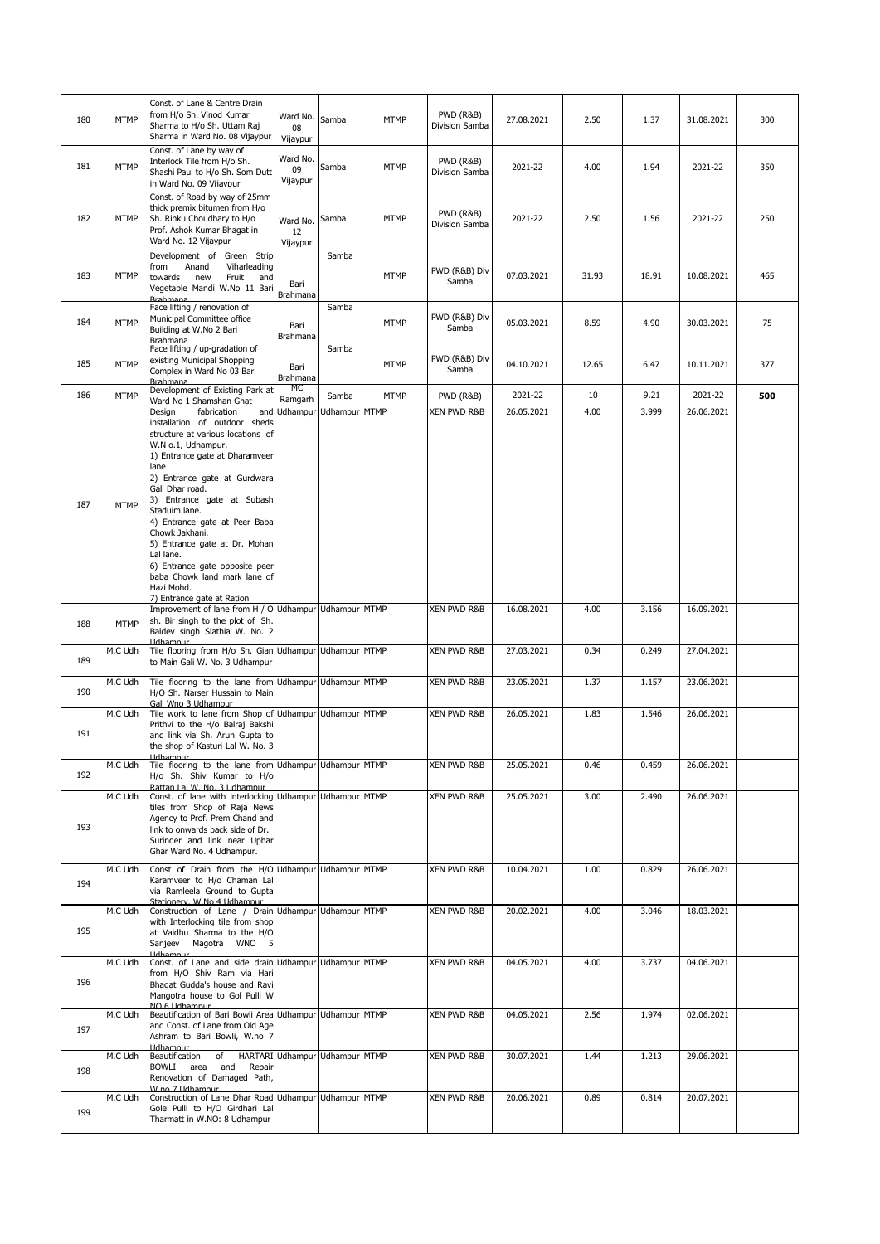| 180 | <b>MTMP</b> | Const. of Lane & Centre Drain<br>from H/o Sh. Vinod Kumar<br>Sharma to H/o Sh. Uttam Raj<br>Sharma in Ward No. 08 Vijaypur                                                                                                                                                                                                                                                                                                                                                   | Ward No.<br>08<br>Vijaypur | Samba                          | MTMP        | PWD (R&B)<br>Division Samba            | 27.08.2021 | 2.50  | 1.37  | 31.08.2021 | 300 |
|-----|-------------|------------------------------------------------------------------------------------------------------------------------------------------------------------------------------------------------------------------------------------------------------------------------------------------------------------------------------------------------------------------------------------------------------------------------------------------------------------------------------|----------------------------|--------------------------------|-------------|----------------------------------------|------------|-------|-------|------------|-----|
| 181 | <b>MTMP</b> | Const. of Lane by way of<br>Interlock Tile from H/o Sh.<br>Shashi Paul to H/o Sh. Som Dutt<br>in Ward No. 09 Vijavpur                                                                                                                                                                                                                                                                                                                                                        | Ward No.<br>09<br>Vijaypur | Samba                          | <b>MTMP</b> | <b>PWD (R&amp;B)</b><br>Division Samba | 2021-22    | 4.00  | 1.94  | 2021-22    | 350 |
| 182 | <b>MTMP</b> | Const. of Road by way of 25mm<br>thick premix bitumen from H/o<br>Sh. Rinku Choudhary to H/o<br>Prof. Ashok Kumar Bhagat in<br>Ward No. 12 Vijaypur                                                                                                                                                                                                                                                                                                                          | Ward No.<br>12<br>Vijaypur | Samba                          | <b>MTMP</b> | PWD (R&B)<br>Division Samba            | 2021-22    | 2.50  | 1.56  | 2021-22    | 250 |
| 183 | <b>MTMP</b> | Development of<br>Green Strip<br>Anand<br>Viharleading<br>from<br>towards<br>new<br>Fruit<br>and<br>Vegetable Mandi W.No 11 Bari<br><b>Rrahmana</b>                                                                                                                                                                                                                                                                                                                          | Bari<br><b>Brahmana</b>    | Samba                          | <b>MTMP</b> | PWD (R&B) Div<br>Samba                 | 07.03.2021 | 31.93 | 18.91 | 10.08.2021 | 465 |
| 184 | <b>MTMP</b> | Face lifting / renovation of<br>Municipal Committee office<br>Building at W.No 2 Bari<br><b>Brahmana</b>                                                                                                                                                                                                                                                                                                                                                                     | Bari<br>Brahmana           | Samba                          | <b>MTMP</b> | PWD (R&B) Div<br>Samba                 | 05.03.2021 | 8.59  | 4.90  | 30.03.2021 | 75  |
| 185 | <b>MTMP</b> | Face lifting / up-gradation of<br>existing Municipal Shopping<br>Complex in Ward No 03 Bari<br><b>Brahmana</b>                                                                                                                                                                                                                                                                                                                                                               | Bari<br>Brahmana           | Samba                          | <b>MTMP</b> | PWD (R&B) Div<br>Samba                 | 04.10.2021 | 12.65 | 6.47  | 10.11.2021 | 377 |
| 186 | <b>MTMP</b> | Development of Existing Park at<br>Ward No 1 Shamshan Ghat                                                                                                                                                                                                                                                                                                                                                                                                                   | мс<br>Ramgarh              | Samba                          | <b>MTMP</b> | <b>PWD (R&amp;B)</b>                   | 2021-22    | 10    | 9.21  | 2021-22    | 500 |
| 187 | <b>MTMP</b> | Design<br>fabrication<br>installation of outdoor sheds<br>structure at various locations of<br>W.N o.1, Udhampur.<br>1) Entrance gate at Dharamveer<br>lane<br>2) Entrance gate at Gurdwara<br>Gali Dhar road.<br>3) Entrance gate at Subash<br>Staduim lane.<br>4) Entrance gate at Peer Baba<br>Chowk Jakhani.<br>5) Entrance gate at Dr. Mohan<br>Lal lane.<br>6) Entrance gate opposite peer<br>baba Chowk land mark lane of<br>Hazi Mohd.<br>7) Entrance gate at Ration |                            | and Udhampur Udhampur MTMP     |             | XEN PWD R&B                            | 26.05.2021 | 4.00  | 3.999 | 26.06.2021 |     |
|     |             | Improvement of lane from H / O Udhampur Udhampur MTMP                                                                                                                                                                                                                                                                                                                                                                                                                        |                            |                                |             | XEN PWD R&B                            | 16.08.2021 | 4.00  | 3.156 | 16.09.2021 |     |
| 188 | <b>MTMP</b> | sh. Bir singh to the plot of Sh.<br>Baldev singh Slathia W. No. 2<br><b>Udhamnur</b>                                                                                                                                                                                                                                                                                                                                                                                         |                            |                                |             |                                        |            |       |       |            |     |
| 189 | M.C Udh     | Tile flooring from H/o Sh. Gian Udhampur Udhampur MTMP<br>to Main Gali W. No. 3 Udhampur                                                                                                                                                                                                                                                                                                                                                                                     |                            |                                |             | XEN PWD R&B                            | 27.03.2021 | 0.34  | 0.249 | 27.04.2021 |     |
| 190 | M.C Udh     | Tile flooring to the lane from Udhampur Udhampur MTMP<br>H/O Sh. Narser Hussain to Main<br>Gali Wno 3 Udhampur                                                                                                                                                                                                                                                                                                                                                               |                            |                                |             | XEN PWD R&B                            | 23.05.2021 | 1.37  | 1.157 | 23.06.2021 |     |
| 191 | M.C Udh     | Tile work to lane from Shop of Udhampur Udhampur MTMP<br>Prithvi to the H/o Balraj Bakshi<br>and link via Sh. Arun Gupta to<br>the shop of Kasturi Lal W. No. 3                                                                                                                                                                                                                                                                                                              |                            |                                |             | <b>XEN PWD R&amp;B</b>                 | 26.05.2021 | 1.83  | 1.546 | 26.06.2021 |     |
| 192 | M.C Udh     | Tile flooring to the lane from Udhampur Udhampur MTMP<br>H/o Sh. Shiv Kumar to H/o<br>Rattan Lal W. No. 3 Udhampur                                                                                                                                                                                                                                                                                                                                                           |                            |                                |             | XEN PWD R&B                            | 25.05.2021 | 0.46  | 0.459 | 26.06.2021 |     |
| 193 | M.C Udh     | Const. of lane with interlocking Udhampur Udhampur MTMP<br>tiles from Shop of Raja News<br>Agency to Prof. Prem Chand and<br>link to onwards back side of Dr.<br>Surinder and link near Uphar<br>Ghar Ward No. 4 Udhampur.                                                                                                                                                                                                                                                   |                            |                                |             | XEN PWD R&B                            | 25.05.2021 | 3.00  | 2.490 | 26.06.2021 |     |
| 194 | M.C Udh     | Const of Drain from the H/O Udhampur Udhampur MTMP<br>Karamveer to H/o Chaman Lal<br>via Ramleela Ground to Gupta<br>Stationery, W.No. 4 Udhampur                                                                                                                                                                                                                                                                                                                            |                            |                                |             | <b>XEN PWD R&amp;B</b>                 | 10.04.2021 | 1.00  | 0.829 | 26.06.2021 |     |
| 195 | M.C Udh     | Construction of Lane / Drain Udhampur Udhampur MTMP<br>with Interlocking tile from shop<br>at Vaidhu Sharma to the H/O<br>Sanjeev Magotra WNO 5<br><b>I</b> ldhamnur                                                                                                                                                                                                                                                                                                         |                            |                                |             | XEN PWD R&B                            | 20.02.2021 | 4.00  | 3.046 | 18.03.2021 |     |
| 196 | M.C Udh     | Const. of Lane and side drain Udhampur Udhampur MTMP<br>from H/O Shiv Ram via Hari<br>Bhagat Gudda's house and Ravi<br>Mangotra house to Gol Pulli W<br>NO 6 Lidhamnur                                                                                                                                                                                                                                                                                                       |                            |                                |             | XEN PWD R&B                            | 04.05.2021 | 4.00  | 3.737 | 04.06.2021 |     |
| 197 | M.C Udh     | Beautification of Bari Bowli Area Udhampur Udhampur MTMP<br>and Const. of Lane from Old Age<br>Ashram to Bari Bowli, W.no 7<br><b>Udhamnur</b>                                                                                                                                                                                                                                                                                                                               |                            |                                |             | XEN PWD R&B                            | 04.05.2021 | 2.56  | 1.974 | 02.06.2021 |     |
| 198 | M.C Udh     | Beautification of<br>BOWLI area and<br>Repair<br>Renovation of Damaged Path,<br>W.no. 7 Udhampur                                                                                                                                                                                                                                                                                                                                                                             |                            | HARTARI Udhampur Udhampur MTMP |             | XEN PWD R&B                            | 30.07.2021 | 1.44  | 1.213 | 29.06.2021 |     |
| 199 | M.C Udh     | Construction of Lane Dhar Road Udhampur Udhampur MTMP<br>Gole Pulli to H/O Girdhari Lal<br>Tharmatt in W.NO: 8 Udhampur                                                                                                                                                                                                                                                                                                                                                      |                            |                                |             | XEN PWD R&B                            | 20.06.2021 | 0.89  | 0.814 | 20.07.2021 |     |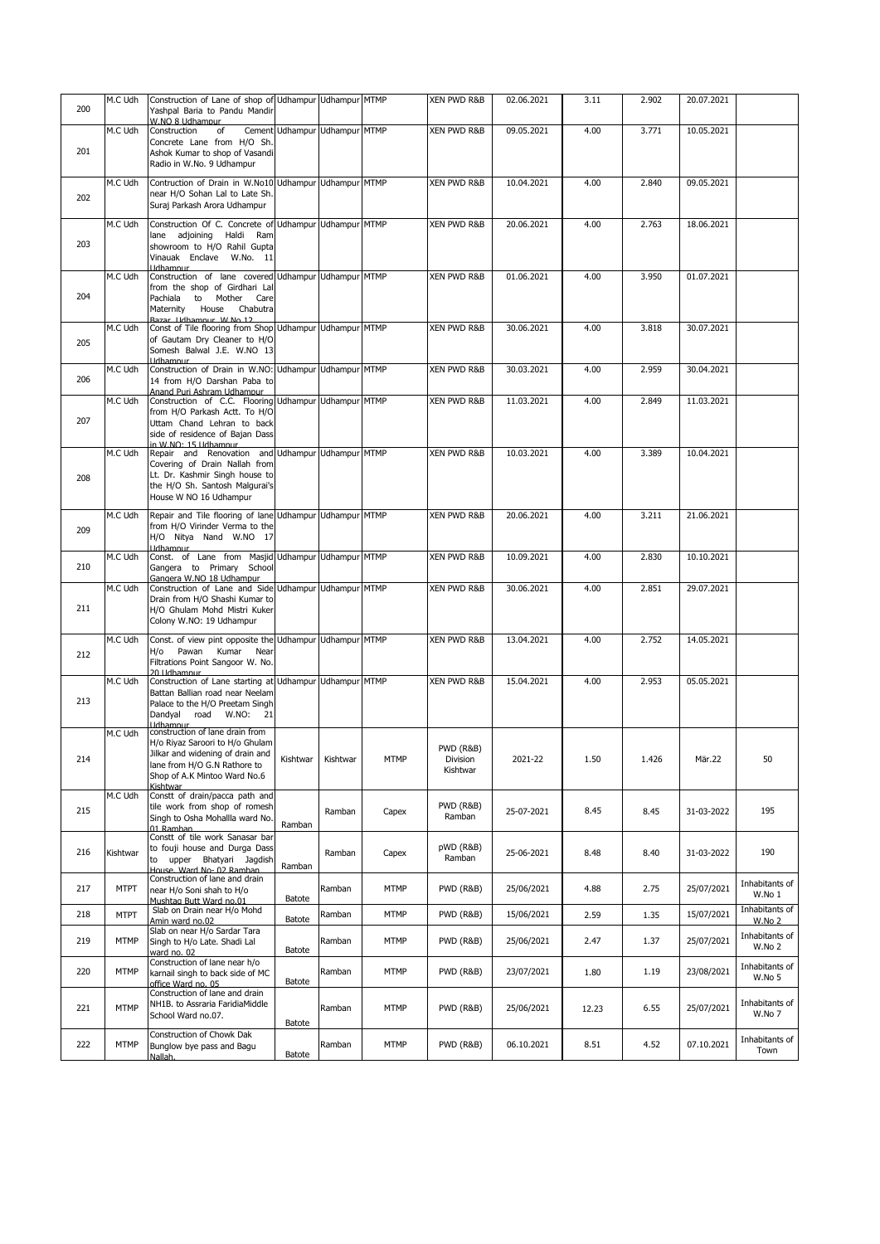| 200 | M.C Udh     | Construction of Lane of shop of Udhampur Udhampur MTMP<br>Yashpal Baria to Pandu Mandir<br>W.NO 8 Udhampur                                                                                     |          |                               |             | XEN PWD R&B                                  | 02.06.2021 | 3.11  | 2.902 | 20.07.2021 |                          |
|-----|-------------|------------------------------------------------------------------------------------------------------------------------------------------------------------------------------------------------|----------|-------------------------------|-------------|----------------------------------------------|------------|-------|-------|------------|--------------------------|
| 201 | M.C Udh     | Construction<br>of<br>Concrete Lane from H/O Sh.<br>Ashok Kumar to shop of Vasandi<br>Radio in W.No. 9 Udhampur                                                                                |          | Cement Udhampur Udhampur MTMP |             | XEN PWD R&B                                  | 09.05.2021 | 4.00  | 3.771 | 10.05.2021 |                          |
| 202 | M.C Udh     | Contruction of Drain in W.No10 Udhampur Udhampur MTMP<br>near H/O Sohan Lal to Late Sh.<br>Suraj Parkash Arora Udhampur                                                                        |          |                               |             | XEN PWD R&B                                  | 10.04.2021 | 4.00  | 2.840 | 09.05.2021 |                          |
| 203 | M.C Udh     | Construction Of C. Concrete of Udhampur Udhampur MTMP<br>lane adjoining Haldi Ram<br>showroom to H/O Rahil Gupta<br>Vinauak Enclave W.No. 11<br><b>I</b> Idhamnur                              |          |                               |             | XEN PWD R&B                                  | 20.06.2021 | 4.00  | 2.763 | 18.06.2021 |                          |
| 204 | M.C Udh     | Construction of lane covered Udhampur Udhampur MTMP<br>from the shop of Girdhari Lal<br>Pachiala to Mother Care<br>Maternity House<br>Chabutra<br>Bazar, Lidhamnur, W.No. 12                   |          |                               |             | XEN PWD R&B                                  | 01.06.2021 | 4.00  | 3.950 | 01.07.2021 |                          |
| 205 | M.C Udh     | Const of Tile flooring from Shop Udhampur Udhampur MTMP<br>of Gautam Dry Cleaner to H/O<br>Somesh Balwal J.E. W.NO 13<br><b>Udhamnur</b>                                                       |          |                               |             | <b>XEN PWD R&amp;B</b>                       | 30.06.2021 | 4.00  | 3.818 | 30.07.2021 |                          |
| 206 | M.C Udh     | Construction of Drain in W.NO: Udhampur Udhampur MTMP<br>14 from H/O Darshan Paba to<br>Anand Puri Ashram Udhampur                                                                             |          |                               |             | XEN PWD R&B                                  | 30.03.2021 | 4.00  | 2.959 | 30.04.2021 |                          |
| 207 | M.C Udh     | Construction of C.C. Flooring Udhampur Udhampur MTMP<br>from H/O Parkash Actt. To H/O<br>Uttam Chand Lehran to back<br>side of residence of Bajan Dass<br>in W NO: 15 Udhampur                 |          |                               |             | XEN PWD R&B                                  | 11.03.2021 | 4.00  | 2.849 | 11.03.2021 |                          |
| 208 | M.C Udh     | Repair and Renovation and Udhampur Udhampur MTMP<br>Covering of Drain Nallah from<br>Lt. Dr. Kashmir Singh house to<br>the H/O Sh. Santosh Malgurai's<br>House W NO 16 Udhampur                |          |                               |             | <b>XEN PWD R&amp;B</b>                       | 10.03.2021 | 4.00  | 3.389 | 10.04.2021 |                          |
| 209 | M.C Udh     | Repair and Tile flooring of lane Udhampur Udhampur MTMP<br>from H/O Virinder Verma to the<br>H/O Nitya Nand W.NO 17<br><b>Udhamnur</b>                                                         |          |                               |             | XEN PWD R&B                                  | 20.06.2021 | 4.00  | 3.211 | 21.06.2021 |                          |
| 210 | M.C Udh     | Const. of Lane from Masjid Udhampur Udhampur MTMP<br>Gangera to Primary School<br>Gangera W.NO 18 Udhampur                                                                                     |          |                               |             | XEN PWD R&B                                  | 10.09.2021 | 4.00  | 2.830 | 10.10.2021 |                          |
| 211 | M.C Udh     | Construction of Lane and Side Udhampur Udhampur MTMP<br>Drain from H/O Shashi Kumar to<br>H/O Ghulam Mohd Mistri Kuker<br>Colony W.NO: 19 Udhampur                                             |          |                               |             | XEN PWD R&B                                  | 30.06.2021 | 4.00  | 2.851 | 29.07.2021 |                          |
| 212 | M.C Udh     | Const. of view pint opposite the Udhampur Udhampur MTMP<br>H/o Pawan Kumar Near<br>Filtrations Point Sangoor W. No.<br>20 Udhamnur                                                             |          |                               |             | XEN PWD R&B                                  | 13.04.2021 | 4.00  | 2.752 | 14.05.2021 |                          |
| 213 | M.C Udh     | Construction of Lane starting at Udhampur Udhampur MTMP<br>Battan Ballian road near Neelam<br>Palace to the H/O Preetam Singh<br>Dandyal road W.NO: 21                                         |          |                               |             | <b>XEN PWD R&amp;B</b>                       | 15.04.2021 | 4.00  | 2.953 | 05.05.2021 |                          |
| 214 | M.C Udh     | Hdhampur<br>construction of lane drain from<br>H/o Riyaz Saroori to H/o Ghulam<br>Jilkar and widening of drain and<br>lane from H/O G.N Rathore to<br>Shop of A.K Mintoo Ward No.6<br>Kishtwar | Kishtwar | Kishtwar                      | MTMP        | <b>PWD (R&amp;B)</b><br>Division<br>Kishtwar | 2021-22    | 1.50  | 1.426 | Mär.22     | 50                       |
| 215 | M.C Udh     | Constt of drain/pacca path and<br>tile work from shop of romesh<br>Singh to Osha Mohallla ward No.<br>01 Ramhan                                                                                | Ramban   | Ramban                        | Capex       | PWD (R&B)<br>Ramban                          | 25-07-2021 | 8.45  | 8.45  | 31-03-2022 | 195                      |
| 216 | Kishtwar    | Constt of tile work Sanasar bar<br>to fouji house and Durga Dass<br>to upper Bhatyari Jaqdish<br>House, Ward No- 02 Ramban                                                                     | Ramban   | Ramban                        | Capex       | pWD (R&B)<br>Ramban                          | 25-06-2021 | 8.48  | 8.40  | 31-03-2022 | 190                      |
| 217 | <b>MTPT</b> | Construction of lane and drain<br>near H/o Soni shah to H/o<br>Mushtag Butt Ward no.01                                                                                                         | Batote   | Ramban                        | <b>MTMP</b> | <b>PWD (R&amp;B)</b>                         | 25/06/2021 | 4.88  | 2.75  | 25/07/2021 | Inhabitants of<br>W.No 1 |
| 218 | <b>MTPT</b> | Slab on Drain near H/o Mohd<br>Amin ward no.02                                                                                                                                                 | Batote   | Ramban                        | <b>MTMP</b> | <b>PWD (R&amp;B)</b>                         | 15/06/2021 | 2.59  | 1.35  | 15/07/2021 | Inhabitants of<br>W.No 2 |
| 219 | <b>MTMP</b> | Slab on near H/o Sardar Tara<br>Singh to H/o Late. Shadi Lal<br>ward no. 02                                                                                                                    | Batote   | Ramban                        | <b>MTMP</b> | <b>PWD (R&amp;B)</b>                         | 25/06/2021 | 2.47  | 1.37  | 25/07/2021 | Inhabitants of<br>W.No 2 |
| 220 | <b>MTMP</b> | Construction of lane near h/o<br>karnail singh to back side of MC<br>office Ward no. 05                                                                                                        | Batote   | Ramban                        | <b>MTMP</b> | <b>PWD (R&amp;B)</b>                         | 23/07/2021 | 1.80  | 1.19  | 23/08/2021 | Inhabitants of<br>W.No 5 |
| 221 | <b>MTMP</b> | Construction of lane and drain<br>NH1B. to Assraria FaridiaMiddle<br>School Ward no.07.                                                                                                        | Batote   | Ramban                        | <b>MTMP</b> | <b>PWD (R&amp;B)</b>                         | 25/06/2021 | 12.23 | 6.55  | 25/07/2021 | Inhabitants of<br>W.No 7 |
| 222 | <b>MTMP</b> | Construction of Chowk Dak<br>Bunglow bye pass and Bagu<br>Nallah.                                                                                                                              | Batote   | Ramban                        | MTMP        | PWD (R&B)                                    | 06.10.2021 | 8.51  | 4.52  | 07.10.2021 | Inhabitants of<br>Town   |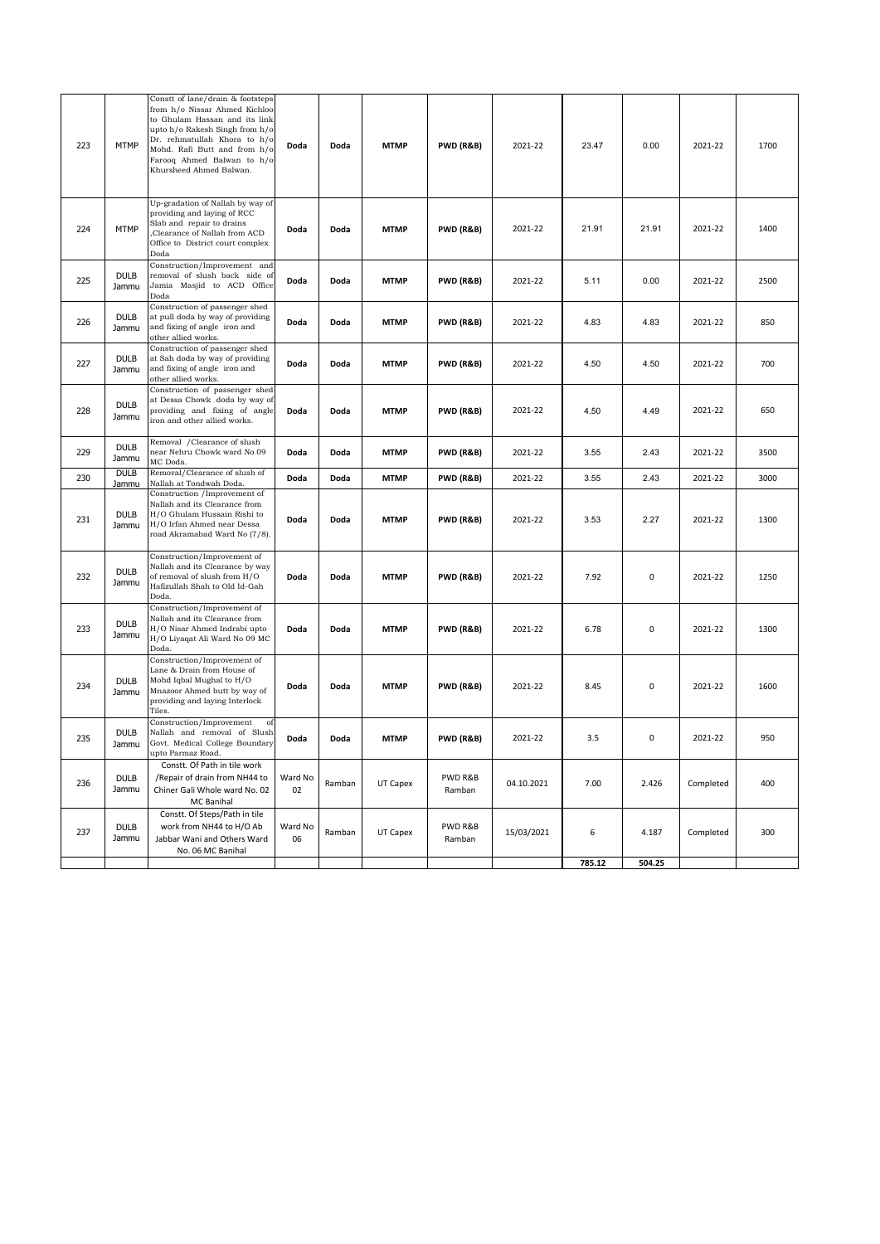| 223 | <b>MTMP</b>          | Constt of lane/drain & footsteps<br>from h/o Nissar Ahmed Kichloo<br>to Ghulam Hassan and its link<br>upto h/o Rakesh Singh from h/o<br>Dr. rehmatullah Khora to h/o<br>Mohd. Rafi Butt and from h/o<br>Farooq Ahmed Balwan to h/o<br>Khursheed Ahmed Balwan. | Doda          | Doda   | <b>MTMP</b> | <b>PWD (R&amp;B)</b> | 2021-22    | 23.47  | 0.00   | 2021-22   | 1700 |
|-----|----------------------|---------------------------------------------------------------------------------------------------------------------------------------------------------------------------------------------------------------------------------------------------------------|---------------|--------|-------------|----------------------|------------|--------|--------|-----------|------|
| 224 | <b>MTMP</b>          | Up-gradation of Nallah by way of<br>providing and laying of RCC<br>Slab and repair to drains<br>Clearance of Nallah from ACD<br>Office to District court complex<br>Doda                                                                                      | Doda          | Doda   | <b>MTMP</b> | <b>PWD (R&amp;B)</b> | 2021-22    | 21.91  | 21.91  | 2021-22   | 1400 |
| 225 | <b>DULB</b><br>Jammu | Construction/Improvement and<br>removal of slush back side of<br>Jamia Masjid to ACD Office<br>Doda                                                                                                                                                           | Doda          | Doda   | <b>MTMP</b> | <b>PWD (R&amp;B)</b> | 2021-22    | 5.11   | 0.00   | 2021-22   | 2500 |
| 226 | <b>DULB</b><br>Jammu | Construction of passenger shed<br>at pull doda by way of providing<br>and fixing of angle iron and<br>other allied works.                                                                                                                                     | Doda          | Doda   | <b>MTMP</b> | PWD (R&B)            | 2021-22    | 4.83   | 4.83   | 2021-22   | 850  |
| 227 | <b>DULB</b><br>Jammu | Construction of passenger shed<br>at Sah doda by way of providing<br>and fixing of angle iron and<br>other allied works.                                                                                                                                      | Doda          | Doda   | <b>MTMP</b> | <b>PWD (R&amp;B)</b> | 2021-22    | 4.50   | 4.50   | 2021-22   | 700  |
| 228 | <b>DULB</b><br>Jammu | Construction of passenger shed<br>at Dessa Chowk doda by way of<br>providing and fixing of angle<br>iron and other allied works.                                                                                                                              | Doda          | Doda   | <b>MTMP</b> | <b>PWD (R&amp;B)</b> | 2021-22    | 4.50   | 4.49   | 2021-22   | 650  |
| 229 | <b>DULB</b><br>Jammu | Removal / Clearance of slush<br>near Nehru Chowk ward No 09<br>MC Doda.                                                                                                                                                                                       | Doda          | Doda   | <b>MTMP</b> | PWD (R&B)            | 2021-22    | 3.55   | 2.43   | 2021-22   | 3500 |
| 230 | <b>DULB</b><br>Jammu | Removal/Clearance of slush of<br>Nallah at Tondwah Doda.                                                                                                                                                                                                      | Doda          | Doda   | <b>MTMP</b> | <b>PWD (R&amp;B)</b> | 2021-22    | 3.55   | 2.43   | 2021-22   | 3000 |
| 231 | <b>DULB</b><br>Jammu | Construction /Improvement of<br>Nallah and its Clearance from<br>H/O Ghulam Hussain Rishi to<br>H/O Irfan Ahmed near Dessa<br>road Akramabad Ward No (7/8).                                                                                                   | Doda          | Doda   | <b>MTMP</b> | <b>PWD (R&amp;B)</b> | 2021-22    | 3.53   | 2.27   | 2021-22   | 1300 |
| 232 | <b>DULB</b><br>Jammu | Construction/Improvement of<br>Nallah and its Clearance by way<br>of removal of slush from H/O<br>Hafizullah Shah to Old Id-Gah<br>Doda.                                                                                                                      | Doda          | Doda   | <b>MTMP</b> | <b>PWD (R&amp;B)</b> | 2021-22    | 7.92   | 0      | 2021-22   | 1250 |
| 233 | <b>DULB</b><br>Jammu | Construction/Improvement of<br>Nallah and its Clearance from<br>H/O Nisar Ahmed Indrabi upto<br>H/O Liyaqat Ali Ward No 09 MC<br>Doda.                                                                                                                        | Doda          | Doda   | <b>MTMP</b> | <b>PWD (R&amp;B)</b> | 2021-22    | 6.78   | 0      | 2021-22   | 1300 |
| 234 | <b>DULB</b><br>Jammu | Construction/Improvement of<br>Lane & Drain from House of<br>Mohd Iqbal Mughal to H/O<br>Mnazoor Ahmed butt by way of<br>providing and laying Interlock<br>Tiles.                                                                                             | Doda          | Doda   | <b>MTMP</b> | <b>PWD (R&amp;B)</b> | 2021-22    | 8.45   | 0      | 2021-22   | 1600 |
| 235 | <b>DULB</b><br>Jammu | Construction/Improvement<br>of<br>Nallah and removal of Slush<br>Govt. Medical College Boundary<br>upto Parmaz Road.                                                                                                                                          | Doda          | Doda   | <b>MTMP</b> | <b>PWD (R&amp;B)</b> | 2021-22    | 3.5    | 0      | 2021-22   | 950  |
| 236 | <b>DULB</b><br>Jammu | Constt. Of Path in tile work<br>/Repair of drain from NH44 to<br>Chiner Gali Whole ward No. 02<br>MC Banihal                                                                                                                                                  | Ward No<br>02 | Ramban | UT Capex    | PWD R&B<br>Ramban    | 04.10.2021 | 7.00   | 2.426  | Completed | 400  |
| 237 | <b>DULB</b><br>Jammu | Constt. Of Steps/Path in tile<br>work from NH44 to H/O Ab<br>Jabbar Wani and Others Ward<br>No. 06 MC Banihal                                                                                                                                                 | Ward No<br>06 | Ramban | UT Capex    | PWD R&B<br>Ramban    | 15/03/2021 | 6      | 4.187  | Completed | 300  |
|     |                      |                                                                                                                                                                                                                                                               |               |        |             |                      |            | 785.12 | 504.25 |           |      |